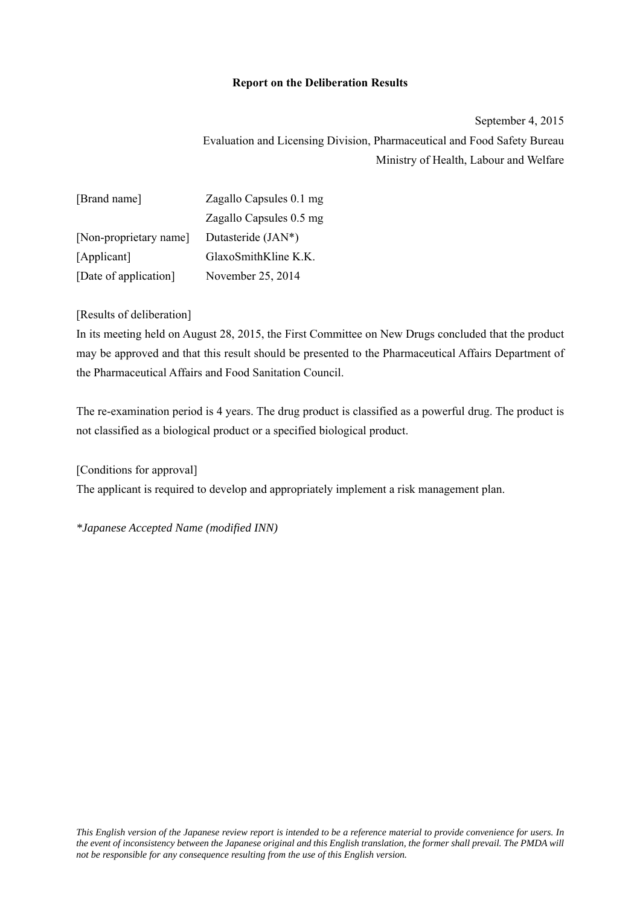## **Report on the Deliberation Results**

September 4, 2015 Evaluation and Licensing Division, Pharmaceutical and Food Safety Bureau Ministry of Health, Labour and Welfare

| [Brand name]           | Zagallo Capsules 0.1 mg            |
|------------------------|------------------------------------|
|                        | Zagallo Capsules 0.5 mg            |
| [Non-proprietary name] | Dutasteride (JAN*)                 |
| [Applicant]            | $G$ laxoSmith $K$ line $K$ . $K$ . |
| [Date of application]  | November 25, 2014                  |

## [Results of deliberation]

In its meeting held on August 28, 2015, the First Committee on New Drugs concluded that the product may be approved and that this result should be presented to the Pharmaceutical Affairs Department of the Pharmaceutical Affairs and Food Sanitation Council.

The re-examination period is 4 years. The drug product is classified as a powerful drug. The product is not classified as a biological product or a specified biological product.

[Conditions for approval] The applicant is required to develop and appropriately implement a risk management plan.

*\*Japanese Accepted Name (modified INN)*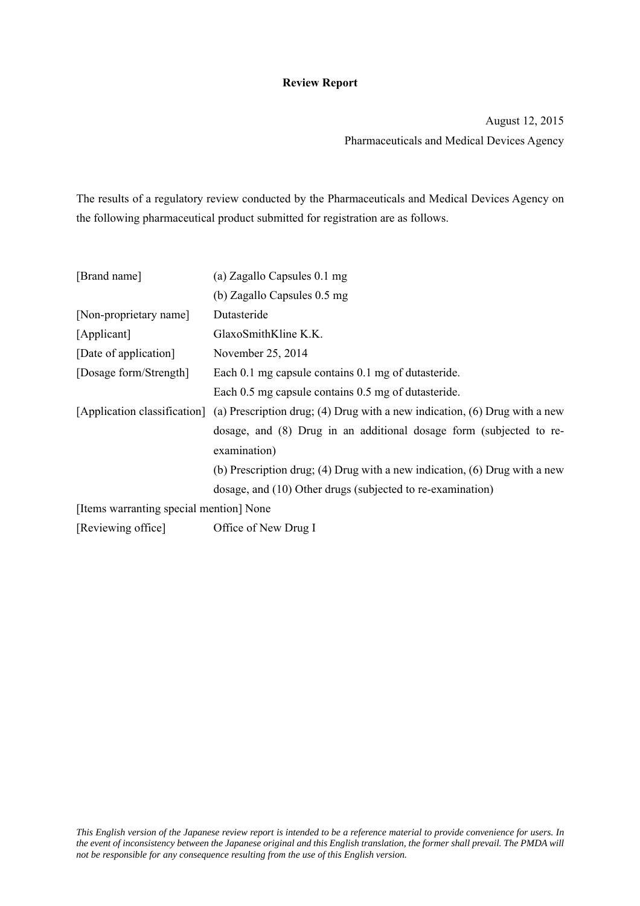# **Review Report**

August 12, 2015 Pharmaceuticals and Medical Devices Agency

The results of a regulatory review conducted by the Pharmaceuticals and Medical Devices Agency on the following pharmaceutical product submitted for registration are as follows.

| [Brand name]                            | (a) Zagallo Capsules 0.1 mg                                                                             |  |  |  |  |
|-----------------------------------------|---------------------------------------------------------------------------------------------------------|--|--|--|--|
|                                         | (b) Zagallo Capsules 0.5 mg                                                                             |  |  |  |  |
| [Non-proprietary name]                  | Dutasteride                                                                                             |  |  |  |  |
| [Applicant]                             | GlaxoSmithKline K.K.                                                                                    |  |  |  |  |
| [Date of application]                   | November 25, 2014                                                                                       |  |  |  |  |
| [Dosage form/Strength]                  | Each 0.1 mg capsule contains 0.1 mg of dutasteride.                                                     |  |  |  |  |
|                                         | Each 0.5 mg capsule contains 0.5 mg of dutasteride.                                                     |  |  |  |  |
|                                         | [Application classification] (a) Prescription drug; (4) Drug with a new indication, (6) Drug with a new |  |  |  |  |
|                                         | dosage, and (8) Drug in an additional dosage form (subjected to re-                                     |  |  |  |  |
|                                         | examination)                                                                                            |  |  |  |  |
|                                         | (b) Prescription drug; (4) Drug with a new indication, (6) Drug with a new                              |  |  |  |  |
|                                         | dosage, and (10) Other drugs (subjected to re-examination)                                              |  |  |  |  |
| [Items warranting special mention] None |                                                                                                         |  |  |  |  |
| [Reviewing office]                      | Office of New Drug I                                                                                    |  |  |  |  |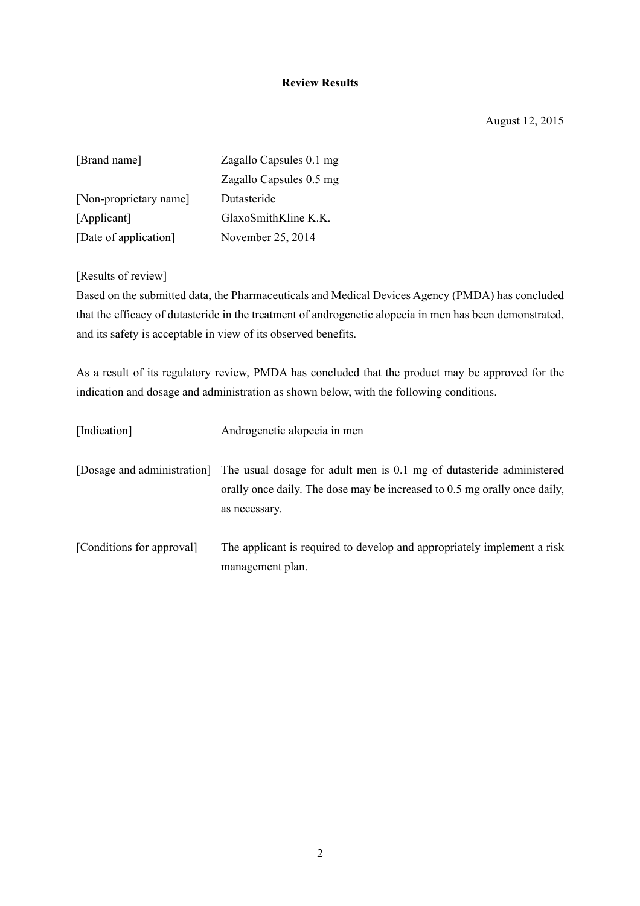# **Review Results**

August 12, 2015

| [Brand name]           | Zagallo Capsules 0.1 mg |
|------------------------|-------------------------|
|                        | Zagallo Capsules 0.5 mg |
| [Non-proprietary name] | Dutasteride             |
| [Applicant]            | $G$ laxoSmithKline K.K. |
| [Date of application]  | November 25, 2014       |

[Results of review]

Based on the submitted data, the Pharmaceuticals and Medical Devices Agency (PMDA) has concluded that the efficacy of dutasteride in the treatment of androgenetic alopecia in men has been demonstrated, and its safety is acceptable in view of its observed benefits.

As a result of its regulatory review, PMDA has concluded that the product may be approved for the indication and dosage and administration as shown below, with the following conditions.

| [Indication]              | Androgenetic alopecia in men                                                                                                                                                                   |
|---------------------------|------------------------------------------------------------------------------------------------------------------------------------------------------------------------------------------------|
|                           | [Dosage and administration] The usual dosage for adult men is 0.1 mg of dutasteride administered<br>orally once daily. The dose may be increased to 0.5 mg orally once daily,<br>as necessary. |
| [Conditions for approval] | The applicant is required to develop and appropriately implement a risk<br>management plan.                                                                                                    |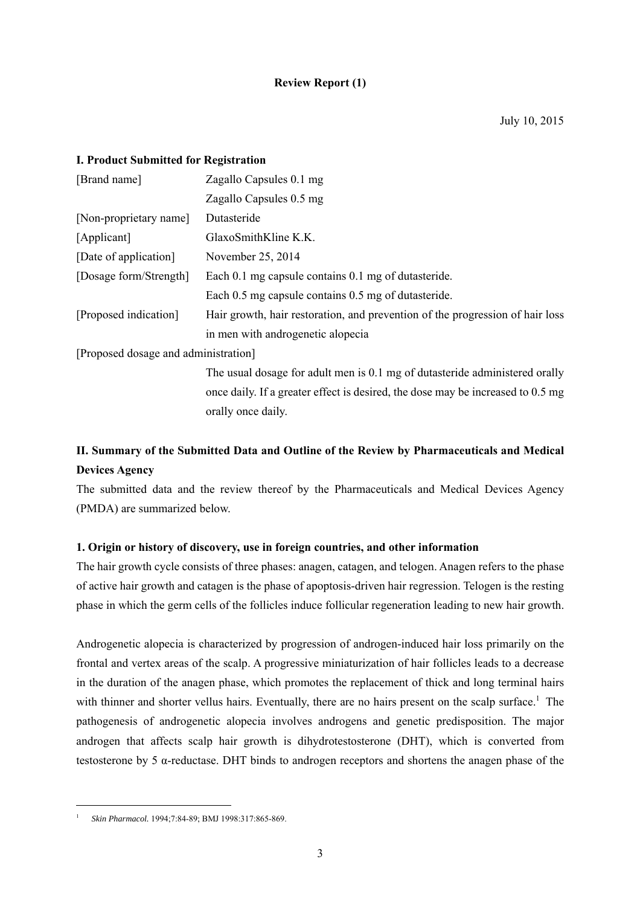# **Review Report (1)**

# **I. Product Submitted for Registration**

| [Brand name]                         | Zagallo Capsules 0.1 mg                                                         |
|--------------------------------------|---------------------------------------------------------------------------------|
|                                      | Zagallo Capsules 0.5 mg                                                         |
| [Non-proprietary name]               | Dutasteride                                                                     |
| [Applicant]                          | GlaxoSmithKline K.K.                                                            |
| [Date of application]                | November 25, 2014                                                               |
| [Dosage form/Strength]               | Each 0.1 mg capsule contains 0.1 mg of dutasteride.                             |
|                                      | Each 0.5 mg capsule contains 0.5 mg of dutasteride.                             |
| [Proposed indication]                | Hair growth, hair restoration, and prevention of the progression of hair loss   |
|                                      | in men with androgenetic alopecia                                               |
| [Proposed dosage and administration] |                                                                                 |
|                                      | The usual dosage for adult men is 0.1 mg of dutasteride administered orally     |
|                                      | once daily. If a greater effect is desired, the dose may be increased to 0.5 mg |

orally once daily. **II. Summary of the Submitted Data and Outline of the Review by Pharmaceuticals and Medical** 

## **Devices Agency**

 $\overline{\phantom{a}}$ 

The submitted data and the review thereof by the Pharmaceuticals and Medical Devices Agency (PMDA) are summarized below.

## **1. Origin or history of discovery, use in foreign countries, and other information**

The hair growth cycle consists of three phases: anagen, catagen, and telogen. Anagen refers to the phase of active hair growth and catagen is the phase of apoptosis-driven hair regression. Telogen is the resting phase in which the germ cells of the follicles induce follicular regeneration leading to new hair growth.

Androgenetic alopecia is characterized by progression of androgen-induced hair loss primarily on the frontal and vertex areas of the scalp. A progressive miniaturization of hair follicles leads to a decrease in the duration of the anagen phase, which promotes the replacement of thick and long terminal hairs with thinner and shorter vellus hairs. Eventually, there are no hairs present on the scalp surface.<sup>1</sup> The pathogenesis of androgenetic alopecia involves androgens and genetic predisposition. The major androgen that affects scalp hair growth is dihydrotestosterone (DHT), which is converted from testosterone by 5 α-reductase. DHT binds to androgen receptors and shortens the anagen phase of the

<sup>1</sup> *Skin Pharmacol.* 1994;7:84-89; BMJ 1998:317:865-869.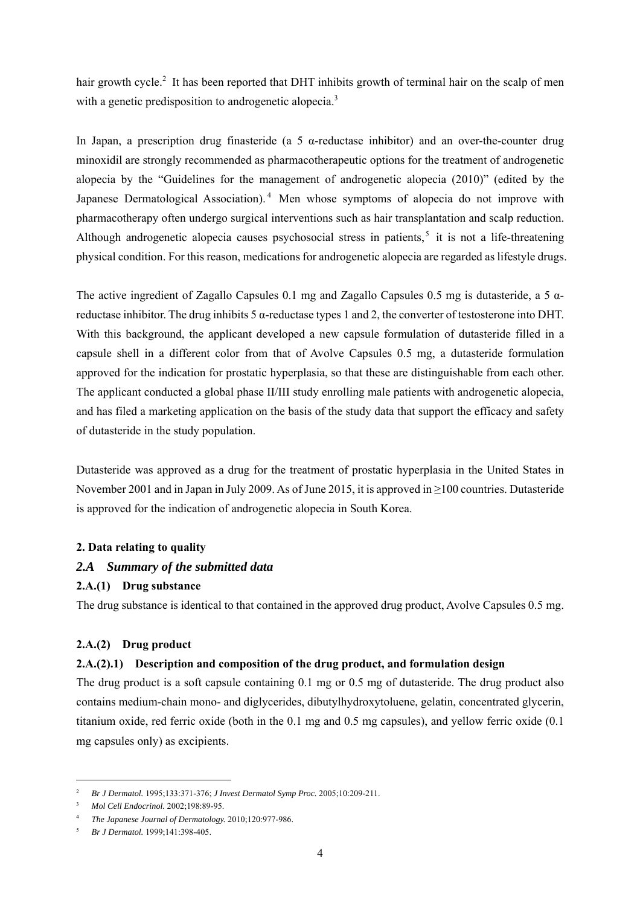hair growth cycle.<sup>2</sup> It has been reported that DHT inhibits growth of terminal hair on the scalp of men with a genetic predisposition to androgenetic alopecia.<sup>3</sup>

In Japan, a prescription drug finasteride (a 5  $\alpha$ -reductase inhibitor) and an over-the-counter drug minoxidil are strongly recommended as pharmacotherapeutic options for the treatment of androgenetic alopecia by the "Guidelines for the management of androgenetic alopecia (2010)" (edited by the Japanese Dermatological Association).<sup>4</sup> Men whose symptoms of alopecia do not improve with pharmacotherapy often undergo surgical interventions such as hair transplantation and scalp reduction. Although androgenetic alopecia causes psychosocial stress in patients,<sup>5</sup> it is not a life-threatening physical condition. For this reason, medications for androgenetic alopecia are regarded as lifestyle drugs.

The active ingredient of Zagallo Capsules 0.1 mg and Zagallo Capsules 0.5 mg is dutasteride, a 5  $\alpha$ reductase inhibitor. The drug inhibits 5 α-reductase types 1 and 2, the converter of testosterone into DHT. With this background, the applicant developed a new capsule formulation of dutasteride filled in a capsule shell in a different color from that of Avolve Capsules 0.5 mg, a dutasteride formulation approved for the indication for prostatic hyperplasia, so that these are distinguishable from each other. The applicant conducted a global phase II/III study enrolling male patients with androgenetic alopecia, and has filed a marketing application on the basis of the study data that support the efficacy and safety of dutasteride in the study population.

Dutasteride was approved as a drug for the treatment of prostatic hyperplasia in the United States in November 2001 and in Japan in July 2009. As of June 2015, it is approved in ≥100 countries. Dutasteride is approved for the indication of androgenetic alopecia in South Korea.

## **2. Data relating to quality**

# *2.A Summary of the submitted data*

# **2.A.(1) Drug substance**

The drug substance is identical to that contained in the approved drug product, Avolve Capsules 0.5 mg.

# **2.A.(2) Drug product**

## **2.A.(2).1) Description and composition of the drug product, and formulation design**

The drug product is a soft capsule containing 0.1 mg or 0.5 mg of dutasteride. The drug product also contains medium-chain mono- and diglycerides, dibutylhydroxytoluene, gelatin, concentrated glycerin, titanium oxide, red ferric oxide (both in the 0.1 mg and 0.5 mg capsules), and yellow ferric oxide (0.1 mg capsules only) as excipients.

l

<sup>2</sup> *Br J Dermatol.* 1995;133:371-376; *J Invest Dermatol Symp Proc.* 2005;10:209-211.

<sup>3</sup>  *Mol Cell Endocrinol.* 2002;198:89-95.

<sup>4</sup> *The Japanese Journal of Dermatology.* 2010;120:977-986.

<sup>5</sup> *Br J Dermatol.* 1999;141:398-405.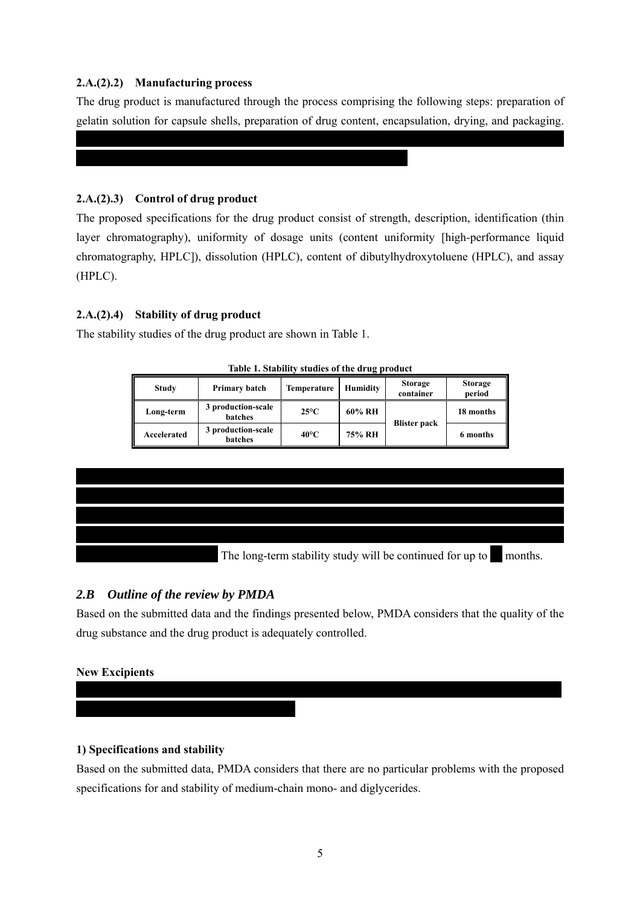# **2.A.(2).2) Manufacturing process**

The drug product is manufactured through the process comprising the following steps: preparation of gelatin solution for capsule shells, preparation of drug content, encapsulation, drying, and packaging.

\*\*\*\*\*\*\*\*\*\*\*\*\*\*\*\*\*\*\*\*\*\*\*\*\*\*\*\*\*\*\*\*\*\*\*\*\*\*\*\*\*\*\*\*\*\*\*\*\*\*\*\*\*\*\*\*\*\*\*\*\*\*\* \*\*\*\*\*\*\*\*\*\*\*\*\*\*\*\*

# **2.A.(2).3) Control of drug product**

The proposed specifications for the drug product consist of strength, description, identification (thin layer chromatography), uniformity of dosage units (content uniformity [high-performance liquid chromatography, HPLC]), dissolution (HPLC), content of dibutylhydroxytoluene (HPLC), and assay (HPLC).

# **2.A.(2).4) Stability of drug product**

The stability studies of the drug product are shown in Table 1.

\*\*\*\*\*\*\*\*\*\*\*\*\*\*\*\*\*\*\*\*\*\*\*\*\*\*\*\*\*\*\*\*\*\*\*\*\*\*\*\*\*\*\*\*\*\*\*\*\*\*\*\*\*\*\*\*

| <b>Study</b> | Primary batch                        | Temperature    | <b>Humidity</b> | <b>Storage</b><br>container | <b>Storage</b><br>period |
|--------------|--------------------------------------|----------------|-----------------|-----------------------------|--------------------------|
| Long-term    | 3 production-scale<br>batches        | $25^{\circ}$ C | 60% RH          |                             | 18 months                |
| Accelerated  | 3 production-scale<br><b>batches</b> | $40^{\circ}$ C | 75% RH          | <b>Blister pack</b>         | 6 months                 |

**Table 1. Stability studies of the drug product** 



# *2.B Outline of the review by PMDA*

Based on the submitted data and the findings presented below, PMDA considers that the quality of the drug substance and the drug product is adequately controlled.

# **New Excipients**

\*\*\*\*\*\*\*\*\*\*\*\*\*\*\*\*\*\*\*\*\*\*\*\*\*

# **1) Specifications and stability**

Based on the submitted data, PMDA considers that there are no particular problems with the proposed specifications for and stability of medium-chain mono- and diglycerides.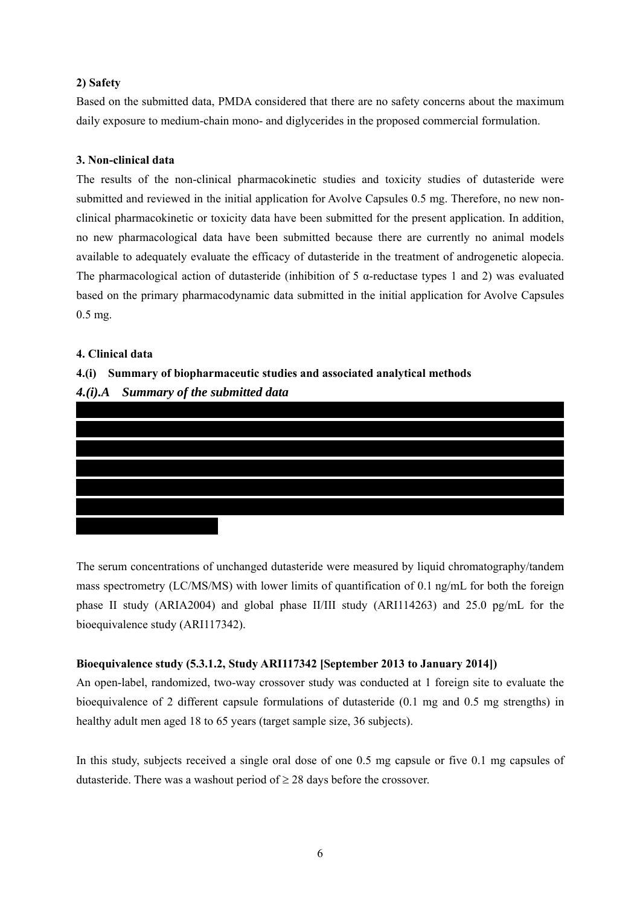## **2) Safety**

Based on the submitted data, PMDA considered that there are no safety concerns about the maximum daily exposure to medium-chain mono- and diglycerides in the proposed commercial formulation.

# **3. Non-clinical data**

The results of the non-clinical pharmacokinetic studies and toxicity studies of dutasteride were submitted and reviewed in the initial application for Avolve Capsules 0.5 mg. Therefore, no new nonclinical pharmacokinetic or toxicity data have been submitted for the present application. In addition, no new pharmacological data have been submitted because there are currently no animal models available to adequately evaluate the efficacy of dutasteride in the treatment of androgenetic alopecia. The pharmacological action of dutasteride (inhibition of 5 α-reductase types 1 and 2) was evaluated based on the primary pharmacodynamic data submitted in the initial application for Avolve Capsules 0.5 mg.

# **4. Clinical data**

# **4.(i) Summary of biopharmaceutic studies and associated analytical methods**

# *4.(i).A Summary of the submitted data*



The serum concentrations of unchanged dutasteride were measured by liquid chromatography/tandem mass spectrometry (LC/MS/MS) with lower limits of quantification of 0.1 ng/mL for both the foreign phase II study (ARIA2004) and global phase II/III study (ARI114263) and 25.0 pg/mL for the bioequivalence study (ARI117342).

# **Bioequivalence study (5.3.1.2, Study ARI117342 [September 2013 to January 2014])**

An open-label, randomized, two-way crossover study was conducted at 1 foreign site to evaluate the bioequivalence of 2 different capsule formulations of dutasteride (0.1 mg and 0.5 mg strengths) in healthy adult men aged 18 to 65 years (target sample size, 36 subjects).

In this study, subjects received a single oral dose of one 0.5 mg capsule or five 0.1 mg capsules of dutasteride. There was a washout period of  $\geq 28$  days before the crossover.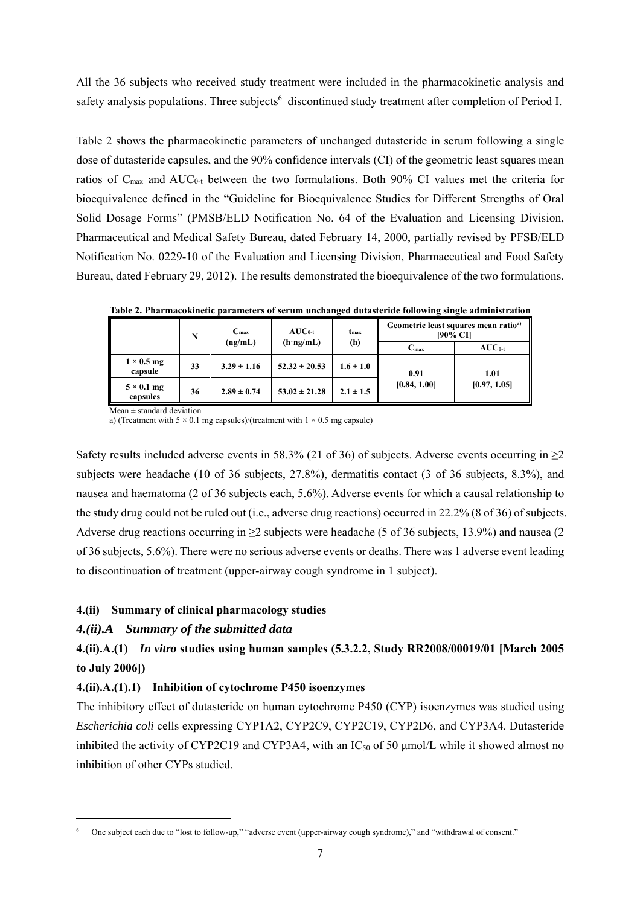All the 36 subjects who received study treatment were included in the pharmacokinetic analysis and safety analysis populations. Three subjects<sup>6</sup> discontinued study treatment after completion of Period I.

Table 2 shows the pharmacokinetic parameters of unchanged dutasteride in serum following a single dose of dutasteride capsules, and the 90% confidence intervals (CI) of the geometric least squares mean ratios of  $C_{\text{max}}$  and  $AUC_{0-t}$  between the two formulations. Both 90% CI values met the criteria for bioequivalence defined in the "Guideline for Bioequivalence Studies for Different Strengths of Oral Solid Dosage Forms" (PMSB/ELD Notification No. 64 of the Evaluation and Licensing Division, Pharmaceutical and Medical Safety Bureau, dated February 14, 2000, partially revised by PFSB/ELD Notification No. 0229-10 of the Evaluation and Licensing Division, Pharmaceutical and Food Safety Bureau, dated February 29, 2012). The results demonstrated the bioequivalence of the two formulations.

|                               | N  | $C_{\text{max}}$ | $AUC_{0-t}$       | $t_{\rm max}$ |                  | Geometric least squares mean ratio <sup>a)</sup><br>[90% CI] |
|-------------------------------|----|------------------|-------------------|---------------|------------------|--------------------------------------------------------------|
|                               |    | (ng/mL)          | $(h \cdot ng/mL)$ | (h)           | $C_{\text{max}}$ | $AUC_{0-t}$                                                  |
| $1 \times 0.5$ mg<br>capsule  | 33 | $3.29 \pm 1.16$  | $52.32 \pm 20.53$ | $1.6 \pm 1.0$ | 0.91             | 1.01                                                         |
| $5 \times 0.1$ mg<br>capsules | 36 | $2.89 \pm 0.74$  | $53.02 \pm 21.28$ | $2.1 \pm 1.5$ | [0.84, 1.00]     | [0.97, 1.05]                                                 |

**Table 2. Pharmacokinetic parameters of serum unchanged dutasteride following single administration** 

 $Mean \pm standard deviation$ 

a) (Treatment with  $5 \times 0.1$  mg capsules)/(treatment with  $1 \times 0.5$  mg capsule)

Safety results included adverse events in 58.3% (21 of 36) of subjects. Adverse events occurring in  $\geq$ 2 subjects were headache (10 of 36 subjects, 27.8%), dermatitis contact (3 of 36 subjects, 8.3%), and nausea and haematoma (2 of 36 subjects each, 5.6%). Adverse events for which a causal relationship to the study drug could not be ruled out (i.e., adverse drug reactions) occurred in 22.2% (8 of 36) of subjects. Adverse drug reactions occurring in ≥2 subjects were headache (5 of 36 subjects, 13.9%) and nausea (2 of 36 subjects, 5.6%). There were no serious adverse events or deaths. There was 1 adverse event leading to discontinuation of treatment (upper-airway cough syndrome in 1 subject).

## **4.(ii) Summary of clinical pharmacology studies**

## *4.(ii).A Summary of the submitted data*

l

# **4.(ii).A.(1)** *In vitro* **studies using human samples (5.3.2.2, Study RR2008/00019/01 [March 2005 to July 2006])**

# **4.(ii).A.(1).1) Inhibition of cytochrome P450 isoenzymes**

The inhibitory effect of dutasteride on human cytochrome P450 (CYP) isoenzymes was studied using *Escherichia coli* cells expressing CYP1A2, CYP2C9, CYP2C19, CYP2D6, and CYP3A4. Dutasteride inhibited the activity of CYP2C19 and CYP3A4, with an  $IC_{50}$  of 50 µmol/L while it showed almost no inhibition of other CYPs studied.

<sup>6</sup> One subject each due to "lost to follow-up," "adverse event (upper-airway cough syndrome)," and "withdrawal of consent."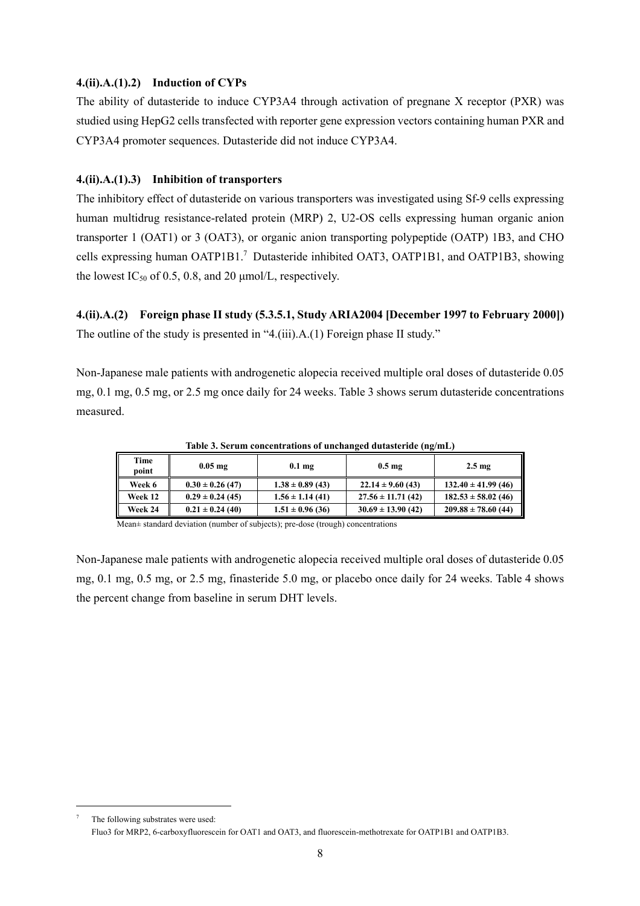# **4.(ii).A.(1).2) Induction of CYPs**

The ability of dutasteride to induce CYP3A4 through activation of pregnane X receptor (PXR) was studied using HepG2 cells transfected with reporter gene expression vectors containing human PXR and CYP3A4 promoter sequences. Dutasteride did not induce CYP3A4.

### **4.(ii).A.(1).3) Inhibition of transporters**

The inhibitory effect of dutasteride on various transporters was investigated using Sf-9 cells expressing human multidrug resistance-related protein (MRP) 2, U2-OS cells expressing human organic anion transporter 1 (OAT1) or 3 (OAT3), or organic anion transporting polypeptide (OATP) 1B3, and CHO cells expressing human OATP1B1.<sup>7</sup> Dutasteride inhibited OAT3, OATP1B1, and OATP1B3, showing the lowest IC<sub>50</sub> of 0.5, 0.8, and 20  $\mu$ mol/L, respectively.

**4.(ii).A.(2) Foreign phase II study (5.3.5.1, Study ARIA2004 [December 1997 to February 2000])**  The outline of the study is presented in "4.(iii).A.(1) Foreign phase II study."

Non-Japanese male patients with androgenetic alopecia received multiple oral doses of dutasteride 0.05 mg, 0.1 mg, 0.5 mg, or 2.5 mg once daily for 24 weeks. Table 3 shows serum dutasteride concentrations measured.

| Time<br>point | $0.05$ mg            | $0.1$ mg             | 0.5 <sub>mg</sub>     | $2.5 \text{ mg}$        |
|---------------|----------------------|----------------------|-----------------------|-------------------------|
| Week 6        | $0.30 \pm 0.26$ (47) | $1.38 \pm 0.89$ (43) | $22.14 \pm 9.60(43)$  | $132.40 \pm 41.99(46)$  |
| Week 12       | $0.29 \pm 0.24$ (45) | $1.56 \pm 1.14(41)$  | $27.56 \pm 11.71(42)$ | $182.53 \pm 58.02$ (46) |
| Week 24       | $0.21 \pm 0.24$ (40) | $1.51 \pm 0.96(36)$  | $30.69 \pm 13.90(42)$ | $209.88 \pm 78.60(44)$  |

**Table 3. Serum concentrations of unchanged dutasteride (ng/mL)** 

Mean± standard deviation (number of subjects); pre-dose (trough) concentrations

Non-Japanese male patients with androgenetic alopecia received multiple oral doses of dutasteride 0.05 mg, 0.1 mg, 0.5 mg, or 2.5 mg, finasteride 5.0 mg, or placebo once daily for 24 weeks. Table 4 shows the percent change from baseline in serum DHT levels.

l

<sup>7</sup> The following substrates were used: Fluo3 for MRP2, 6-carboxyfluorescein for OAT1 and OAT3, and fluorescein-methotrexate for OATP1B1 and OATP1B3.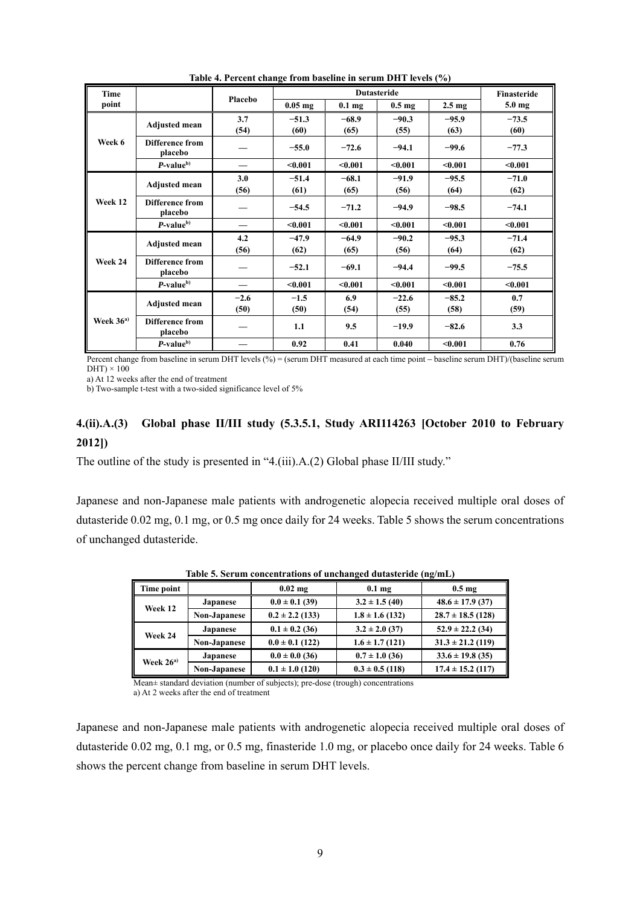| <b>Time</b>        |                                   | Placebo | <b>Dutasteride</b> |                   |                   |                   | <b>Finasteride</b> |
|--------------------|-----------------------------------|---------|--------------------|-------------------|-------------------|-------------------|--------------------|
| point              |                                   |         | $0.05$ mg          | 0.1 <sub>mg</sub> | 0.5 <sub>mg</sub> | 2.5 <sub>mg</sub> | $5.0$ mg           |
|                    | Adjusted mean                     | 3.7     | $-51.3$            | $-68.9$           | $-90.3$           | $-95.9$           | $-73.5$            |
|                    |                                   | (54)    | (60)               | (65)              | (55)              | (63)              | (60)               |
| Week 6             | Difference from<br>placebo        |         | $-55.0$            | $-72.6$           | $-94.1$           | $-99.6$           | $-77.3$            |
|                    | $P$ -value $b$                    |         | < 0.001            | < 0.001           | < 0.001           | < 0.001           | < 0.001            |
|                    | <b>Adjusted mean</b>              | 3.0     | $-51.4$            | $-68.1$           | $-91.9$           | $-95.5$           | $-71.0$            |
|                    |                                   | (56)    | (61)               | (65)              | (56)              | (64)              | (62)               |
| Week 12            | <b>Difference from</b><br>placebo |         | $-54.5$            | $-71.2$           | $-94.9$           | $-98.5$           | $-74.1$            |
|                    | $P$ -value <sup>b)</sup>          |         | < 0.001            | < 0.001           | < 0.001           | < 0.001           | < 0.001            |
|                    | <b>Adjusted mean</b>              | 4.2     | $-47.9$            | $-64.9$           | $-90.2$           | $-95.3$           | $-71.4$            |
|                    |                                   | (56)    | (62)               | (65)              | (56)              | (64)              | (62)               |
| Week 24<br>placebo | Difference from                   |         | $-52.1$            | $-69.1$           | $-94.4$           | $-99.5$           | $-75.5$            |
|                    | $P$ -value <sup>b)</sup>          |         | < 0.001            | < 0.001           | < 0.001           | < 0.001           | < 0.001            |
|                    | <b>Adjusted mean</b>              | $-2.6$  | $-1.5$             | 6.9               | $-22.6$           | $-85.2$           | 0.7                |
| Week $36a$         |                                   | (50)    | (50)               | (54)              | (55)              | (58)              | (59)               |
|                    | Difference from<br>placebo        |         | 1.1                | 9.5               | $-19.9$           | $-82.6$           | 3.3                |
|                    | $P$ -value $b$ )                  |         | 0.92               | 0.41              | 0.040             | $0.001$           | 0.76               |

**Table 4. Percent change from baseline in serum DHT levels (%)** 

Percent change from baseline in serum DHT levels (%) = (serum DHT measured at each time point - baseline serum DHT)/(baseline serum  $DHT$ ) × 100

a) At 12 weeks after the end of treatment

b) Two-sample t-test with a two-sided significance level of 5%

# **4.(ii).A.(3) Global phase II/III study (5.3.5.1, Study ARI114263 [October 2010 to February 2012])**

The outline of the study is presented in "4.(iii).A.(2) Global phase II/III study."

Japanese and non-Japanese male patients with androgenetic alopecia received multiple oral doses of dutasteride 0.02 mg, 0.1 mg, or 0.5 mg once daily for 24 weeks. Table 5 shows the serum concentrations of unchanged dutasteride.

| Time point    |                 | $0.02$ mg           | $0.1 \text{ mg}$    | $0.5 \text{ mg}$      |
|---------------|-----------------|---------------------|---------------------|-----------------------|
| Week 12       | <b>Japanese</b> | $0.0 \pm 0.1$ (39)  | $3.2 \pm 1.5(40)$   | $48.6 \pm 17.9$ (37)  |
| Non-Japanese  |                 | $0.2 \pm 2.2$ (133) | $1.8 \pm 1.6$ (132) | $28.7 \pm 18.5$ (128) |
| Week 24       | <b>Japanese</b> | $0.1 \pm 0.2$ (36)  | $3.2 \pm 2.0$ (37)  | $52.9 \pm 22.2$ (34)  |
|               | Non-Japanese    | $0.0 \pm 0.1$ (122) | $1.6 \pm 1.7(121)$  | $31.3 \pm 21.2$ (119) |
| Week $26^{a}$ | <b>Japanese</b> | $0.0 \pm 0.0$ (36)  | $0.7 \pm 1.0$ (36)  | $33.6 \pm 19.8$ (35)  |
|               | Non-Japanese    | $0.1 \pm 1.0$ (120) | $0.3 \pm 0.5$ (118) | $17.4 \pm 15.2$ (117) |

**Table 5. Serum concentrations of unchanged dutasteride (ng/mL)** 

Mean± standard deviation (number of subjects); pre-dose (trough) concentrations

a) At 2 weeks after the end of treatment

Japanese and non-Japanese male patients with androgenetic alopecia received multiple oral doses of dutasteride 0.02 mg, 0.1 mg, or 0.5 mg, finasteride 1.0 mg, or placebo once daily for 24 weeks. Table 6 shows the percent change from baseline in serum DHT levels.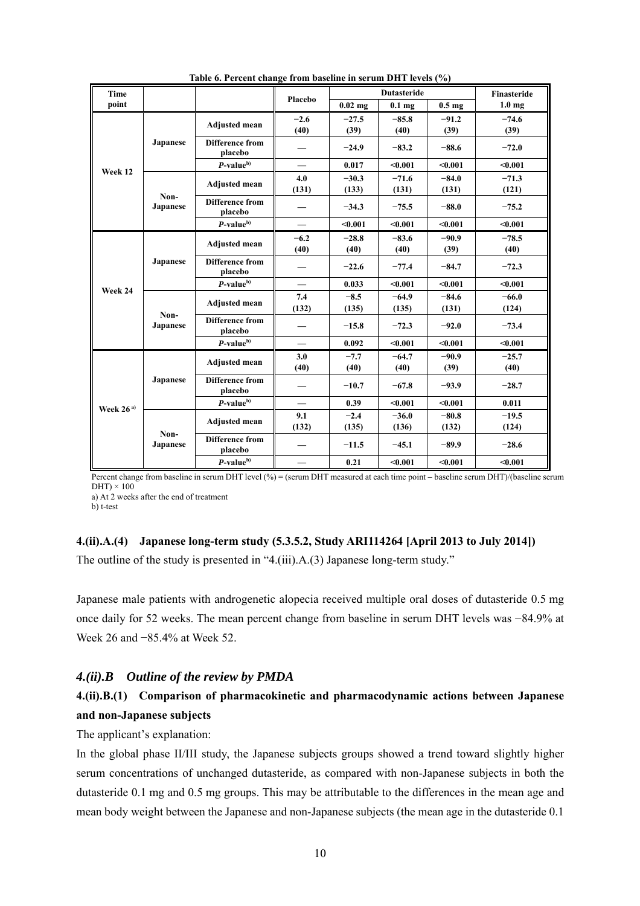| <b>Time</b>   |                  |                                   | Placebo                  |                  | <b>Dutasteride</b> |                   | <b>Finasteride</b> |
|---------------|------------------|-----------------------------------|--------------------------|------------------|--------------------|-------------------|--------------------|
| point         |                  |                                   |                          | $0.02$ mg        | $0.1$ mg           | 0.5 <sub>mg</sub> | $1.0 \text{ mg}$   |
|               |                  | <b>Adjusted mean</b>              | $-2.6$<br>(40)           | $-27.5$<br>(39)  | $-85.8$<br>(40)    | $-91.2$<br>(39)   | $-74.6$<br>(39)    |
|               | <b>Japanese</b>  | <b>Difference from</b><br>placebo |                          | $-24.9$          | $-83.2$            | $-88.6$           | $-72.0$            |
| Week 12       |                  | $P$ -value $b$ )                  |                          | 0.017            | < 0.001            | < 0.001           | < 0.001            |
|               |                  | <b>Adjusted mean</b>              | 4.0<br>(131)             | $-30.3$<br>(133) | $-71.6$<br>(131)   | $-84.0$<br>(131)  | $-71.3$<br>(121)   |
|               | Non-<br>Japanese | <b>Difference from</b><br>placebo |                          | $-34.3$          | $-75.5$            | $-88.0$           | $-75.2$            |
|               |                  | $P$ -value $b$ )                  | $\overline{\phantom{0}}$ | < 0.001          | < 0.001            | < 0.001           | < 0.001            |
|               |                  | <b>Adjusted mean</b>              | $-6.2$<br>(40)           | $-28.8$<br>(40)  | $-83.6$<br>(40)    | $-90.9$<br>(39)   | $-78.5$<br>(40)    |
|               | Japanese         | <b>Difference from</b><br>placebo |                          | $-22.6$          | $-77.4$            | $-84.7$           | $-72.3$            |
| Week 24       |                  | $P$ -value <sup>b)</sup>          |                          | 0.033            | < 0.001            | < 0.001           | < 0.001            |
|               |                  | <b>Adjusted mean</b>              | 7.4<br>(132)             | $-8.5$<br>(135)  | $-64.9$<br>(135)   | $-84.6$<br>(131)  | $-66.0$<br>(124)   |
|               | Non-<br>Japanese | <b>Difference from</b><br>placebo |                          | $-15.8$          | $-72.3$            | $-92.0$           | $-73.4$            |
|               |                  | $P$ -value $b$ )                  |                          | 0.092            | < 0.001            | < 0.001           | $0.001$            |
|               |                  | <b>Adjusted mean</b>              | 3.0<br>(40)              | $-7.7$<br>(40)   | $-64.7$<br>(40)    | $-90.9$<br>(39)   | $-25.7$<br>(40)    |
|               | Japanese         | <b>Difference from</b><br>placebo |                          | $-10.7$          | $-67.8$            | $-93.9$           | $-28.7$            |
| Week $26^{a}$ |                  | $P$ -value <sup>b)</sup>          |                          | 0.39             | < 0.001            | < 0.001           | 0.011              |
|               |                  | <b>Adjusted mean</b>              | 9.1<br>(132)             | $-2.4$<br>(135)  | $-36.0$<br>(136)   | $-80.8$<br>(132)  | $-19.5$<br>(124)   |
|               | Non-<br>Japanese | <b>Difference from</b><br>placebo |                          | $-11.5$          | $-45.1$            | $-89.9$           | $-28.6$            |
|               |                  | $P$ -value <sup>b)</sup>          | $\overline{\phantom{0}}$ | 0.21             | $0.001$            | $0.001$           | $0.001$            |

**Table 6. Percent change from baseline in serum DHT levels (%)** 

Percent change from baseline in serum DHT level (%) = (serum DHT measured at each time point - baseline serum DHT)/(baseline serum  $DHT$ ) × 100

a) At 2 weeks after the end of treatment

b) t-test

# **4.(ii).A.(4) Japanese long-term study (5.3.5.2, Study ARI114264 [April 2013 to July 2014])**  The outline of the study is presented in "4.(iii).A.(3) Japanese long-term study."

Japanese male patients with androgenetic alopecia received multiple oral doses of dutasteride 0.5 mg once daily for 52 weeks. The mean percent change from baseline in serum DHT levels was −84.9% at Week 26 and −85.4% at Week 52.

# *4.(ii).B Outline of the review by PMDA*

# **4.(ii).B.(1) Comparison of pharmacokinetic and pharmacodynamic actions between Japanese and non-Japanese subjects**

The applicant's explanation:

In the global phase II/III study, the Japanese subjects groups showed a trend toward slightly higher serum concentrations of unchanged dutasteride, as compared with non-Japanese subjects in both the dutasteride 0.1 mg and 0.5 mg groups. This may be attributable to the differences in the mean age and mean body weight between the Japanese and non-Japanese subjects (the mean age in the dutasteride 0.1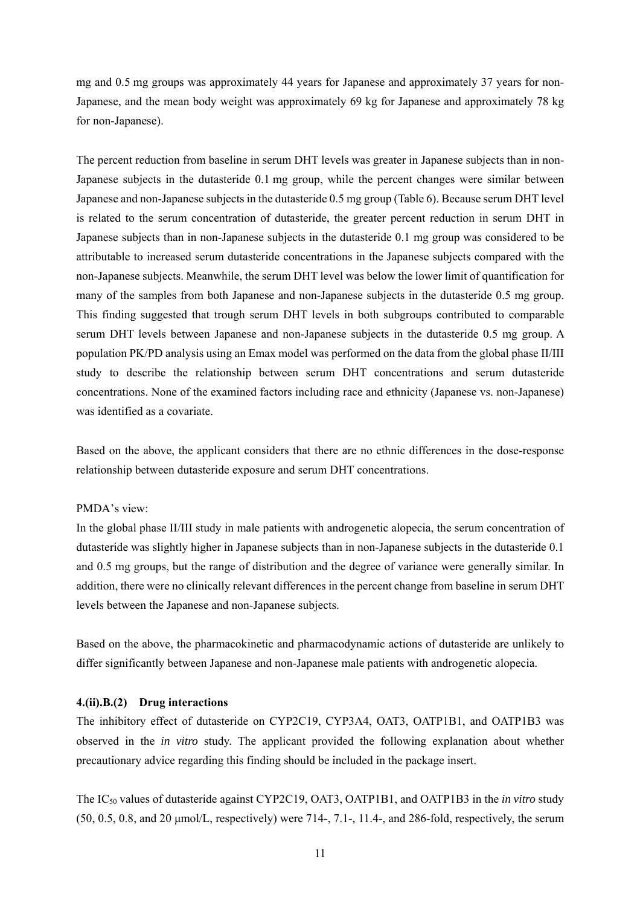mg and 0.5 mg groups was approximately 44 years for Japanese and approximately 37 years for non-Japanese, and the mean body weight was approximately 69 kg for Japanese and approximately 78 kg for non-Japanese).

The percent reduction from baseline in serum DHT levels was greater in Japanese subjects than in non-Japanese subjects in the dutasteride 0.1 mg group, while the percent changes were similar between Japanese and non-Japanese subjects in the dutasteride 0.5 mg group (Table 6). Because serum DHT level is related to the serum concentration of dutasteride, the greater percent reduction in serum DHT in Japanese subjects than in non-Japanese subjects in the dutasteride 0.1 mg group was considered to be attributable to increased serum dutasteride concentrations in the Japanese subjects compared with the non-Japanese subjects. Meanwhile, the serum DHT level was below the lower limit of quantification for many of the samples from both Japanese and non-Japanese subjects in the dutasteride 0.5 mg group. This finding suggested that trough serum DHT levels in both subgroups contributed to comparable serum DHT levels between Japanese and non-Japanese subjects in the dutasteride 0.5 mg group. A population PK/PD analysis using an Emax model was performed on the data from the global phase II/III study to describe the relationship between serum DHT concentrations and serum dutasteride concentrations. None of the examined factors including race and ethnicity (Japanese vs. non-Japanese) was identified as a covariate.

Based on the above, the applicant considers that there are no ethnic differences in the dose-response relationship between dutasteride exposure and serum DHT concentrations.

#### PMDA's view:

In the global phase II/III study in male patients with androgenetic alopecia, the serum concentration of dutasteride was slightly higher in Japanese subjects than in non-Japanese subjects in the dutasteride 0.1 and 0.5 mg groups, but the range of distribution and the degree of variance were generally similar. In addition, there were no clinically relevant differences in the percent change from baseline in serum DHT levels between the Japanese and non-Japanese subjects.

Based on the above, the pharmacokinetic and pharmacodynamic actions of dutasteride are unlikely to differ significantly between Japanese and non-Japanese male patients with androgenetic alopecia.

## **4.(ii).B.(2) Drug interactions**

The inhibitory effect of dutasteride on CYP2C19, CYP3A4, OAT3, OATP1B1, and OATP1B3 was observed in the *in vitro* study. The applicant provided the following explanation about whether precautionary advice regarding this finding should be included in the package insert.

The IC50 values of dutasteride against CYP2C19, OAT3, OATP1B1, and OATP1B3 in the *in vitro* study  $(50, 0.5, 0.8, \text{ and } 20 \text{ µmol/L}, \text{respectively})$  were  $714$ -,  $7.1$ -,  $11.4$ -, and  $286$ -fold, respectively, the serum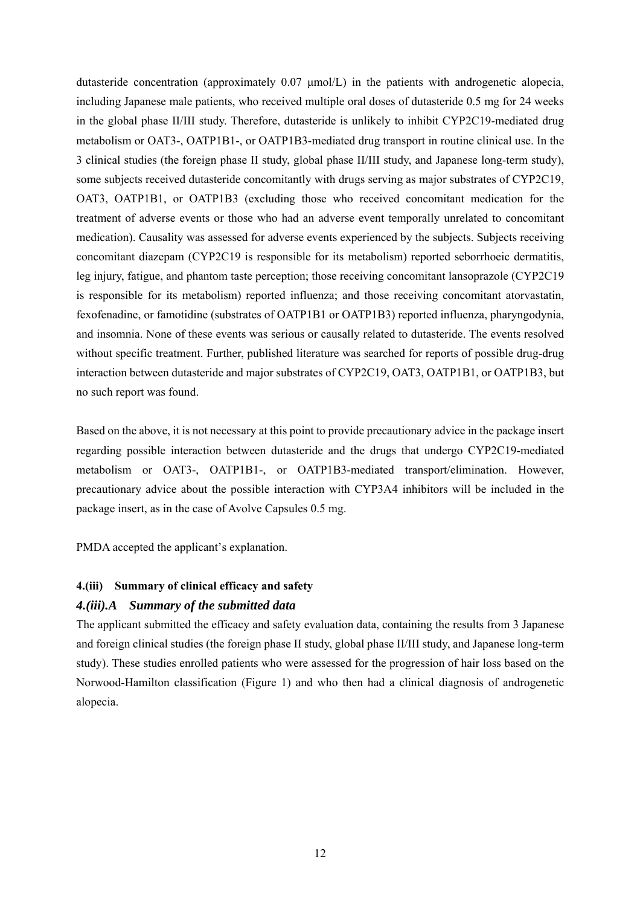dutasteride concentration (approximately 0.07 μmol/L) in the patients with androgenetic alopecia, including Japanese male patients, who received multiple oral doses of dutasteride 0.5 mg for 24 weeks in the global phase II/III study. Therefore, dutasteride is unlikely to inhibit CYP2C19-mediated drug metabolism or OAT3-, OATP1B1-, or OATP1B3-mediated drug transport in routine clinical use. In the 3 clinical studies (the foreign phase II study, global phase II/III study, and Japanese long-term study), some subjects received dutasteride concomitantly with drugs serving as major substrates of CYP2C19, OAT3, OATP1B1, or OATP1B3 (excluding those who received concomitant medication for the treatment of adverse events or those who had an adverse event temporally unrelated to concomitant medication). Causality was assessed for adverse events experienced by the subjects. Subjects receiving concomitant diazepam (CYP2C19 is responsible for its metabolism) reported seborrhoeic dermatitis, leg injury, fatigue, and phantom taste perception; those receiving concomitant lansoprazole (CYP2C19 is responsible for its metabolism) reported influenza; and those receiving concomitant atorvastatin, fexofenadine, or famotidine (substrates of OATP1B1 or OATP1B3) reported influenza, pharyngodynia, and insomnia. None of these events was serious or causally related to dutasteride. The events resolved without specific treatment. Further, published literature was searched for reports of possible drug-drug interaction between dutasteride and major substrates of CYP2C19, OAT3, OATP1B1, or OATP1B3, but no such report was found.

Based on the above, it is not necessary at this point to provide precautionary advice in the package insert regarding possible interaction between dutasteride and the drugs that undergo CYP2C19-mediated metabolism or OAT3-, OATP1B1-, or OATP1B3-mediated transport/elimination. However, precautionary advice about the possible interaction with CYP3A4 inhibitors will be included in the package insert, as in the case of Avolve Capsules 0.5 mg.

PMDA accepted the applicant's explanation.

## **4.(iii) Summary of clinical efficacy and safety**

# *4.(iii).A Summary of the submitted data*

The applicant submitted the efficacy and safety evaluation data, containing the results from 3 Japanese and foreign clinical studies (the foreign phase II study, global phase II/III study, and Japanese long-term study). These studies enrolled patients who were assessed for the progression of hair loss based on the Norwood-Hamilton classification (Figure 1) and who then had a clinical diagnosis of androgenetic alopecia.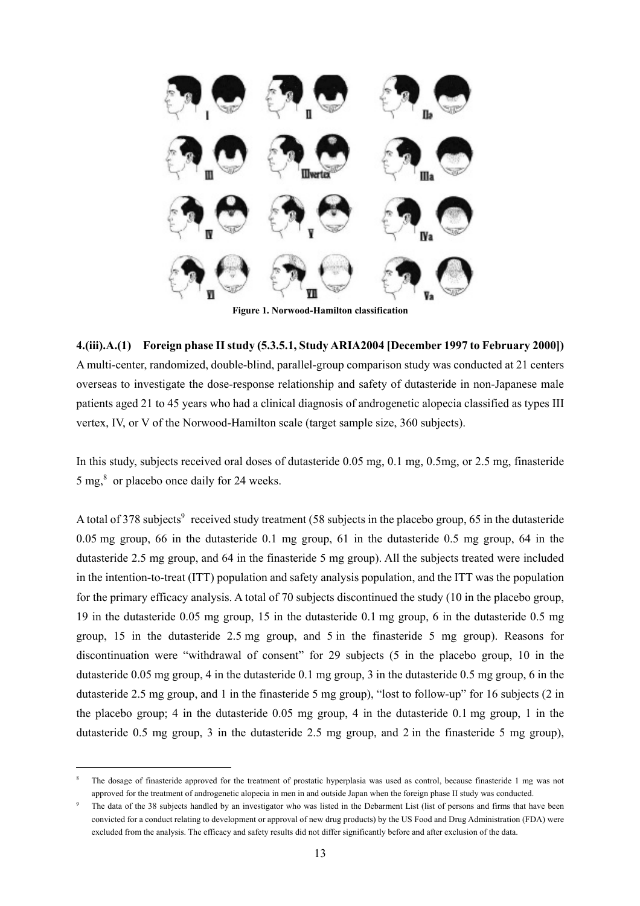

**Figure 1. Norwood-Hamilton classification** 

**4.(iii).A.(1) Foreign phase II study (5.3.5.1, Study ARIA2004 [December 1997 to February 2000])**  A multi-center, randomized, double-blind, parallel-group comparison study was conducted at 21 centers overseas to investigate the dose-response relationship and safety of dutasteride in non-Japanese male patients aged 21 to 45 years who had a clinical diagnosis of androgenetic alopecia classified as types III vertex, IV, or V of the Norwood-Hamilton scale (target sample size, 360 subjects).

In this study, subjects received oral doses of dutasteride 0.05 mg, 0.1 mg, 0.5mg, or 2.5 mg, finasteride  $5 \text{ mg}$ ,  $\text{s}$  or placebo once daily for 24 weeks.

A total of 378 subjects<sup>9</sup> received study treatment (58 subjects in the placebo group, 65 in the dutasteride 0.05 mg group, 66 in the dutasteride 0.1 mg group, 61 in the dutasteride 0.5 mg group, 64 in the dutasteride 2.5 mg group, and 64 in the finasteride 5 mg group). All the subjects treated were included in the intention-to-treat (ITT) population and safety analysis population, and the ITT was the population for the primary efficacy analysis. A total of 70 subjects discontinued the study (10 in the placebo group, 19 in the dutasteride 0.05 mg group, 15 in the dutasteride 0.1 mg group, 6 in the dutasteride 0.5 mg group, 15 in the dutasteride 2.5 mg group, and 5 in the finasteride 5 mg group). Reasons for discontinuation were "withdrawal of consent" for 29 subjects (5 in the placebo group, 10 in the dutasteride 0.05 mg group, 4 in the dutasteride 0.1 mg group, 3 in the dutasteride 0.5 mg group, 6 in the dutasteride 2.5 mg group, and 1 in the finasteride 5 mg group), "lost to follow-up" for 16 subjects (2 in the placebo group; 4 in the dutasteride 0.05 mg group, 4 in the dutasteride 0.1 mg group, 1 in the dutasteride 0.5 mg group, 3 in the dutasteride 2.5 mg group, and 2 in the finasteride 5 mg group),

l

<sup>8</sup> The dosage of finasteride approved for the treatment of prostatic hyperplasia was used as control, because finasteride 1 mg was not approved for the treatment of androgenetic alopecia in men in and outside Japan when the foreign phase II study was conducted.

<sup>9</sup> The data of the 38 subjects handled by an investigator who was listed in the Debarment List (list of persons and firms that have been convicted for a conduct relating to development or approval of new drug products) by the US Food and Drug Administration (FDA) were excluded from the analysis. The efficacy and safety results did not differ significantly before and after exclusion of the data.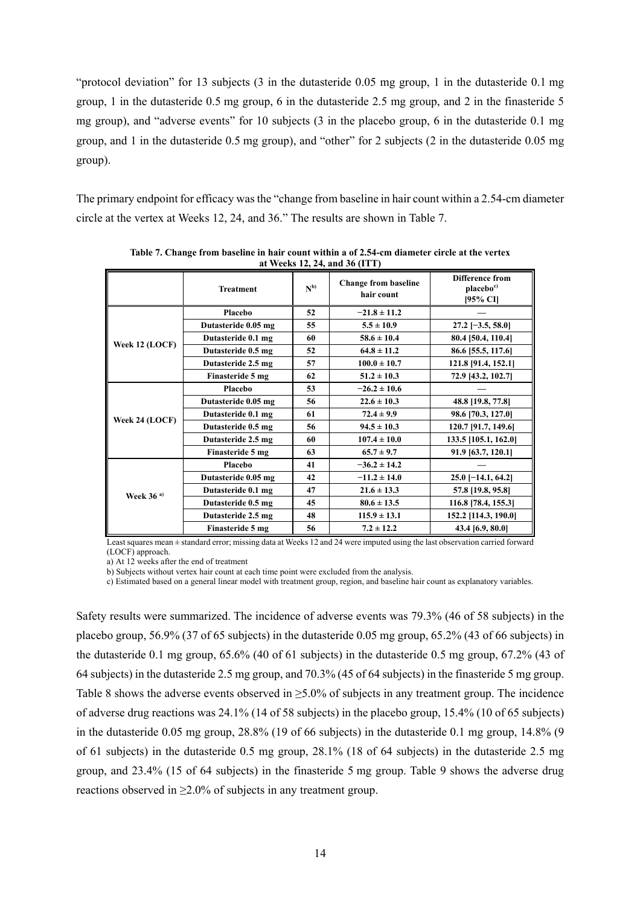"protocol deviation" for 13 subjects (3 in the dutasteride 0.05 mg group, 1 in the dutasteride 0.1 mg group, 1 in the dutasteride 0.5 mg group, 6 in the dutasteride 2.5 mg group, and 2 in the finasteride 5 mg group), and "adverse events" for 10 subjects (3 in the placebo group, 6 in the dutasteride 0.1 mg group, and 1 in the dutasteride 0.5 mg group), and "other" for 2 subjects (2 in the dutasteride 0.05 mg group).

The primary endpoint for efficacy was the "change from baseline in hair count within a 2.54-cm diameter circle at the vertex at Weeks 12, 24, and 36." The results are shown in Table 7.

| at weeks 12, 27, and 50 (111) |                     |          |                                           |                                                             |  |  |  |
|-------------------------------|---------------------|----------|-------------------------------------------|-------------------------------------------------------------|--|--|--|
|                               | <b>Treatment</b>    | $N^{b)}$ | <b>Change from baseline</b><br>hair count | <b>Difference from</b><br>placebo <sup>c)</sup><br>[95% CI] |  |  |  |
|                               | Placebo             | 52       | $-21.8 \pm 11.2$                          |                                                             |  |  |  |
|                               | Dutasteride 0.05 mg | 55       | $5.5 \pm 10.9$                            | $27.2$ [-3.5, 58.0]                                         |  |  |  |
|                               | Dutasteride 0.1 mg  | 60       | $58.6 \pm 10.4$                           | 80.4 [50.4, 110.4]                                          |  |  |  |
| Week 12 (LOCF)                | Dutasteride 0.5 mg  | 52       | $64.8 \pm 11.2$                           | 86.6 [55.5, 117.6]                                          |  |  |  |
|                               | Dutasteride 2.5 mg  | 57       | $100.0 \pm 10.7$                          | 121.8 [91.4, 152.1]                                         |  |  |  |
|                               | Finasteride 5 mg    | 62       | $51.2 \pm 10.3$                           | 72.9 [43.2, 102.7]                                          |  |  |  |
|                               | Placebo             | 53       | $-26.2 \pm 10.6$                          |                                                             |  |  |  |
|                               | Dutasteride 0.05 mg | 56       | $22.6 \pm 10.3$                           | 48.8 [19.8, 77.8]                                           |  |  |  |
|                               | Dutasteride 0.1 mg  | 61       | $72.4 \pm 9.9$                            | 98.6 [70.3, 127.0]                                          |  |  |  |
| Week 24 (LOCF)                | Dutasteride 0.5 mg  | 56       | $94.5 \pm 10.3$                           | 120.7 [91.7, 149.6]                                         |  |  |  |
|                               | Dutasteride 2.5 mg  | 60       | $107.4 \pm 10.0$                          | 133.5 [105.1, 162.0]                                        |  |  |  |
|                               | Finasteride 5 mg    | 63       | $65.7 \pm 9.7$                            | 91.9 [63.7, 120.1]                                          |  |  |  |
|                               | Placebo             | 41       | $-36.2 \pm 14.2$                          |                                                             |  |  |  |
|                               | Dutasteride 0.05 mg | 42       | $-11.2 \pm 14.0$                          | $25.0$ [-14.1, 64.2]                                        |  |  |  |
| Week $36a$                    | Dutasteride 0.1 mg  | 47       | $21.6 \pm 13.3$                           | 57.8 [19.8, 95.8]                                           |  |  |  |
|                               | Dutasteride 0.5 mg  | 45       | $80.6 \pm 13.5$                           | 116.8 [78.4, 155.3]                                         |  |  |  |
|                               | Dutasteride 2.5 mg  | 48       | $115.9 \pm 13.1$                          | 152.2 [114.3, 190.0]                                        |  |  |  |
|                               | Finasteride 5 mg    | 56       | $7.2 \pm 12.2$                            | 43.4 [6.9, 80.0]                                            |  |  |  |

**Table 7. Change from baseline in hair count within a of 2.54-cm diameter circle at the vertex at Weeks 12, 24, and 36 (ITT)** 

Least squares mean  $\pm$  standard error; missing data at Weeks 12 and 24 were imputed using the last observation carried forward (LOCF) approach.

a) At 12 weeks after the end of treatment

b) Subjects without vertex hair count at each time point were excluded from the analysis.

c) Estimated based on a general linear model with treatment group, region, and baseline hair count as explanatory variables.

Safety results were summarized. The incidence of adverse events was 79.3% (46 of 58 subjects) in the placebo group, 56.9% (37 of 65 subjects) in the dutasteride 0.05 mg group, 65.2% (43 of 66 subjects) in the dutasteride 0.1 mg group, 65.6% (40 of 61 subjects) in the dutasteride 0.5 mg group, 67.2% (43 of 64 subjects) in the dutasteride 2.5 mg group, and 70.3% (45 of 64 subjects) in the finasteride 5 mg group. Table 8 shows the adverse events observed in ≥5.0% of subjects in any treatment group. The incidence of adverse drug reactions was 24.1% (14 of 58 subjects) in the placebo group, 15.4% (10 of 65 subjects) in the dutasteride 0.05 mg group, 28.8% (19 of 66 subjects) in the dutasteride 0.1 mg group, 14.8% (9 of 61 subjects) in the dutasteride 0.5 mg group, 28.1% (18 of 64 subjects) in the dutasteride 2.5 mg group, and 23.4% (15 of 64 subjects) in the finasteride 5 mg group. Table 9 shows the adverse drug reactions observed in  $\geq$ 2.0% of subjects in any treatment group.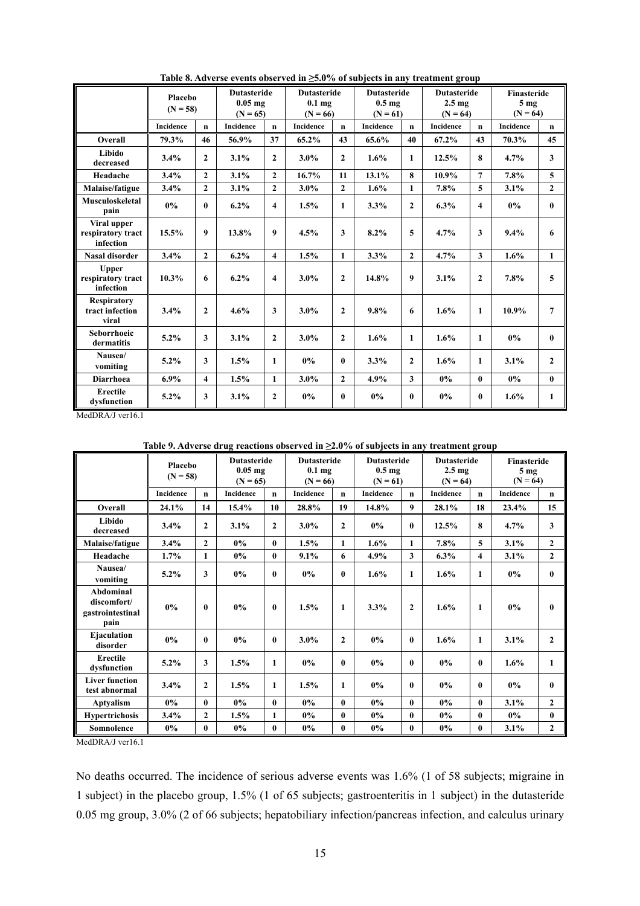|                                                | Placebo<br>$(N = 58)$ |                | <b>Dutasteride</b><br>$0.05$ mg<br>$(N = 65)$ |                         | <b>Dutasteride</b><br>0.1 <sub>mg</sub><br>$(N = 66)$ |              |           | <b>Dutasteride</b><br>0.5 <sub>mg</sub><br>$(N = 61)$ |           | <b>Dutasteride</b><br>2.5 <sub>mg</sub><br>$(N = 64)$ | Finasteride<br>5 <sub>mg</sub><br>$(N = 64)$ |                         |
|------------------------------------------------|-----------------------|----------------|-----------------------------------------------|-------------------------|-------------------------------------------------------|--------------|-----------|-------------------------------------------------------|-----------|-------------------------------------------------------|----------------------------------------------|-------------------------|
|                                                | Incidence             | $\mathbf{n}$   | Incidence                                     | $\mathbf{n}$            | Incidence                                             | $\mathbf{n}$ | Incidence | n                                                     | Incidence | $\mathbf{n}$                                          | Incidence                                    | $\mathbf n$             |
| Overall                                        | 79.3%                 | 46             | 56.9%                                         | 37                      | $65.2\%$                                              | 43           | 65.6%     | 40                                                    | $67.2\%$  | 43                                                    | 70.3%                                        | 45                      |
| Libido<br>decreased                            | 3.4%                  | $\mathbf{2}$   | 3.1%                                          | $\boldsymbol{2}$        | $3.0\%$                                               | $\mathbf{2}$ | 1.6%      | $\mathbf{1}$                                          | 12.5%     | 8                                                     | 4.7%                                         | $\overline{\mathbf{3}}$ |
| Headache                                       | 3.4%                  | $\mathbf{2}$   | 3.1%                                          | $\mathbf{2}$            | 16.7%                                                 | 11           | 13.1%     | 8                                                     | 10.9%     | $\overline{7}$                                        | 7.8%                                         | 5                       |
| Malaise/fatigue                                | 3.4%                  | $\mathbf{2}$   | 3.1%                                          | $\mathbf{2}$            | $3.0\%$                                               | $\mathbf{2}$ | 1.6%      | $\mathbf{1}$                                          | 7.8%      | 5                                                     | 3.1%                                         | $\overline{2}$          |
| Musculoskeletal<br>pain                        | 0%                    | $\bf{0}$       | 6.2%                                          | $\overline{\mathbf{4}}$ | 1.5%                                                  | $\mathbf{1}$ | 3.3%      | $\overline{2}$                                        | 6.3%      | $\overline{4}$                                        | $0\%$                                        | $\mathbf{0}$            |
| Viral upper<br>respiratory tract<br>infection  | 15.5%                 | 9              | 13.8%                                         | 9                       | 4.5%                                                  | 3            | 8.2%      | 5                                                     | 4.7%      | 3                                                     | 9.4%                                         | 6                       |
| <b>Nasal disorder</b>                          | 3.4%                  | $\overline{2}$ | 6.2%                                          | $\overline{\mathbf{4}}$ | 1.5%                                                  | $\mathbf{1}$ | 3.3%      | $\mathbf{2}$                                          | 4.7%      | $\overline{3}$                                        | 1.6%                                         | $\mathbf{1}$            |
| <b>Upper</b><br>respiratory tract<br>infection | 10.3%                 | 6              | 6.2%                                          | $\overline{\mathbf{4}}$ | $3.0\%$                                               | $\mathbf{2}$ | 14.8%     | 9                                                     | 3.1%      | $\mathbf{2}$                                          | 7.8%                                         | 5                       |
| <b>Respiratory</b><br>tract infection<br>viral | 3.4%                  | $\mathbf{2}$   | 4.6%                                          | 3                       | $3.0\%$                                               | $\mathbf{2}$ | 9.8%      | 6                                                     | 1.6%      | 1                                                     | 10.9%                                        | 7                       |
| <b>Seborrhoeic</b><br>dermatitis               | 5.2%                  | $\mathbf{3}$   | 3.1%                                          | $\mathbf{2}$            | 3.0%                                                  | $\mathbf{2}$ | 1.6%      | 1                                                     | 1.6%      | 1                                                     | $0\%$                                        | $\mathbf{0}$            |
| Nausea/<br>vomiting                            | 5.2%                  | 3              | 1.5%                                          | 1                       | $0\%$                                                 | $\bf{0}$     | 3.3%      | $\mathbf{2}$                                          | 1.6%      | 1                                                     | 3.1%                                         | $\mathbf{2}$            |
| <b>Diarrhoea</b>                               | 6.9%                  | 4              | 1.5%                                          | $\mathbf{1}$            | 3.0%                                                  | $\mathbf{2}$ | 4.9%      | 3                                                     | 0%        | $\bf{0}$                                              | $0\%$                                        | $\mathbf{0}$            |
| <b>Erectile</b><br>dysfunction                 | 5.2%                  | $\mathbf{3}$   | 3.1%                                          | $\boldsymbol{2}$        | 0%                                                    | $\bf{0}$     | $0\%$     | $\bf{0}$                                              | 0%        | $\mathbf{0}$                                          | 1.6%                                         | $\mathbf{1}$            |

**Table 8. Adverse events observed in ≥5.0% of subjects in any treatment group** 

MedDRA/J ver16.1

#### **Table 9. Adverse drug reactions observed in ≥2.0% of subjects in any treatment group**

|                                                             | Placebo<br>$(N = 58)$ |                | <b>Dutasteride</b><br>$0.05$ mg<br>$(N = 65)$ |              | <b>Dutasteride</b><br>$0.1$ mg<br>$(N = 66)$ |                | <b>Dutasteride</b><br>0.5 <sub>mg</sub><br>$(N = 61)$ |              | <b>Dutasteride</b><br>2.5 <sub>mg</sub><br>$(N = 64)$ |                         | Finasteride<br>5 <sub>mg</sub><br>$(N = 64)$ |                |
|-------------------------------------------------------------|-----------------------|----------------|-----------------------------------------------|--------------|----------------------------------------------|----------------|-------------------------------------------------------|--------------|-------------------------------------------------------|-------------------------|----------------------------------------------|----------------|
|                                                             | <b>Incidence</b>      | $\mathbf n$    | Incidence                                     | $\mathbf n$  | Incidence                                    | $\mathbf n$    | <b>Incidence</b>                                      | n            | <b>Incidence</b>                                      | $\mathbf n$             | <b>Incidence</b>                             | $\mathbf n$    |
| Overall                                                     | 24.1%                 | 14             | 15.4%                                         | 10           | 28.8%                                        | 19             | 14.8%                                                 | 9            | 28.1%                                                 | 18                      | 23.4%                                        | 15             |
| Libido<br>decreased                                         | 3.4%                  | $\overline{2}$ | 3.1%                                          | $\mathbf{2}$ | $3.0\%$                                      | $\mathbf{2}$   | $0\%$                                                 | $\bf{0}$     | 12.5%                                                 | 8                       | 4.7%                                         | 3              |
| Malaise/fatigue                                             | 3.4%                  | $\mathbf{2}$   | 0%                                            | $\bf{0}$     | 1.5%                                         | $\mathbf{1}$   | 1.6%                                                  | $\mathbf{1}$ | 7.8%                                                  | 5                       | $3.1\%$                                      | $\mathbf{2}$   |
| Headache                                                    | 1.7%                  | $\mathbf{1}$   | $0\%$                                         | $\mathbf{0}$ | 9.1%                                         | 6              | 4.9%                                                  | 3            | 6.3%                                                  | $\overline{\mathbf{4}}$ | 3.1%                                         | $\mathbf{2}$   |
| Nausea/<br>vomiting                                         | $5.2\%$               | 3              | 0%                                            | $\bf{0}$     | $0\%$                                        | $\bf{0}$       | $1.6\%$                                               | 1            | $1.6\%$                                               | 1                       | $0\%$                                        | $\bf{0}$       |
| <b>Abdominal</b><br>discomfort/<br>gastrointestinal<br>pain | $0\%$                 | $\mathbf{0}$   | 0%                                            | $\mathbf{0}$ | 1.5%                                         | 1              | 3.3%                                                  | $\mathbf{2}$ | 1.6%                                                  | $\mathbf{1}$            | $0\%$                                        | $\mathbf{0}$   |
| Ejaculation<br>disorder                                     | $0\%$                 | $\bf{0}$       | $0\%$                                         | $\bf{0}$     | $3.0\%$                                      | $\overline{2}$ | $0\%$                                                 | $\bf{0}$     | 1.6%                                                  | 1                       | 3.1%                                         | $\mathbf{2}$   |
| Erectile<br>dysfunction                                     | 5.2%                  | 3              | 1.5%                                          | 1            | $0\%$                                        | 0              | $0\%$                                                 | $\bf{0}$     | $0\%$                                                 | $\mathbf{0}$            | $1.6\%$                                      | 1              |
| <b>Liver function</b><br>test abnormal                      | 3.4%                  | $\overline{2}$ | 1.5%                                          | $\mathbf{1}$ | 1.5%                                         | 1              | $0\%$                                                 | $\bf{0}$     | 0%                                                    | $\bf{0}$                | $0\%$                                        | $\bf{0}$       |
| Aptyalism                                                   | $0\%$                 | $\bf{0}$       | $0\%$                                         | $\mathbf{0}$ | $0\%$                                        | $\bf{0}$       | $0\%$                                                 | $\bf{0}$     | $0\%$                                                 | $\mathbf{0}$            | 3.1%                                         | $\overline{2}$ |
| <b>Hypertrichosis</b>                                       | 3.4%                  | $\overline{2}$ | 1.5%                                          | $\mathbf{1}$ | 0%                                           | $\mathbf{0}$   | $0\%$                                                 | $\bf{0}$     | $0\%$                                                 | $\bf{0}$                | 0%                                           | $\bf{0}$       |
| Somnolence                                                  | $0\%$                 | $\bf{0}$       | $0\%$                                         | $\bf{0}$     | $0\%$                                        | $\bf{0}$       | $0\%$                                                 | 0            | $0\%$                                                 | $\mathbf{0}$            | $3.1\%$                                      | $\mathbf{2}$   |

MedDRA/J ver16.1

No deaths occurred. The incidence of serious adverse events was 1.6% (1 of 58 subjects; migraine in 1 subject) in the placebo group, 1.5% (1 of 65 subjects; gastroenteritis in 1 subject) in the dutasteride 0.05 mg group, 3.0% (2 of 66 subjects; hepatobiliary infection/pancreas infection, and calculus urinary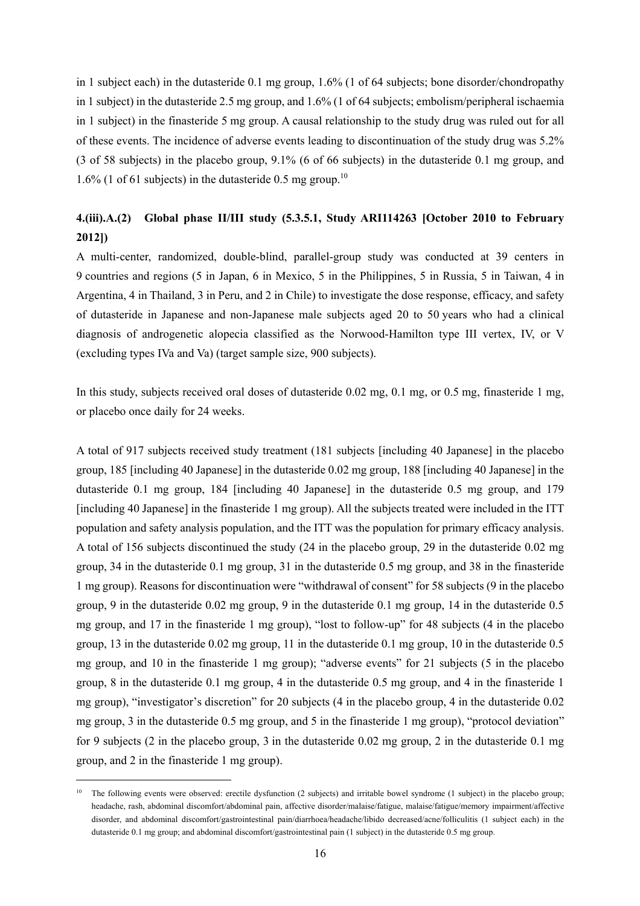in 1 subject each) in the dutasteride 0.1 mg group, 1.6% (1 of 64 subjects; bone disorder/chondropathy in 1 subject) in the dutasteride 2.5 mg group, and 1.6% (1 of 64 subjects; embolism/peripheral ischaemia in 1 subject) in the finasteride 5 mg group. A causal relationship to the study drug was ruled out for all of these events. The incidence of adverse events leading to discontinuation of the study drug was 5.2% (3 of 58 subjects) in the placebo group, 9.1% (6 of 66 subjects) in the dutasteride 0.1 mg group, and 1.6% (1 of 61 subjects) in the dutasteride 0.5 mg group.<sup>10</sup>

# **4.(iii).A.(2) Global phase II/III study (5.3.5.1, Study ARI114263 [October 2010 to February 2012])**

A multi-center, randomized, double-blind, parallel-group study was conducted at 39 centers in 9 countries and regions (5 in Japan, 6 in Mexico, 5 in the Philippines, 5 in Russia, 5 in Taiwan, 4 in Argentina, 4 in Thailand, 3 in Peru, and 2 in Chile) to investigate the dose response, efficacy, and safety of dutasteride in Japanese and non-Japanese male subjects aged 20 to 50 years who had a clinical diagnosis of androgenetic alopecia classified as the Norwood-Hamilton type III vertex, IV, or V (excluding types IVa and Va) (target sample size, 900 subjects).

In this study, subjects received oral doses of dutasteride 0.02 mg, 0.1 mg, or 0.5 mg, finasteride 1 mg, or placebo once daily for 24 weeks.

A total of 917 subjects received study treatment (181 subjects [including 40 Japanese] in the placebo group, 185 [including 40 Japanese] in the dutasteride 0.02 mg group, 188 [including 40 Japanese] in the dutasteride 0.1 mg group, 184 [including 40 Japanese] in the dutasteride 0.5 mg group, and 179 [including 40 Japanese] in the finasteride 1 mg group). All the subjects treated were included in the ITT population and safety analysis population, and the ITT was the population for primary efficacy analysis. A total of 156 subjects discontinued the study (24 in the placebo group, 29 in the dutasteride 0.02 mg group, 34 in the dutasteride 0.1 mg group, 31 in the dutasteride 0.5 mg group, and 38 in the finasteride 1 mg group). Reasons for discontinuation were "withdrawal of consent" for 58 subjects (9 in the placebo group, 9 in the dutasteride 0.02 mg group, 9 in the dutasteride 0.1 mg group, 14 in the dutasteride 0.5 mg group, and 17 in the finasteride 1 mg group), "lost to follow-up" for 48 subjects (4 in the placebo group, 13 in the dutasteride 0.02 mg group, 11 in the dutasteride 0.1 mg group, 10 in the dutasteride 0.5 mg group, and 10 in the finasteride 1 mg group); "adverse events" for 21 subjects (5 in the placebo group, 8 in the dutasteride 0.1 mg group, 4 in the dutasteride 0.5 mg group, and 4 in the finasteride 1 mg group), "investigator's discretion" for 20 subjects (4 in the placebo group, 4 in the dutasteride 0.02 mg group, 3 in the dutasteride 0.5 mg group, and 5 in the finasteride 1 mg group), "protocol deviation" for 9 subjects (2 in the placebo group, 3 in the dutasteride 0.02 mg group, 2 in the dutasteride 0.1 mg group, and 2 in the finasteride 1 mg group).

l

<sup>&</sup>lt;sup>10</sup> The following events were observed: erectile dysfunction (2 subjects) and irritable bowel syndrome (1 subject) in the placebo group; headache, rash, abdominal discomfort/abdominal pain, affective disorder/malaise/fatigue, malaise/fatigue/memory impairment/affective disorder, and abdominal discomfort/gastrointestinal pain/diarrhoea/headache/libido decreased/acne/folliculitis (1 subject each) in the dutasteride 0.1 mg group; and abdominal discomfort/gastrointestinal pain (1 subject) in the dutasteride 0.5 mg group.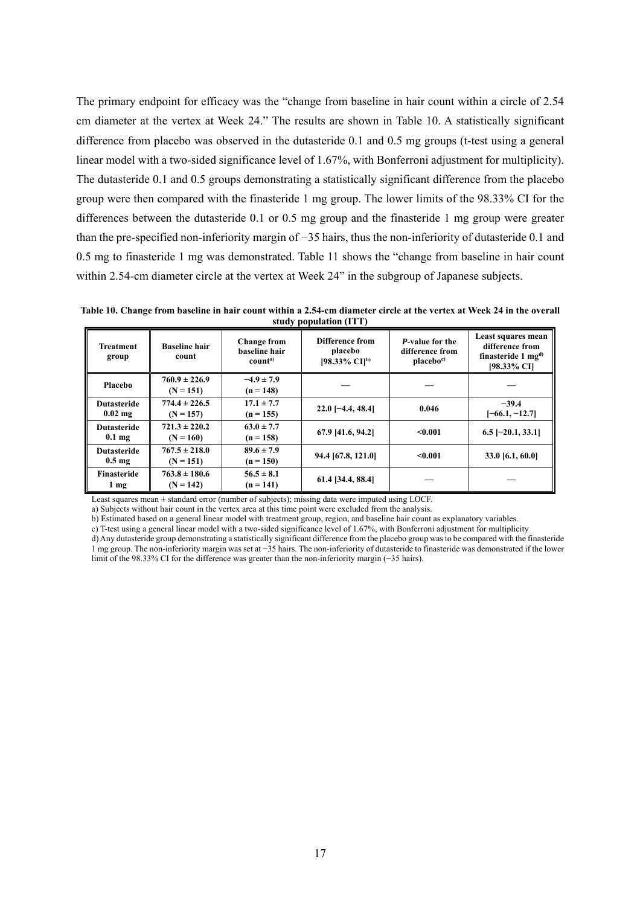The primary endpoint for efficacy was the "change from baseline in hair count within a circle of 2.54 cm diameter at the vertex at Week 24." The results are shown in Table 10. A statistically significant difference from placebo was observed in the dutasteride 0.1 and 0.5 mg groups (t-test using a general linear model with a two-sided significance level of 1.67%, with Bonferroni adjustment for multiplicity). The dutasteride 0.1 and 0.5 groups demonstrating a statistically significant difference from the placebo group were then compared with the finasteride 1 mg group. The lower limits of the 98.33% CI for the differences between the dutasteride 0.1 or 0.5 mg group and the finasteride 1 mg group were greater than the pre-specified non-inferiority margin of −35 hairs, thus the non-inferiority of dutasteride 0.1 and 0.5 mg to finasteride 1 mg was demonstrated. Table 11 shows the "change from baseline in hair count within 2.54-cm diameter circle at the vertex at Week 24" in the subgroup of Japanese subjects.

**Table 10. Change from baseline in hair count within a 2.54-cm diameter circle at the vertex at Week 24 in the overall study population (ITT)** 

| <b>Treatment</b><br>group              | <b>Baseline hair</b><br>count    | <b>Change from</b><br>baseline hair<br>count <sup>a)</sup> | Difference from<br>placebo<br>[98.33% CI] <sup>b)</sup> | P-value for the<br>difference from<br>placebo <sup>c</sup> | Least squares mean<br>difference from<br>finasteride 1 $mg^{d}$<br>[98.33% CI] |
|----------------------------------------|----------------------------------|------------------------------------------------------------|---------------------------------------------------------|------------------------------------------------------------|--------------------------------------------------------------------------------|
| Placebo                                | $760.9 \pm 226.9$<br>$(N = 151)$ | $-4.9 \pm 7.9$<br>$(n = 148)$                              |                                                         |                                                            |                                                                                |
| <b>Dutasteride</b><br>$0.02$ mg        | $774.4 \pm 226.5$<br>$(N = 157)$ | $17.1 \pm 7.7$<br>$(n = 155)$                              | $22.0$ [-4.4, 48.4]                                     | 0.046                                                      | $-39.4$<br>$[-66.1, -12.7]$                                                    |
| <b>Dutasteride</b><br>$0.1 \text{ mg}$ | $721.3 \pm 220.2$<br>$(N = 160)$ | $63.0 \pm 7.7$<br>$(n = 158)$                              | 67.9 [41.6, 94.2]                                       | < 0.001                                                    | $6.5$ [-20.1, 33.1]                                                            |
| <b>Dutasteride</b><br>$0.5 \text{ mg}$ | $767.5 \pm 218.0$<br>$(N = 151)$ | $89.6 \pm 7.9$<br>$(n = 150)$                              | 94.4 [67.8, 121.0]                                      | < 0.001                                                    | 33.0 [6.1, 60.0]                                                               |
| <b>Finasteride</b><br>$1 \text{ mg}$   | $763.8 \pm 180.6$<br>$(N = 142)$ | $56.5 \pm 8.1$<br>$(n = 141)$                              | 61.4 [34.4, 88.4]                                       |                                                            |                                                                                |

Least squares mean ± standard error (number of subjects); missing data were imputed using LOCF.

a) Subjects without hair count in the vertex area at this time point were excluded from the analysis.

b) Estimated based on a general linear model with treatment group, region, and baseline hair count as explanatory variables.

c) T-test using a general linear model with a two-sided significance level of 1.67%, with Bonferroni adjustment for multiplicity

d) Any dutasteride group demonstrating a statistically significant difference from the placebo group was to be compared with the finasteride 1 mg group. The non-inferiority margin was set at −35 hairs. The non-inferiority of dutasteride to finasteride was demonstrated if the lower limit of the 98.33% CI for the difference was greater than the non-inferiority margin (−35 hairs).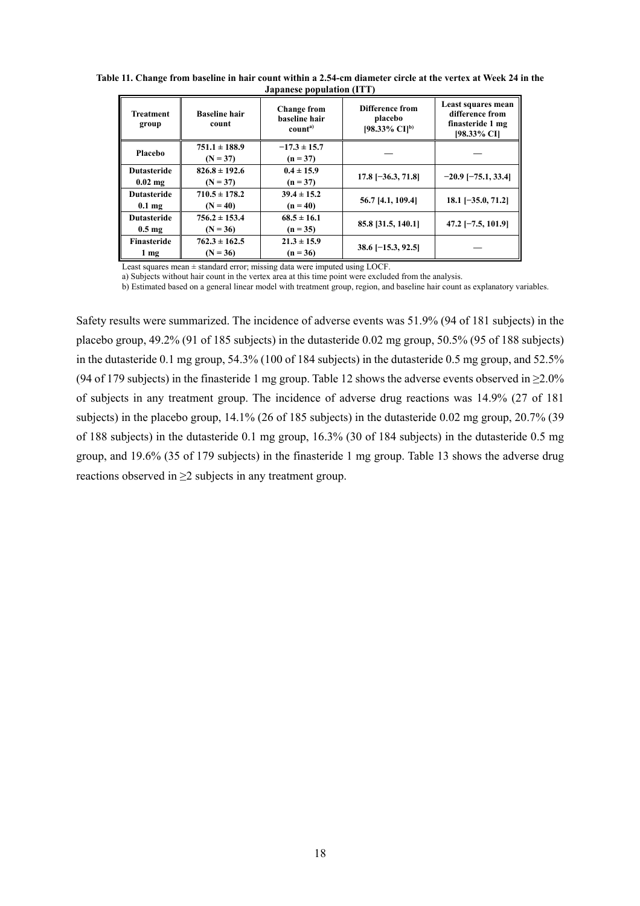**Table 11. Change from baseline in hair count within a 2.54-cm diameter circle at the vertex at Week 24 in the Japanese population (ITT)** 

| Treatment<br>group                     | <b>Baseline hair</b><br>count   | <b>Change from</b><br>baseline hair<br>count <sup>a)</sup> | Difference from<br>placebo<br>[98.33% CI] <sup>b)</sup> | Least squares mean<br>difference from<br>finasteride 1 mg<br>[98.33% CI] |
|----------------------------------------|---------------------------------|------------------------------------------------------------|---------------------------------------------------------|--------------------------------------------------------------------------|
| <b>Placebo</b>                         | $751.1 \pm 188.9$<br>$(N = 37)$ | $-17.3 \pm 15.7$<br>$(n = 37)$                             |                                                         |                                                                          |
| <b>Dutasteride</b><br>$0.02$ mg        | $826.8 \pm 192.6$<br>$(N = 37)$ | $0.4 \pm 15.9$<br>$(n = 37)$                               | $17.8$ [-36.3, 71.8]                                    | $-20.9$ [ $-75.1, 33.4$ ]                                                |
| <b>Dutasteride</b><br>$0.1 \text{ mg}$ | $710.5 \pm 178.2$<br>$(N = 40)$ | $39.4 \pm 15.2$<br>$(n = 40)$                              | 56.7 [4.1, 109.4]                                       | $18.1$ [-35.0, 71.2]                                                     |
| <b>Dutasteride</b><br>$0.5 \text{ mg}$ | $756.2 \pm 153.4$<br>$(N = 36)$ | $68.5 \pm 16.1$<br>$(n = 35)$                              | 85.8 [31.5, 140.1]                                      | $47.2$ [-7.5, 101.9]                                                     |
| Finasteride<br>$1 \text{ mg}$          | $762.3 \pm 162.5$<br>$(N = 36)$ | $21.3 \pm 15.9$<br>$(n = 36)$                              | $38.6$ [-15.3, 92.5]                                    |                                                                          |

Least squares mean ± standard error; missing data were imputed using LOCF.

a) Subjects without hair count in the vertex area at this time point were excluded from the analysis.

b) Estimated based on a general linear model with treatment group, region, and baseline hair count as explanatory variables.

Safety results were summarized. The incidence of adverse events was 51.9% (94 of 181 subjects) in the placebo group, 49.2% (91 of 185 subjects) in the dutasteride 0.02 mg group, 50.5% (95 of 188 subjects) in the dutasteride 0.1 mg group, 54.3% (100 of 184 subjects) in the dutasteride 0.5 mg group, and 52.5% (94 of 179 subjects) in the finasteride 1 mg group. Table 12 shows the adverse events observed in  $\geq 2.0\%$ of subjects in any treatment group. The incidence of adverse drug reactions was 14.9% (27 of 181 subjects) in the placebo group, 14.1% (26 of 185 subjects) in the dutasteride 0.02 mg group, 20.7% (39 of 188 subjects) in the dutasteride 0.1 mg group, 16.3% (30 of 184 subjects) in the dutasteride 0.5 mg group, and 19.6% (35 of 179 subjects) in the finasteride 1 mg group. Table 13 shows the adverse drug reactions observed in ≥2 subjects in any treatment group.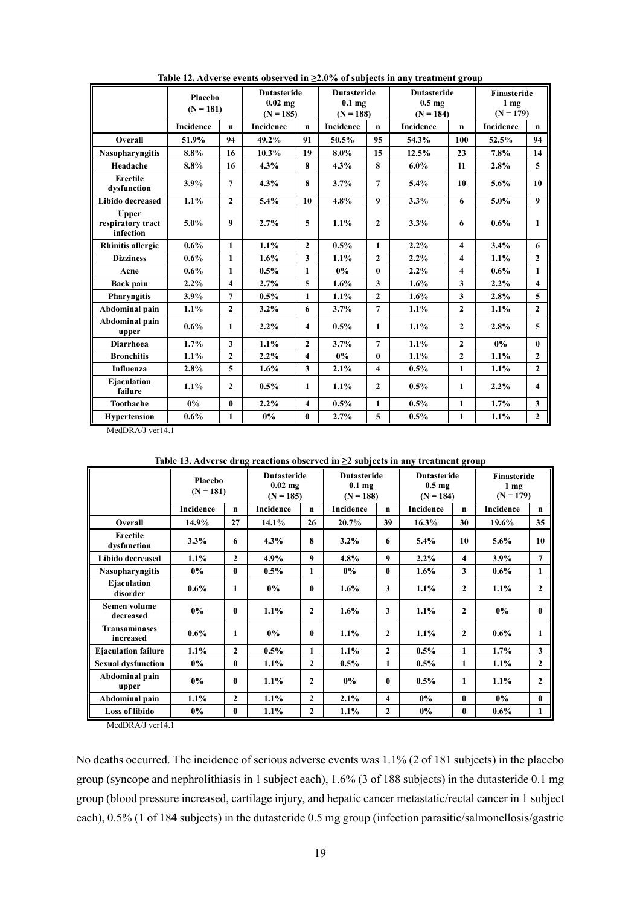|                                                | Placebo<br>$(N = 181)$ |                         |           | <b>Dutasteride</b><br>$0.02$ mg<br>$(N = 185)$ |           | <b>Dutasteride</b><br>0.1 <sub>mg</sub><br>$(N = 188)$ | <b>Dutasteride</b><br>0.5 <sub>mg</sub><br>$(N = 184)$ |                         | Finasteride<br>1 <sub>mg</sub><br>$(N = 179)$ |                         |
|------------------------------------------------|------------------------|-------------------------|-----------|------------------------------------------------|-----------|--------------------------------------------------------|--------------------------------------------------------|-------------------------|-----------------------------------------------|-------------------------|
|                                                | Incidence              | $\mathbf n$             | Incidence | $\mathbf n$                                    | Incidence | $\mathbf n$                                            | <b>Incidence</b>                                       | $\mathbf n$             | Incidence                                     | $\mathbf n$             |
| Overall                                        | 51.9%                  | 94                      | 49.2%     | 91                                             | 50.5%     | 95                                                     | 54.3%                                                  | 100                     | 52.5%                                         | 94                      |
| <b>Nasopharyngitis</b>                         | 8.8%                   | 16                      | 10.3%     | 19                                             | $8.0\%$   | 15                                                     | 12.5%                                                  | 23                      | 7.8%                                          | 14                      |
| Headache                                       | 8.8%                   | 16                      | 4.3%      | 8                                              | 4.3%      | 8                                                      | $6.0\%$                                                | 11                      | 2.8%                                          | 5                       |
| <b>Erectile</b><br>dysfunction                 | 3.9%                   | $\overline{7}$          | 4.3%      | 8                                              | 3.7%      | $\overline{7}$                                         | 5.4%                                                   | 10                      | 5.6%                                          | 10                      |
| <b>Libido decreased</b>                        | 1.1%                   | $\mathbf{2}$            | 5.4%      | 10                                             | 4.8%      | $\boldsymbol{9}$                                       | 3.3%                                                   | 6                       | 5.0%                                          | $\boldsymbol{9}$        |
| <b>Upper</b><br>respiratory tract<br>infection | $5.0\%$                | 9                       | 2.7%      | 5                                              | 1.1%      | $\mathbf{2}$                                           | 3.3%                                                   | 6                       | $0.6\%$                                       | 1                       |
| <b>Rhinitis allergic</b>                       | $0.6\%$                | $\mathbf{1}$            | 1.1%      | $\mathbf{2}$                                   | 0.5%      | $\mathbf{1}$                                           | 2.2%                                                   | $\overline{\mathbf{4}}$ | 3.4%                                          | 6                       |
| <b>Dizziness</b>                               | $0.6\%$                | $\mathbf{1}$            | 1.6%      | 3                                              | 1.1%      | $\mathbf{2}$                                           | 2.2%                                                   | $\overline{\mathbf{4}}$ | 1.1%                                          | $\mathbf{2}$            |
| Acne                                           | $0.6\%$                | 1                       | 0.5%      | $\mathbf{1}$                                   | $0\%$     | $\bf{0}$                                               | 2.2%                                                   | $\overline{4}$          | $0.6\%$                                       | $\mathbf{1}$            |
| <b>Back pain</b>                               | $2.2\%$                | $\overline{\mathbf{4}}$ | 2.7%      | 5                                              | $1.6\%$   | 3                                                      | 1.6%                                                   | $\overline{\mathbf{3}}$ | $2.2\%$                                       | $\overline{\mathbf{4}}$ |
| <b>Pharyngitis</b>                             | 3.9%                   | $\overline{7}$          | $0.5\%$   | $\mathbf{1}$                                   | 1.1%      | $\overline{2}$                                         | 1.6%                                                   | 3                       | 2.8%                                          | 5                       |
| Abdominal pain                                 | 1.1%                   | $\mathbf{2}$            | $3.2\%$   | 6                                              | 3.7%      | $\overline{7}$                                         | 1.1%                                                   | $\mathbf{2}$            | 1.1%                                          | $\mathbf{2}$            |
| Abdominal pain<br>upper                        | $0.6\%$                | $\mathbf{1}$            | $2.2\%$   | $\overline{\mathbf{4}}$                        | 0.5%      | 1                                                      | 1.1%                                                   | $\overline{2}$          | 2.8%                                          | 5                       |
| <b>Diarrhoea</b>                               | 1.7%                   | $\mathbf{3}$            | 1.1%      | $\mathbf{2}$                                   | 3.7%      | $\overline{7}$                                         | 1.1%                                                   | $\overline{2}$          | $0\%$                                         | $\mathbf{0}$            |
| <b>Bronchitis</b>                              | 1.1%                   | $\mathbf{2}$            | 2.2%      | $\overline{\mathbf{4}}$                        | $0\%$     | $\mathbf{0}$                                           | 1.1%                                                   | $\mathbf{2}$            | 1.1%                                          | $\mathbf{2}$            |
| Influenza                                      | 2.8%                   | 5                       | 1.6%      | 3                                              | 2.1%      | $\overline{\mathbf{4}}$                                | 0.5%                                                   | $\mathbf{1}$            | 1.1%                                          | $\mathbf{2}$            |
| Ejaculation<br>failure                         | 1.1%                   | $\mathbf{2}$            | $0.5\%$   | $\mathbf{1}$                                   | 1.1%      | $\overline{2}$                                         | 0.5%                                                   | 1                       | 2.2%                                          | $\overline{\mathbf{4}}$ |
| Toothache                                      | $0\%$                  | $\bf{0}$                | 2.2%      | $\overline{\mathbf{4}}$                        | $0.5\%$   | 1                                                      | 0.5%                                                   | $\mathbf{1}$            | 1.7%                                          | 3                       |
| <b>Hypertension</b>                            | $0.6\%$                | $\mathbf{1}$            | $0\%$     | $\bf{0}$                                       | 2.7%      | 5                                                      | 0.5%                                                   | $\mathbf{1}$            | 1.1%                                          | $\mathbf{2}$            |

**Table 12. Adverse events observed in ≥2.0% of subjects in any treatment group** 

MedDRA/J ver14.1

|                                   | Placebo<br>$(N = 181)$ |                | <b>Dutasteride</b><br>$0.02$ mg<br>$(N = 185)$ |              | <b>Dutasteride</b><br>$0.1$ mg<br>$(N = 188)$ |                         | <b>Dutasteride</b><br>0.5 <sub>mg</sub><br>$(N = 184)$ |                         | <b>Finasteride</b><br>1 <sub>mg</sub><br>$(N = 179)$ |                |
|-----------------------------------|------------------------|----------------|------------------------------------------------|--------------|-----------------------------------------------|-------------------------|--------------------------------------------------------|-------------------------|------------------------------------------------------|----------------|
|                                   | Incidence              | $\mathbf n$    | <b>Incidence</b>                               | $\mathbf n$  | <b>Incidence</b>                              | $\mathbf n$             | <b>Incidence</b>                                       | $\mathbf n$             | <b>Incidence</b>                                     | $\mathbf n$    |
| Overall                           | 14.9%                  | 27             | 14.1%                                          | 26           | 20.7%                                         | 39                      | $16.3\%$                                               | 30                      | $19.6\%$                                             | 35             |
| <b>Erectile</b><br>dysfunction    | 3.3%                   | 6              | 4.3%                                           | 8            | $3.2\%$                                       | 6                       | 5.4%                                                   | 10                      | 5.6%                                                 | 10             |
| Libido decreased                  | 1.1%                   | $\overline{2}$ | $4.9\%$                                        | 9            | 4.8%                                          | 9                       | 2.2%                                                   | $\overline{\mathbf{4}}$ | 3.9%                                                 | $\overline{7}$ |
| <b>Nasopharyngitis</b>            | $0\%$                  | $\bf{0}$       | $0.5\%$                                        | 1            | $0\%$                                         | $\bf{0}$                | 1.6%                                                   | 3                       | $0.6\%$                                              | 1              |
| Ejaculation<br>disorder           | $0.6\%$                | 1              | $0\%$                                          | 0            | $1.6\%$                                       | 3                       | 1.1%                                                   | $\mathbf{2}$            | 1.1%                                                 | $\mathbf{2}$   |
| Semen volume<br>decreased         | $0\%$                  | 0              | 1.1%                                           | $\mathbf{2}$ | 1.6%                                          | 3                       | 1.1%                                                   | $\mathbf{2}$            | $0\%$                                                | $\mathbf{0}$   |
| <b>Transaminases</b><br>increased | $0.6\%$                | 1              | $0\%$                                          | 0            | $1.1\%$                                       | $\mathbf{2}$            | 1.1%                                                   | $\mathbf{2}$            | $0.6\%$                                              | 1              |
| <b>Ejaculation failure</b>        | 1.1%                   | $\mathbf{2}$   | $0.5\%$                                        | 1            | $1.1\%$                                       | $\overline{2}$          | $0.5\%$                                                | 1                       | 1.7%                                                 | 3              |
| <b>Sexual dysfunction</b>         | $0\%$                  | $\mathbf{0}$   | $1.1\%$                                        | $\mathbf{2}$ | $0.5\%$                                       | 1                       | 0.5%                                                   | 1                       | 1.1%                                                 | $\mathbf{2}$   |
| Abdominal pain<br>upper           | $0\%$                  | 0              | $1.1\%$                                        | $\mathbf{2}$ | $0\%$                                         | $\mathbf{0}$            | $0.5\%$                                                | 1                       | $1.1\%$                                              | $\mathbf{2}$   |
| Abdominal pain                    | 1.1%                   | $\mathbf{2}$   | $1.1\%$                                        | $\mathbf{2}$ | 2.1%                                          | $\overline{\mathbf{4}}$ | $0\%$                                                  | $\mathbf{0}$            | $0\%$                                                | $\mathbf{0}$   |
| <b>Loss of libido</b>             | $0\%$                  | $\bf{0}$       | 1.1%                                           | $\mathbf{2}$ | 1.1%                                          | $\overline{2}$          | $0\%$                                                  | $\bf{0}$                | $0.6\%$                                              | 1              |

**Table 13. Adverse drug reactions observed in ≥2 subjects in any treatment group** 

MedDRA/J ver14.1

No deaths occurred. The incidence of serious adverse events was 1.1% (2 of 181 subjects) in the placebo group (syncope and nephrolithiasis in 1 subject each), 1.6% (3 of 188 subjects) in the dutasteride 0.1 mg group (blood pressure increased, cartilage injury, and hepatic cancer metastatic/rectal cancer in 1 subject each), 0.5% (1 of 184 subjects) in the dutasteride 0.5 mg group (infection parasitic/salmonellosis/gastric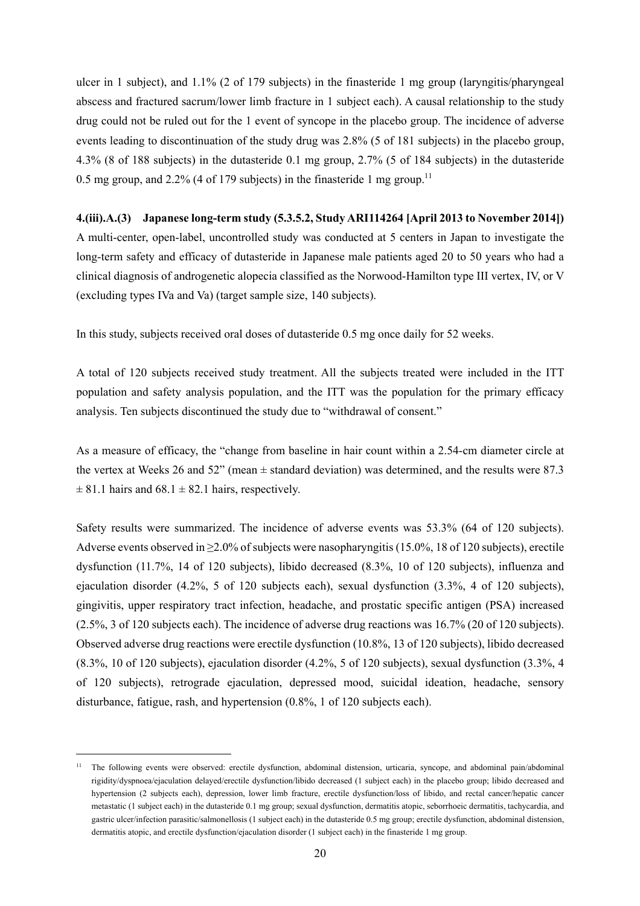ulcer in 1 subject), and 1.1% (2 of 179 subjects) in the finasteride 1 mg group (laryngitis/pharyngeal abscess and fractured sacrum/lower limb fracture in 1 subject each). A causal relationship to the study drug could not be ruled out for the 1 event of syncope in the placebo group. The incidence of adverse events leading to discontinuation of the study drug was 2.8% (5 of 181 subjects) in the placebo group, 4.3% (8 of 188 subjects) in the dutasteride 0.1 mg group, 2.7% (5 of 184 subjects) in the dutasteride 0.5 mg group, and 2.2% (4 of 179 subjects) in the finasteride 1 mg group.<sup>11</sup>

### **4.(iii).A.(3) Japanese long-term study (5.3.5.2, Study ARI114264 [April 2013 to November 2014])**

A multi-center, open-label, uncontrolled study was conducted at 5 centers in Japan to investigate the long-term safety and efficacy of dutasteride in Japanese male patients aged 20 to 50 years who had a clinical diagnosis of androgenetic alopecia classified as the Norwood-Hamilton type III vertex, IV, or V (excluding types IVa and Va) (target sample size, 140 subjects).

In this study, subjects received oral doses of dutasteride 0.5 mg once daily for 52 weeks.

A total of 120 subjects received study treatment. All the subjects treated were included in the ITT population and safety analysis population, and the ITT was the population for the primary efficacy analysis. Ten subjects discontinued the study due to "withdrawal of consent."

As a measure of efficacy, the "change from baseline in hair count within a 2.54-cm diameter circle at the vertex at Weeks 26 and 52" (mean ± standard deviation) was determined, and the results were 87.3  $\pm$  81.1 hairs and 68.1  $\pm$  82.1 hairs, respectively.

Safety results were summarized. The incidence of adverse events was 53.3% (64 of 120 subjects). Adverse events observed in ≥2.0% of subjects were nasopharyngitis (15.0%, 18 of 120 subjects), erectile dysfunction (11.7%, 14 of 120 subjects), libido decreased (8.3%, 10 of 120 subjects), influenza and ejaculation disorder (4.2%, 5 of 120 subjects each), sexual dysfunction (3.3%, 4 of 120 subjects), gingivitis, upper respiratory tract infection, headache, and prostatic specific antigen (PSA) increased (2.5%, 3 of 120 subjects each). The incidence of adverse drug reactions was 16.7% (20 of 120 subjects). Observed adverse drug reactions were erectile dysfunction (10.8%, 13 of 120 subjects), libido decreased (8.3%, 10 of 120 subjects), ejaculation disorder (4.2%, 5 of 120 subjects), sexual dysfunction (3.3%, 4 of 120 subjects), retrograde ejaculation, depressed mood, suicidal ideation, headache, sensory disturbance, fatigue, rash, and hypertension (0.8%, 1 of 120 subjects each).

l

<sup>&</sup>lt;sup>11</sup> The following events were observed: erectile dysfunction, abdominal distension, urticaria, syncope, and abdominal pain/abdominal rigidity/dyspnoea/ejaculation delayed/erectile dysfunction/libido decreased (1 subject each) in the placebo group; libido decreased and hypertension (2 subjects each), depression, lower limb fracture, erectile dysfunction/loss of libido, and rectal cancer/hepatic cancer metastatic (1 subject each) in the dutasteride 0.1 mg group; sexual dysfunction, dermatitis atopic, seborrhoeic dermatitis, tachycardia, and gastric ulcer/infection parasitic/salmonellosis (1 subject each) in the dutasteride 0.5 mg group; erectile dysfunction, abdominal distension, dermatitis atopic, and erectile dysfunction/ejaculation disorder (1 subject each) in the finasteride 1 mg group.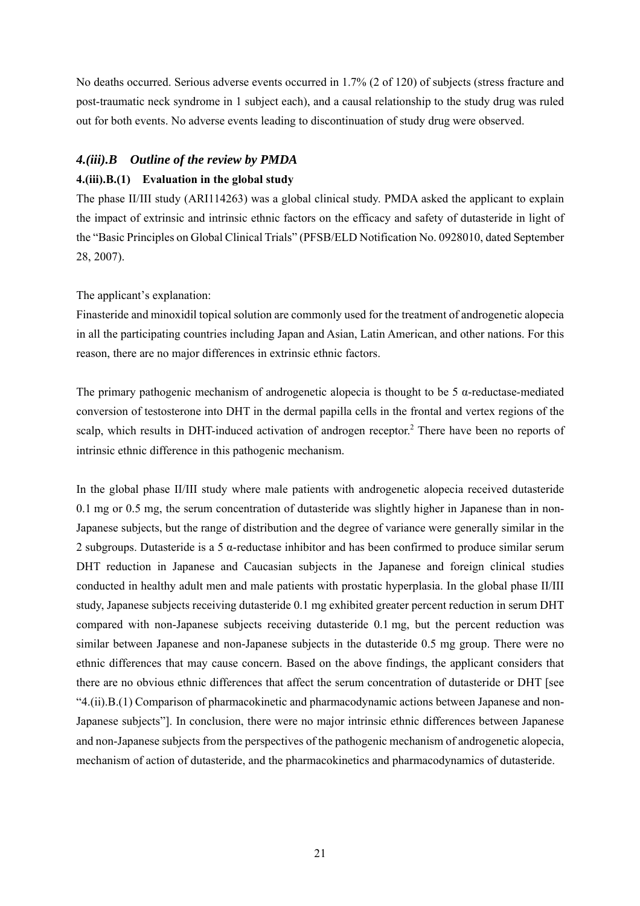No deaths occurred. Serious adverse events occurred in 1.7% (2 of 120) of subjects (stress fracture and post-traumatic neck syndrome in 1 subject each), and a causal relationship to the study drug was ruled out for both events. No adverse events leading to discontinuation of study drug were observed.

# *4.(iii).B Outline of the review by PMDA*  **4.(iii).B.(1) Evaluation in the global study**

The phase II/III study (ARI114263) was a global clinical study. PMDA asked the applicant to explain the impact of extrinsic and intrinsic ethnic factors on the efficacy and safety of dutasteride in light of the "Basic Principles on Global Clinical Trials" (PFSB/ELD Notification No. 0928010, dated September 28, 2007).

# The applicant's explanation:

Finasteride and minoxidil topical solution are commonly used for the treatment of androgenetic alopecia in all the participating countries including Japan and Asian, Latin American, and other nations. For this reason, there are no major differences in extrinsic ethnic factors.

The primary pathogenic mechanism of androgenetic alopecia is thought to be  $5 \alpha$ -reductase-mediated conversion of testosterone into DHT in the dermal papilla cells in the frontal and vertex regions of the scalp, which results in DHT-induced activation of androgen receptor.<sup>2</sup> There have been no reports of intrinsic ethnic difference in this pathogenic mechanism.

In the global phase II/III study where male patients with androgenetic alopecia received dutasteride 0.1 mg or 0.5 mg, the serum concentration of dutasteride was slightly higher in Japanese than in non-Japanese subjects, but the range of distribution and the degree of variance were generally similar in the 2 subgroups. Dutasteride is a 5 α-reductase inhibitor and has been confirmed to produce similar serum DHT reduction in Japanese and Caucasian subjects in the Japanese and foreign clinical studies conducted in healthy adult men and male patients with prostatic hyperplasia. In the global phase II/III study, Japanese subjects receiving dutasteride 0.1 mg exhibited greater percent reduction in serum DHT compared with non-Japanese subjects receiving dutasteride 0.1 mg, but the percent reduction was similar between Japanese and non-Japanese subjects in the dutasteride 0.5 mg group. There were no ethnic differences that may cause concern. Based on the above findings, the applicant considers that there are no obvious ethnic differences that affect the serum concentration of dutasteride or DHT [see "4.(ii).B.(1) Comparison of pharmacokinetic and pharmacodynamic actions between Japanese and non-Japanese subjects"]. In conclusion, there were no major intrinsic ethnic differences between Japanese and non-Japanese subjects from the perspectives of the pathogenic mechanism of androgenetic alopecia, mechanism of action of dutasteride, and the pharmacokinetics and pharmacodynamics of dutasteride.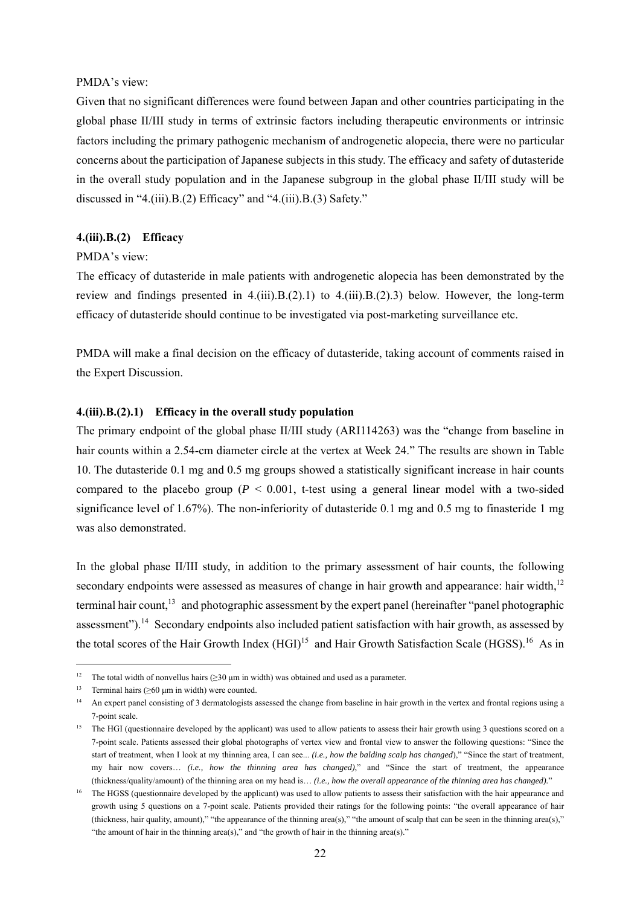### PMDA's view:

Given that no significant differences were found between Japan and other countries participating in the global phase II/III study in terms of extrinsic factors including therapeutic environments or intrinsic factors including the primary pathogenic mechanism of androgenetic alopecia, there were no particular concerns about the participation of Japanese subjects in this study. The efficacy and safety of dutasteride in the overall study population and in the Japanese subgroup in the global phase II/III study will be discussed in "4.(iii).B.(2) Efficacy" and "4.(iii).B.(3) Safety."

## **4.(iii).B.(2) Efficacy**

#### PMDA's view:

The efficacy of dutasteride in male patients with androgenetic alopecia has been demonstrated by the review and findings presented in  $4.(iii).B.(2).1)$  to  $4.(iii).B.(2).3)$  below. However, the long-term efficacy of dutasteride should continue to be investigated via post-marketing surveillance etc.

PMDA will make a final decision on the efficacy of dutasteride, taking account of comments raised in the Expert Discussion.

### **4.(iii).B.(2).1) Efficacy in the overall study population**

The primary endpoint of the global phase II/III study (ARI114263) was the "change from baseline in hair counts within a 2.54-cm diameter circle at the vertex at Week 24." The results are shown in Table 10. The dutasteride 0.1 mg and 0.5 mg groups showed a statistically significant increase in hair counts compared to the placebo group ( $P < 0.001$ , t-test using a general linear model with a two-sided significance level of 1.67%). The non-inferiority of dutasteride 0.1 mg and 0.5 mg to finasteride 1 mg was also demonstrated.

In the global phase II/III study, in addition to the primary assessment of hair counts, the following secondary endpoints were assessed as measures of change in hair growth and appearance: hair width, $12$ terminal hair count, $^{13}$  and photographic assessment by the expert panel (hereinafter "panel photographic assessment").<sup>14</sup> Secondary endpoints also included patient satisfaction with hair growth, as assessed by the total scores of the Hair Growth Index  $(HGI)^{15}$  and Hair Growth Satisfaction Scale (HGSS).<sup>16</sup> As in

l

<sup>&</sup>lt;sup>12</sup> The total width of nonvellus hairs ( $\geq$ 30 µm in width) was obtained and used as a parameter.

<sup>&</sup>lt;sup>13</sup> Terminal hairs ( $\geq 60 \mu m$  in width) were counted.

<sup>&</sup>lt;sup>14</sup> An expert panel consisting of 3 dermatologists assessed the change from baseline in hair growth in the vertex and frontal regions using a 7-point scale.

<sup>&</sup>lt;sup>15</sup> The HGI (questionnaire developed by the applicant) was used to allow patients to assess their hair growth using 3 questions scored on a 7-point scale. Patients assessed their global photographs of vertex view and frontal view to answer the following questions: "Since the start of treatment, when I look at my thinning area, I can see... *(i.e., how the balding scalp has changed*)," "Since the start of treatment, my hair now covers… *(i.e., how the thinning area has changed)*," and "Since the start of treatment, the appearance (thickness/quality/amount) of the thinning area on my head is… *(i.e., how the overall appearance of the thinning area has changed).*"

<sup>&</sup>lt;sup>16</sup> The HGSS (questionnaire developed by the applicant) was used to allow patients to assess their satisfaction with the hair appearance and growth using 5 questions on a 7-point scale. Patients provided their ratings for the following points: "the overall appearance of hair (thickness, hair quality, amount)," "the appearance of the thinning area(s)," "the amount of scalp that can be seen in the thinning area(s)," "the amount of hair in the thinning area(s)," and "the growth of hair in the thinning area(s)."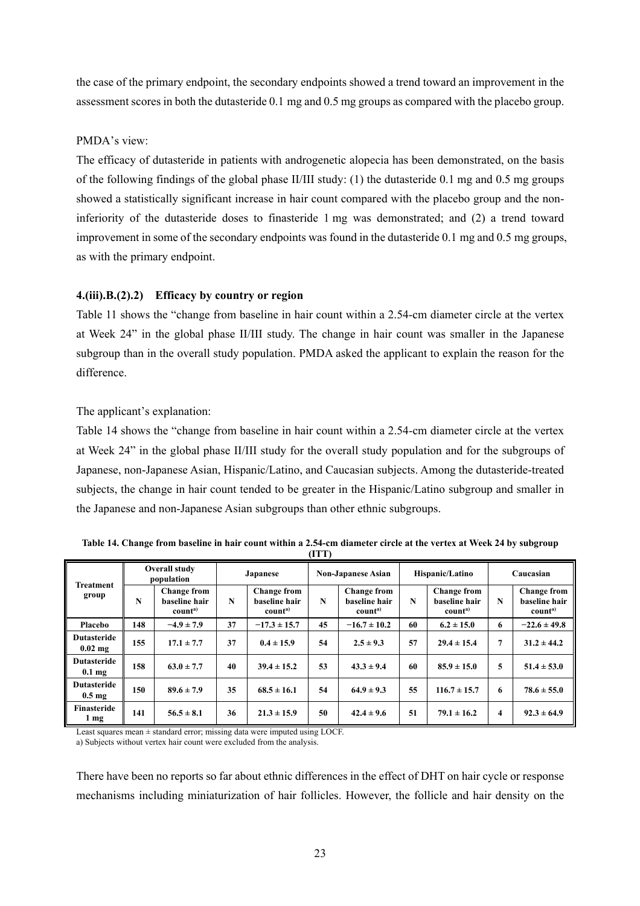the case of the primary endpoint, the secondary endpoints showed a trend toward an improvement in the assessment scores in both the dutasteride 0.1 mg and 0.5 mg groups as compared with the placebo group.

## PMDA's view:

The efficacy of dutasteride in patients with androgenetic alopecia has been demonstrated, on the basis of the following findings of the global phase II/III study: (1) the dutasteride 0.1 mg and 0.5 mg groups showed a statistically significant increase in hair count compared with the placebo group and the noninferiority of the dutasteride doses to finasteride 1 mg was demonstrated; and (2) a trend toward improvement in some of the secondary endpoints was found in the dutasteride 0.1 mg and 0.5 mg groups, as with the primary endpoint.

# **4.(iii).B.(2).2) Efficacy by country or region**

Table 11 shows the "change from baseline in hair count within a 2.54-cm diameter circle at the vertex at Week 24" in the global phase II/III study. The change in hair count was smaller in the Japanese subgroup than in the overall study population. PMDA asked the applicant to explain the reason for the difference.

# The applicant's explanation:

Table 14 shows the "change from baseline in hair count within a 2.54-cm diameter circle at the vertex at Week 24" in the global phase II/III study for the overall study population and for the subgroups of Japanese, non-Japanese Asian, Hispanic/Latino, and Caucasian subjects. Among the dutasteride-treated subjects, the change in hair count tended to be greater in the Hispanic/Latino subgroup and smaller in the Japanese and non-Japanese Asian subgroups than other ethnic subgroups.

|                                        |     |                                                            |                 |                                                            | (ITT) |                                                            |    |                                                            |           |                                                            |  |
|----------------------------------------|-----|------------------------------------------------------------|-----------------|------------------------------------------------------------|-------|------------------------------------------------------------|----|------------------------------------------------------------|-----------|------------------------------------------------------------|--|
|                                        |     | <b>Overall study</b><br>population                         | <b>Japanese</b> |                                                            |       | <b>Non-Japanese Asian</b>                                  |    | Hispanic/Latino                                            | Caucasian |                                                            |  |
| <b>Treatment</b><br>group              | N   | <b>Change from</b><br>baseline hair<br>count <sup>a)</sup> | N               | <b>Change from</b><br>baseline hair<br>count <sup>a)</sup> | N     | <b>Change from</b><br>baseline hair<br>count <sup>a)</sup> | N  | <b>Change from</b><br>baseline hair<br>count <sup>a)</sup> | N         | <b>Change from</b><br>baseline hair<br>count <sup>a)</sup> |  |
| Placebo                                | 148 | $-4.9 \pm 7.9$                                             | 37              | $-17.3 \pm 15.7$                                           | 45    | $-16.7 \pm 10.2$                                           | 60 | $6.2 \pm 15.0$                                             | 6         | $-22.6 \pm 49.8$                                           |  |
| <b>Dutasteride</b><br>$0.02$ mg        | 155 | $17.1 \pm 7.7$                                             | 37              | $0.4 \pm 15.9$                                             | 54    | $2.5 \pm 9.3$                                              | 57 | $29.4 \pm 15.4$                                            | 7         | $31.2 \pm 44.2$                                            |  |
| <b>Dutasteride</b><br>$0.1 \text{ mg}$ | 158 | $63.0 \pm 7.7$                                             | 40              | $39.4 \pm 15.2$                                            | 53    | $43.3 \pm 9.4$                                             | 60 | $85.9 \pm 15.0$                                            | 5         | $51.4 \pm 53.0$                                            |  |
| <b>Dutasteride</b><br>$0.5 \text{ mg}$ | 150 | $89.6 \pm 7.9$                                             | 35              | $68.5 \pm 16.1$                                            | 54    | $64.9 \pm 9.3$                                             | 55 | $116.7 \pm 15.7$                                           | 6         | $78.6 \pm 55.0$                                            |  |
| Finasteride<br>1 mg                    | 141 | $56.5 \pm 8.1$                                             | 36              | $21.3 \pm 15.9$                                            | 50    | $42.4 \pm 9.6$                                             | 51 | $79.1 \pm 16.2$                                            | 4         | $92.3 \pm 64.9$                                            |  |

**Table 14. Change from baseline in hair count within a 2.54-cm diameter circle at the vertex at Week 24 by subgroup** 

Least squares mean ± standard error; missing data were imputed using LOCF.

a) Subjects without vertex hair count were excluded from the analysis.

There have been no reports so far about ethnic differences in the effect of DHT on hair cycle or response mechanisms including miniaturization of hair follicles. However, the follicle and hair density on the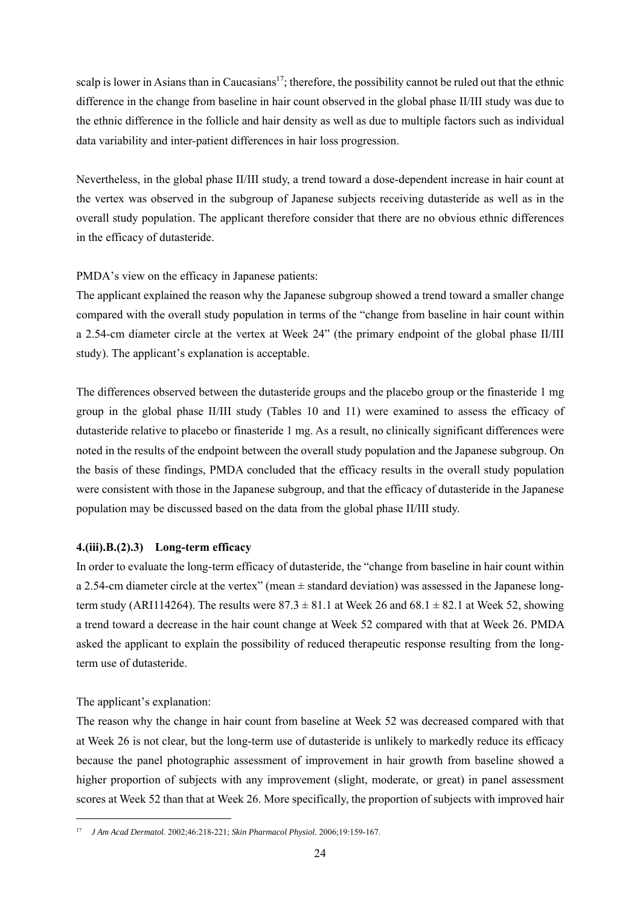scalp is lower in Asians than in Caucasians<sup>17</sup>; therefore, the possibility cannot be ruled out that the ethnic difference in the change from baseline in hair count observed in the global phase II/III study was due to the ethnic difference in the follicle and hair density as well as due to multiple factors such as individual data variability and inter-patient differences in hair loss progression.

Nevertheless, in the global phase II/III study, a trend toward a dose-dependent increase in hair count at the vertex was observed in the subgroup of Japanese subjects receiving dutasteride as well as in the overall study population. The applicant therefore consider that there are no obvious ethnic differences in the efficacy of dutasteride.

PMDA's view on the efficacy in Japanese patients:

The applicant explained the reason why the Japanese subgroup showed a trend toward a smaller change compared with the overall study population in terms of the "change from baseline in hair count within a 2.54-cm diameter circle at the vertex at Week 24" (the primary endpoint of the global phase II/III study). The applicant's explanation is acceptable.

The differences observed between the dutasteride groups and the placebo group or the finasteride 1 mg group in the global phase II/III study (Tables 10 and 11) were examined to assess the efficacy of dutasteride relative to placebo or finasteride 1 mg. As a result, no clinically significant differences were noted in the results of the endpoint between the overall study population and the Japanese subgroup. On the basis of these findings, PMDA concluded that the efficacy results in the overall study population were consistent with those in the Japanese subgroup, and that the efficacy of dutasteride in the Japanese population may be discussed based on the data from the global phase II/III study.

## **4.(iii).B.(2).3) Long-term efficacy**

In order to evaluate the long-term efficacy of dutasteride, the "change from baseline in hair count within a 2.54-cm diameter circle at the vertex" (mean ± standard deviation) was assessed in the Japanese longterm study (ARI114264). The results were  $87.3 \pm 81.1$  at Week 26 and  $68.1 \pm 82.1$  at Week 52, showing a trend toward a decrease in the hair count change at Week 52 compared with that at Week 26. PMDA asked the applicant to explain the possibility of reduced therapeutic response resulting from the longterm use of dutasteride.

The applicant's explanation:

l

The reason why the change in hair count from baseline at Week 52 was decreased compared with that at Week 26 is not clear, but the long-term use of dutasteride is unlikely to markedly reduce its efficacy because the panel photographic assessment of improvement in hair growth from baseline showed a higher proportion of subjects with any improvement (slight, moderate, or great) in panel assessment scores at Week 52 than that at Week 26. More specifically, the proportion of subjects with improved hair

<sup>17</sup> *J Am Acad Dermatol*. 2002;46:218-221; *Skin Pharmacol Physiol.* 2006;19:159-167.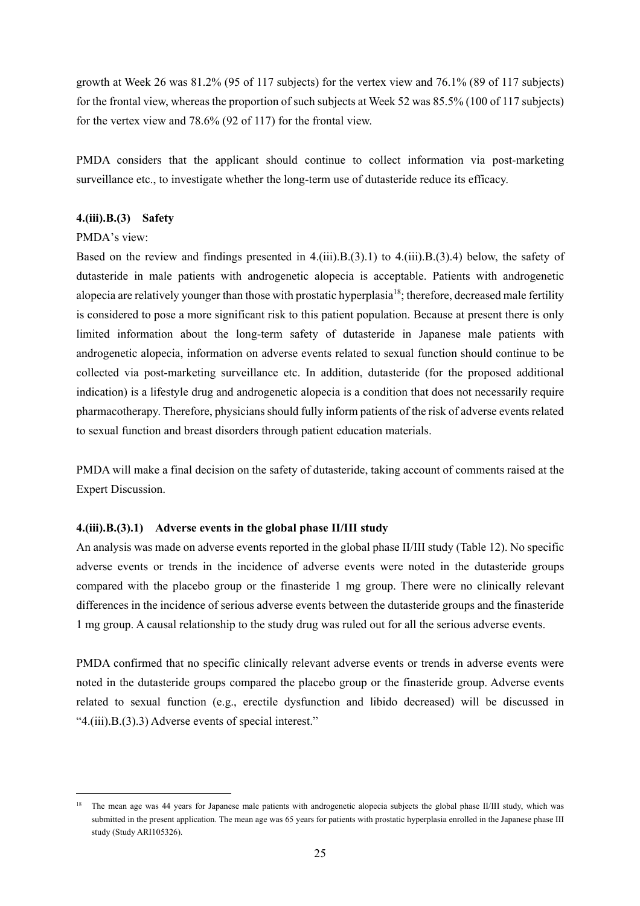growth at Week 26 was 81.2% (95 of 117 subjects) for the vertex view and 76.1% (89 of 117 subjects) for the frontal view, whereas the proportion of such subjects at Week 52 was 85.5% (100 of 117 subjects) for the vertex view and 78.6% (92 of 117) for the frontal view.

PMDA considers that the applicant should continue to collect information via post-marketing surveillance etc., to investigate whether the long-term use of dutasteride reduce its efficacy.

## **4.(iii).B.(3) Safety**

### PMDA's view:

l

Based on the review and findings presented in 4.(iii).B.(3).1) to 4.(iii).B.(3).4) below, the safety of dutasteride in male patients with androgenetic alopecia is acceptable. Patients with androgenetic alopecia are relatively younger than those with prostatic hyperplasia<sup>18</sup>; therefore, decreased male fertility is considered to pose a more significant risk to this patient population. Because at present there is only limited information about the long-term safety of dutasteride in Japanese male patients with androgenetic alopecia, information on adverse events related to sexual function should continue to be collected via post-marketing surveillance etc. In addition, dutasteride (for the proposed additional indication) is a lifestyle drug and androgenetic alopecia is a condition that does not necessarily require pharmacotherapy. Therefore, physicians should fully inform patients of the risk of adverse events related to sexual function and breast disorders through patient education materials.

PMDA will make a final decision on the safety of dutasteride, taking account of comments raised at the Expert Discussion.

#### **4.(iii).B.(3).1) Adverse events in the global phase II/III study**

An analysis was made on adverse events reported in the global phase II/III study (Table 12). No specific adverse events or trends in the incidence of adverse events were noted in the dutasteride groups compared with the placebo group or the finasteride 1 mg group. There were no clinically relevant differences in the incidence of serious adverse events between the dutasteride groups and the finasteride 1 mg group. A causal relationship to the study drug was ruled out for all the serious adverse events.

PMDA confirmed that no specific clinically relevant adverse events or trends in adverse events were noted in the dutasteride groups compared the placebo group or the finasteride group. Adverse events related to sexual function (e.g., erectile dysfunction and libido decreased) will be discussed in "4.(iii).B.(3).3) Adverse events of special interest."

<sup>&</sup>lt;sup>18</sup> The mean age was 44 years for Japanese male patients with androgenetic alopecia subjects the global phase II/III study, which was submitted in the present application. The mean age was 65 years for patients with prostatic hyperplasia enrolled in the Japanese phase III study (Study ARI105326).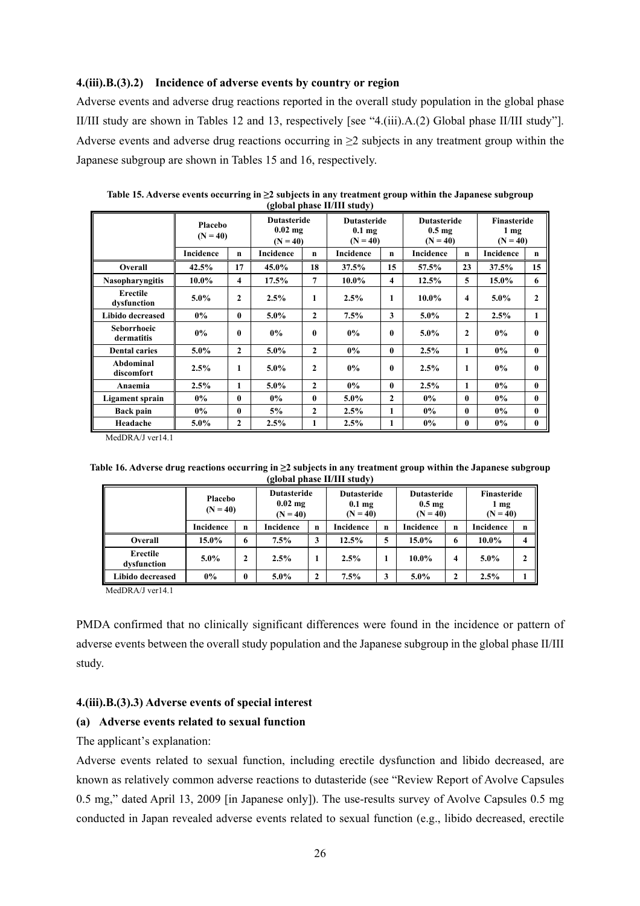### **4.(iii).B.(3).2) Incidence of adverse events by country or region**

Adverse events and adverse drug reactions reported in the overall study population in the global phase II/III study are shown in Tables 12 and 13, respectively [see "4.(iii).A.(2) Global phase II/III study"]. Adverse events and adverse drug reactions occurring in  $\geq 2$  subjects in any treatment group within the Japanese subgroup are shown in Tables 15 and 16, respectively.

|                           | Placebo<br>$(N = 40)$ |                | <b>Dutasteride</b><br>$0.02$ mg<br>$(N = 40)$ |                | <b>Dutasteride</b><br>0.1 <sub>mg</sub><br>$(N = 40)$ |                | <b>Dutasteride</b><br>0.5 <sub>mg</sub><br>$(N = 40)$ |                | <b>Finasteride</b><br>$1 \text{ mg}$<br>$(N = 40)$ |              |
|---------------------------|-----------------------|----------------|-----------------------------------------------|----------------|-------------------------------------------------------|----------------|-------------------------------------------------------|----------------|----------------------------------------------------|--------------|
|                           | Incidence             | $\mathbf n$    | Incidence                                     | $\mathbf n$    | Incidence                                             | $\mathbf n$    | <b>Incidence</b>                                      | $\mathbf n$    | <b>Incidence</b>                                   | n            |
| Overall                   | 42.5%                 | 17             | 45.0%                                         | 18             | 37.5%                                                 | 15             | 57.5%                                                 | 23             | 37.5%                                              | 15           |
| <b>Nasopharyngitis</b>    | $10.0\%$              | 4              | 17.5%                                         | $\overline{7}$ | $10.0\%$                                              | $\overline{4}$ | 12.5%                                                 | 5              | 15.0%                                              | 6            |
| Erectile<br>dysfunction   | $5.0\%$               | $\overline{2}$ | 2.5%                                          | 1              | 2.5%                                                  | 1              | $10.0\%$                                              | 4              | 5.0%                                               | $\mathbf{2}$ |
| Libido decreased          | $0\%$                 | 0              | $5.0\%$                                       | $\mathbf{2}$   | 7.5%                                                  | 3              | $5.0\%$                                               | $\mathbf{2}$   | 2.5%                                               | 1            |
| Seborrhoeic<br>dermatitis | 0%                    | $\bf{0}$       | $0\%$                                         | $\mathbf{0}$   | 0%                                                    | $\mathbf{0}$   | $5.0\%$                                               | $\overline{2}$ | 0%                                                 | 0            |
| <b>Dental caries</b>      | $5.0\%$               | $\overline{2}$ | $5.0\%$                                       | $\mathbf{2}$   | 0%                                                    | $\bf{0}$       | 2.5%                                                  | 1              | 0%                                                 | $\mathbf{0}$ |
| Abdominal<br>discomfort   | 2.5%                  | 1              | $5.0\%$                                       | $\overline{2}$ | 0%                                                    | $\mathbf{0}$   | 2.5%                                                  | 1              | $0\%$                                              | 0            |
| Anaemia                   | 2.5%                  | 1              | $5.0\%$                                       | $\mathbf{2}$   | $0\%$                                                 | $\mathbf{0}$   | 2.5%                                                  | 1              | $0\%$                                              | $\mathbf{0}$ |
| Ligament sprain           | $0\%$                 | 0              | $0\%$                                         | $\mathbf{0}$   | $5.0\%$                                               | $\overline{2}$ | $0\%$                                                 | $\mathbf{0}$   | $0\%$                                              | $\mathbf{0}$ |
| <b>Back pain</b>          | $0\%$                 | 0              | 5%                                            | $\mathbf{2}$   | 2.5%                                                  | 1              | $0\%$                                                 | $\bf{0}$       | $0\%$                                              | 0            |
| Headache                  | $5.0\%$               | $\overline{2}$ | 2.5%                                          | 1              | 2.5%                                                  | 1              | 0%                                                    | 0              | $0\%$                                              | 0            |

**Table 15. Adverse events occurring in ≥2 subjects in any treatment group within the Japanese subgroup (global phase II/III study)** 

MedDRA/J ver14.1

| Table 16. Adverse drug reactions occurring in $\geq$ 2 subjects in any treatment group within the Japanese subgroup |
|---------------------------------------------------------------------------------------------------------------------|
| (global phase II/III study)                                                                                         |

|                         | Placebo<br>$(N = 40)$ |              | <b>Dutasteride</b><br>$0.02$ mg<br>$(N = 40)$ |              | <b>Dutasteride</b><br>0.1 <sub>mg</sub><br>$(N = 40)$ |             | <b>Dutasteride</b><br>$0.5 \text{ mg}$<br>$(N = 40)$ |              | Finasteride<br>1 mg<br>$(N = 40)$ |                |
|-------------------------|-----------------------|--------------|-----------------------------------------------|--------------|-------------------------------------------------------|-------------|------------------------------------------------------|--------------|-----------------------------------|----------------|
|                         | Incidence             | $\mathbf n$  | Incidence                                     | n            | <b>Incidence</b>                                      | $\mathbf n$ | Incidence                                            | $\mathbf n$  | Incidence                         | $\mathbf n$    |
| Overall                 | 15.0%                 | 6            | 7.5%                                          | 3            | 12.5%                                                 | 5           | 15.0%                                                | 6            | $10.0\%$                          | $\overline{4}$ |
| Erectile<br>dysfunction | $5.0\%$               | 2            | 2.5%                                          |              | 2.5%                                                  |             | $10.0\%$                                             | 4            | $5.0\%$                           | $\mathbf{2}$   |
| Libido decreased        | $0\%$                 | $\mathbf{0}$ | $5.0\%$                                       | $\mathbf{2}$ | 7.5%                                                  | 3           | $5.0\%$                                              | $\mathbf{2}$ | 2.5%                              |                |

MedDRA/J ver14.1

PMDA confirmed that no clinically significant differences were found in the incidence or pattern of adverse events between the overall study population and the Japanese subgroup in the global phase II/III study.

## **4.(iii).B.(3).3) Adverse events of special interest**

#### **(a) Adverse events related to sexual function**

The applicant's explanation:

Adverse events related to sexual function, including erectile dysfunction and libido decreased, are known as relatively common adverse reactions to dutasteride (see "Review Report of Avolve Capsules 0.5 mg," dated April 13, 2009 [in Japanese only]). The use-results survey of Avolve Capsules 0.5 mg conducted in Japan revealed adverse events related to sexual function (e.g., libido decreased, erectile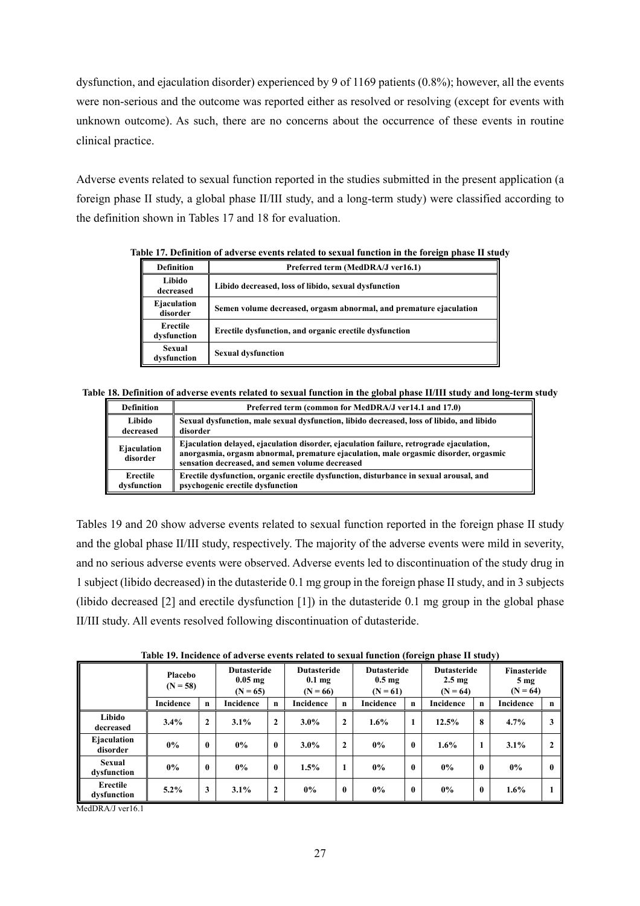dysfunction, and ejaculation disorder) experienced by 9 of 1169 patients (0.8%); however, all the events were non-serious and the outcome was reported either as resolved or resolving (except for events with unknown outcome). As such, there are no concerns about the occurrence of these events in routine clinical practice.

Adverse events related to sexual function reported in the studies submitted in the present application (a foreign phase II study, a global phase II/III study, and a long-term study) were classified according to the definition shown in Tables 17 and 18 for evaluation.

| <b>Definition</b>       | Preferred term (MedDRA/J ver16.1)                                  |
|-------------------------|--------------------------------------------------------------------|
| Libido<br>decreased     | Libido decreased, loss of libido, sexual dysfunction               |
| Ejaculation<br>disorder | Semen volume decreased, orgasm abnormal, and premature ejaculation |
| Erectile<br>dysfunction | Erectile dysfunction, and organic erectile dysfunction             |
| Sexual<br>dysfunction   | <b>Sexual dysfunction</b>                                          |

**Table 17. Definition of adverse events related to sexual function in the foreign phase II study** 

**Table 18. Definition of adverse events related to sexual function in the global phase II/III study and long-term study** 

| <b>Definition</b>       | Preferred term (common for MedDRA/J ver14.1 and 17.0)                                                                                                                                                                              |
|-------------------------|------------------------------------------------------------------------------------------------------------------------------------------------------------------------------------------------------------------------------------|
| Libido                  | Sexual dysfunction, male sexual dysfunction, libido decreased, loss of libido, and libido                                                                                                                                          |
| decreased               | disorder                                                                                                                                                                                                                           |
| Ejaculation<br>disorder | Ejaculation delayed, ejaculation disorder, ejaculation failure, retrograde ejaculation,<br>anorgasmia, orgasm abnormal, premature ejaculation, male orgasmic disorder, orgasmic<br>sensation decreased, and semen volume decreased |
| Erectile                | Erectile dysfunction, organic erectile dysfunction, disturbance in sexual arousal, and                                                                                                                                             |
| dysfunction             | psychogenic erectile dysfunction                                                                                                                                                                                                   |

Tables 19 and 20 show adverse events related to sexual function reported in the foreign phase II study and the global phase II/III study, respectively. The majority of the adverse events were mild in severity, and no serious adverse events were observed. Adverse events led to discontinuation of the study drug in 1 subject (libido decreased) in the dutasteride 0.1 mg group in the foreign phase II study, and in 3 subjects (libido decreased [2] and erectile dysfunction [1]) in the dutasteride 0.1 mg group in the global phase II/III study. All events resolved following discontinuation of dutasteride.

|                         |                       |              |                                               |                | Table 19. Incidence of adverse events related to sexual function (foreign phase II study) |              |                                                      |              |                                                      |          |                                              |                |
|-------------------------|-----------------------|--------------|-----------------------------------------------|----------------|-------------------------------------------------------------------------------------------|--------------|------------------------------------------------------|--------------|------------------------------------------------------|----------|----------------------------------------------|----------------|
|                         | Placebo<br>$(N = 58)$ |              | <b>Dutasteride</b><br>$0.05$ mg<br>$(N = 65)$ |                | <b>Dutasteride</b><br>$0.1 \text{ mg}$<br>$(N = 66)$                                      |              | <b>Dutasteride</b><br>$0.5 \text{ mg}$<br>$(N = 61)$ |              | <b>Dutasteride</b><br>$2.5 \text{ mg}$<br>$(N = 64)$ |          | Finasteride<br>5 <sub>mg</sub><br>$(N = 64)$ |                |
|                         | Incidence             | n            | Incidence                                     | n              | <b>Incidence</b>                                                                          | n            | Incidence                                            | n            | <b>Incidence</b>                                     | n        | <b>Incidence</b>                             | n              |
| Libido<br>decreased     | 3.4%                  | $\mathbf{2}$ | 3.1%                                          | $\overline{2}$ | $3.0\%$                                                                                   | $\mathbf{2}$ | 1.6%                                                 | $\mathbf{1}$ | 12.5%                                                | 8        | 4.7%                                         | 3              |
| Ejaculation<br>disorder | $0\%$                 | $\bf{0}$     | $0\%$                                         | $\mathbf{0}$   | $3.0\%$                                                                                   | $\mathbf{2}$ | 0%                                                   | $\mathbf{0}$ | $1.6\%$                                              | 1        | 3.1%                                         | $\overline{2}$ |
| Sexual<br>dysfunction   | $0\%$                 | $\bf{0}$     | $0\%$                                         | $\mathbf{0}$   | 1.5%                                                                                      |              | 0%                                                   | $\mathbf{0}$ | 0%                                                   | $\bf{0}$ | $0\%$                                        | 0              |
| Erectile<br>dysfunction | $5.2\%$               | 3            | 3.1%                                          | $\mathbf{2}$   | $0\%$                                                                                     | $\mathbf{0}$ | 0%                                                   | $\mathbf{0}$ | 0%                                                   | $\bf{0}$ | 1.6%                                         | 1              |

**Table 19. Incidence of adverse events related to sexual function (foreign phase II study)** 

MedDRA/I ver16.1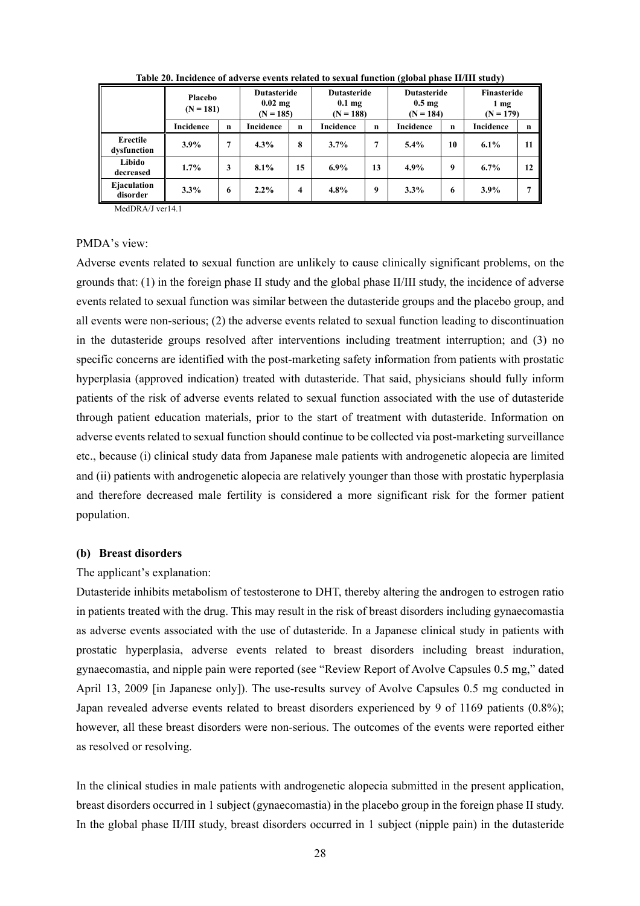|                         | Placebo<br>$(N = 181)$ |             | <b>Dutasteride</b><br>$0.02$ mg<br>$(N = 185)$ |             | <b>Dutasteride</b><br>$0.1 \text{ mg}$<br>$(N = 188)$ |    | <b>Dutasteride</b><br>$0.5 \text{ mg}$<br>$(N = 184)$ |             | Finasteride<br>$1 \text{ mg}$<br>$(N = 179)$ |             |
|-------------------------|------------------------|-------------|------------------------------------------------|-------------|-------------------------------------------------------|----|-------------------------------------------------------|-------------|----------------------------------------------|-------------|
|                         | Incidence              | $\mathbf n$ | Incidence                                      | $\mathbf n$ | Incidence                                             | n  | <b>Incidence</b>                                      | $\mathbf n$ | Incidence                                    | $\mathbf n$ |
| Erectile<br>dysfunction | 3.9%                   | 7           | 4.3%                                           | 8           | 3.7%                                                  | 7  | 5.4%                                                  | 10          | $6.1\%$                                      | 11          |
| Libido<br>decreased     | 1.7%                   | 3           | 8.1%                                           | 15          | $6.9\%$                                               | 13 | 4.9%                                                  | 9           | $6.7\%$                                      | 12          |
| Ejaculation<br>disorder | 3.3%                   | 6           | $2.2\%$                                        | 4           | 4.8%                                                  | 9  | 3.3%                                                  | -6          | 3.9%                                         |             |

**Table 20. Incidence of adverse events related to sexual function (global phase II/III study)** 

MedDRA/J ver14.1

#### PMDA's view:

Adverse events related to sexual function are unlikely to cause clinically significant problems, on the grounds that: (1) in the foreign phase II study and the global phase II/III study, the incidence of adverse events related to sexual function was similar between the dutasteride groups and the placebo group, and all events were non-serious; (2) the adverse events related to sexual function leading to discontinuation in the dutasteride groups resolved after interventions including treatment interruption; and (3) no specific concerns are identified with the post-marketing safety information from patients with prostatic hyperplasia (approved indication) treated with dutasteride. That said, physicians should fully inform patients of the risk of adverse events related to sexual function associated with the use of dutasteride through patient education materials, prior to the start of treatment with dutasteride. Information on adverse events related to sexual function should continue to be collected via post-marketing surveillance etc., because (i) clinical study data from Japanese male patients with androgenetic alopecia are limited and (ii) patients with androgenetic alopecia are relatively younger than those with prostatic hyperplasia and therefore decreased male fertility is considered a more significant risk for the former patient population.

#### **(b) Breast disorders**

#### The applicant's explanation:

Dutasteride inhibits metabolism of testosterone to DHT, thereby altering the androgen to estrogen ratio in patients treated with the drug. This may result in the risk of breast disorders including gynaecomastia as adverse events associated with the use of dutasteride. In a Japanese clinical study in patients with prostatic hyperplasia, adverse events related to breast disorders including breast induration, gynaecomastia, and nipple pain were reported (see "Review Report of Avolve Capsules 0.5 mg," dated April 13, 2009 [in Japanese only]). The use-results survey of Avolve Capsules 0.5 mg conducted in Japan revealed adverse events related to breast disorders experienced by 9 of 1169 patients (0.8%); however, all these breast disorders were non-serious. The outcomes of the events were reported either as resolved or resolving.

In the clinical studies in male patients with androgenetic alopecia submitted in the present application, breast disorders occurred in 1 subject (gynaecomastia) in the placebo group in the foreign phase II study. In the global phase II/III study, breast disorders occurred in 1 subject (nipple pain) in the dutasteride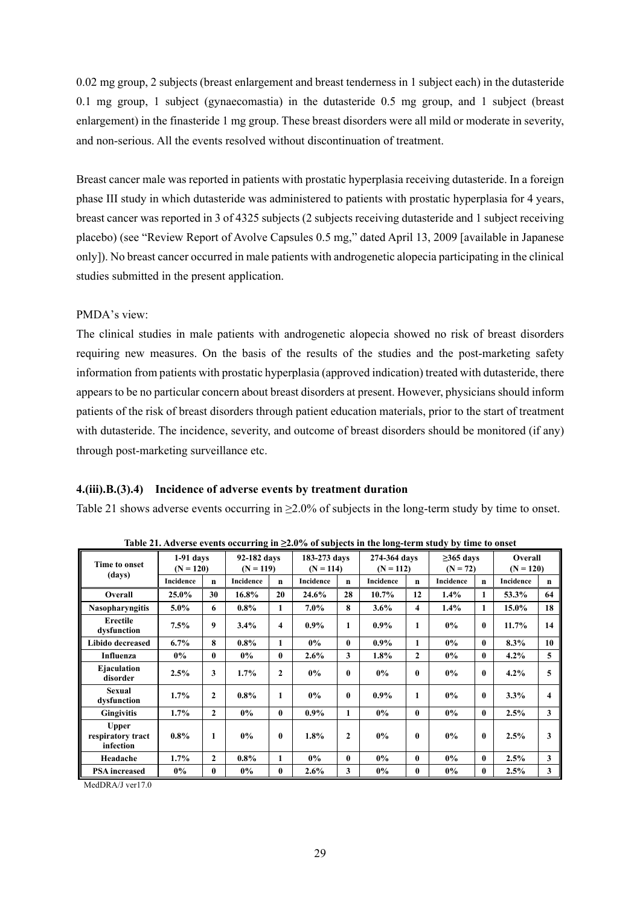0.02 mg group, 2 subjects (breast enlargement and breast tenderness in 1 subject each) in the dutasteride 0.1 mg group, 1 subject (gynaecomastia) in the dutasteride 0.5 mg group, and 1 subject (breast enlargement) in the finasteride 1 mg group. These breast disorders were all mild or moderate in severity, and non-serious. All the events resolved without discontinuation of treatment.

Breast cancer male was reported in patients with prostatic hyperplasia receiving dutasteride. In a foreign phase III study in which dutasteride was administered to patients with prostatic hyperplasia for 4 years, breast cancer was reported in 3 of 4325 subjects (2 subjects receiving dutasteride and 1 subject receiving placebo) (see "Review Report of Avolve Capsules 0.5 mg," dated April 13, 2009 [available in Japanese only]). No breast cancer occurred in male patients with androgenetic alopecia participating in the clinical studies submitted in the present application.

# PMDA's view:

The clinical studies in male patients with androgenetic alopecia showed no risk of breast disorders requiring new measures. On the basis of the results of the studies and the post-marketing safety information from patients with prostatic hyperplasia (approved indication) treated with dutasteride, there appears to be no particular concern about breast disorders at present. However, physicians should inform patients of the risk of breast disorders through patient education materials, prior to the start of treatment with dutasteride. The incidence, severity, and outcome of breast disorders should be monitored (if any) through post-marketing surveillance etc.

## **4.(iii).B.(3).4) Incidence of adverse events by treatment duration**

Table 21 shows adverse events occurring in ≥2.0% of subjects in the long-term study by time to onset.

|                                                |                                                          |                |           |                             |           |                             | Table 21. Adverse events occurring in $\leq$ 2.0 % of subjects in the long-term study by thire to onset |                               |           |                        |           |             |
|------------------------------------------------|----------------------------------------------------------|----------------|-----------|-----------------------------|-----------|-----------------------------|---------------------------------------------------------------------------------------------------------|-------------------------------|-----------|------------------------|-----------|-------------|
| Time to onset                                  | 92-182 days<br>$1-91$ days<br>$(N = 120)$<br>$(N = 119)$ |                |           | 183-273 days<br>$(N = 114)$ |           | 274-364 days<br>$(N = 112)$ |                                                                                                         | $\geq$ 365 days<br>$(N = 72)$ |           | Overall<br>$(N = 120)$ |           |             |
| (days)                                         | Incidence                                                | $\mathbf n$    | Incidence | $\mathbf n$                 | Incidence | $\mathbf n$                 | Incidence                                                                                               | $\mathbf n$                   | Incidence | $\mathbf n$            | Incidence | $\mathbf n$ |
| Overall                                        | $25.0\%$                                                 | 30             | 16.8%     | 20                          | 24.6%     | 28                          | $10.7\%$                                                                                                | 12                            | 1.4%      | $\mathbf{1}$           | 53.3%     | 64          |
| <b>Nasopharyngitis</b>                         | $5.0\%$                                                  | 6              | $0.8\%$   | $\mathbf{1}$                | $7.0\%$   | 8                           | $3.6\%$                                                                                                 | 4                             | $1.4\%$   | $\mathbf{1}$           | 15.0%     | 18          |
| <b>Erectile</b><br>dysfunction                 | 7.5%                                                     | 9              | $3.4\%$   | 4                           | $0.9\%$   | 1                           | $0.9\%$                                                                                                 | 1                             | $0\%$     | 0                      | 11.7%     | 14          |
| Libido decreased                               | $6.7\%$                                                  | 8              | $0.8\%$   | 1                           | $0\%$     | $\mathbf{0}$                | $0.9\%$                                                                                                 | 1                             | $0\%$     | $\mathbf{0}$           | 8.3%      | 10          |
| Influenza                                      | $0\%$                                                    | $\bf{0}$       | $0\%$     | $\bf{0}$                    | $2.6\%$   | $\mathbf{3}$                | $1.8\%$                                                                                                 | $\overline{2}$                | $0\%$     | $\bf{0}$               | $4.2\%$   | 5           |
| Ejaculation<br>disorder                        | 2.5%                                                     | 3              | 1.7%      | $\mathbf{2}$                | $0\%$     | $\mathbf{0}$                | $0\%$                                                                                                   | 0                             | $0\%$     | 0                      | $4.2\%$   | 5           |
| Sexual<br>dysfunction                          | 1.7%                                                     | $\mathbf{2}$   | $0.8\%$   | 1                           | $0\%$     | $\mathbf{0}$                | $0.9\%$                                                                                                 | 1                             | $0\%$     | 0                      | $3.3\%$   | 4           |
| <b>Gingivitis</b>                              | $1.7\%$                                                  | $\overline{2}$ | $0\%$     | $\mathbf{0}$                | $0.9\%$   | $\mathbf{1}$                | $0\%$                                                                                                   | $\bf{0}$                      | $0\%$     | $\mathbf{0}$           | 2.5%      | 3           |
| <b>Upper</b><br>respiratory tract<br>infection | $0.8\%$                                                  | 1              | $0\%$     | $\mathbf{0}$                | $1.8\%$   | $\mathbf{2}$                | $0\%$                                                                                                   | 0                             | $0\%$     | 0                      | 2.5%      | 3           |
| Headache                                       | $1.7\%$                                                  | $\mathbf{2}$   | $0.8\%$   | $\mathbf{1}$                | $0\%$     | $\mathbf{0}$                | $0\%$                                                                                                   | $\bf{0}$                      | $0\%$     | $\bf{0}$               | 2.5%      | 3           |
| <b>PSA</b> increased                           | $0\%$                                                    | 0              | $0\%$     | $\bf{0}$                    | $2.6\%$   | 3                           | $0\%$                                                                                                   | 0                             | $0\%$     | $\mathbf{0}$           | 2.5%      | 3           |

**Table 21. Adverse events occurring in ≥2.0% of subjects in the long-term study by time to onset** 

MedDRA/J ver17.0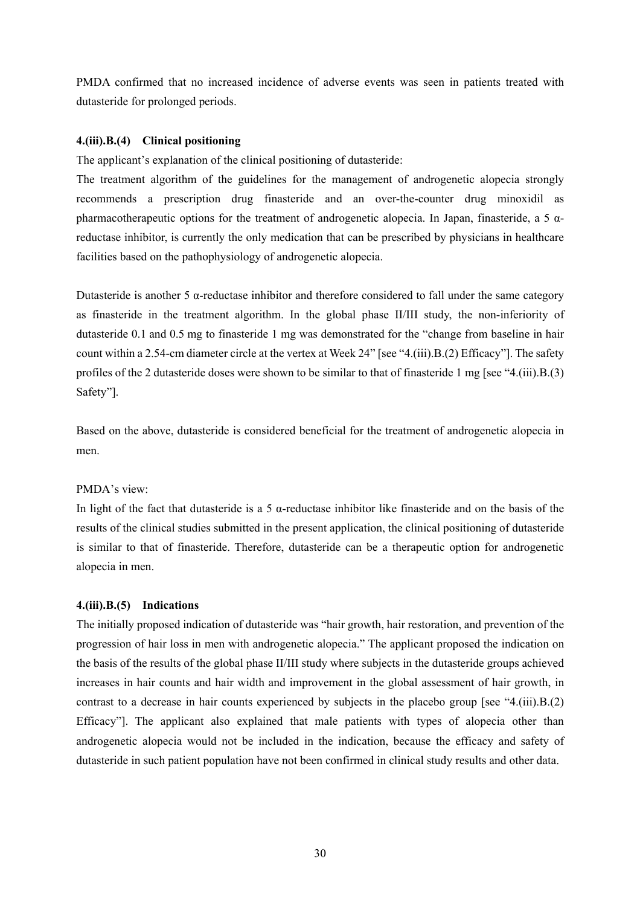PMDA confirmed that no increased incidence of adverse events was seen in patients treated with dutasteride for prolonged periods.

## **4.(iii).B.(4) Clinical positioning**

The applicant's explanation of the clinical positioning of dutasteride:

The treatment algorithm of the guidelines for the management of androgenetic alopecia strongly recommends a prescription drug finasteride and an over-the-counter drug minoxidil as pharmacotherapeutic options for the treatment of androgenetic alopecia. In Japan, finasteride, a 5 αreductase inhibitor, is currently the only medication that can be prescribed by physicians in healthcare facilities based on the pathophysiology of androgenetic alopecia.

Dutasteride is another 5 α-reductase inhibitor and therefore considered to fall under the same category as finasteride in the treatment algorithm. In the global phase II/III study, the non-inferiority of dutasteride 0.1 and 0.5 mg to finasteride 1 mg was demonstrated for the "change from baseline in hair count within a 2.54-cm diameter circle at the vertex at Week 24" [see "4.(iii).B.(2) Efficacy"]. The safety profiles of the 2 dutasteride doses were shown to be similar to that of finasteride 1 mg [see "4.(iii).B.(3) Safety"].

Based on the above, dutasteride is considered beneficial for the treatment of androgenetic alopecia in men.

## PMDA's view:

In light of the fact that dutasteride is a 5  $\alpha$ -reductase inhibitor like finasteride and on the basis of the results of the clinical studies submitted in the present application, the clinical positioning of dutasteride is similar to that of finasteride. Therefore, dutasteride can be a therapeutic option for androgenetic alopecia in men.

# **4.(iii).B.(5) Indications**

The initially proposed indication of dutasteride was "hair growth, hair restoration, and prevention of the progression of hair loss in men with androgenetic alopecia." The applicant proposed the indication on the basis of the results of the global phase II/III study where subjects in the dutasteride groups achieved increases in hair counts and hair width and improvement in the global assessment of hair growth, in contrast to a decrease in hair counts experienced by subjects in the placebo group [see "4.(iii).B.(2) Efficacy"]. The applicant also explained that male patients with types of alopecia other than androgenetic alopecia would not be included in the indication, because the efficacy and safety of dutasteride in such patient population have not been confirmed in clinical study results and other data.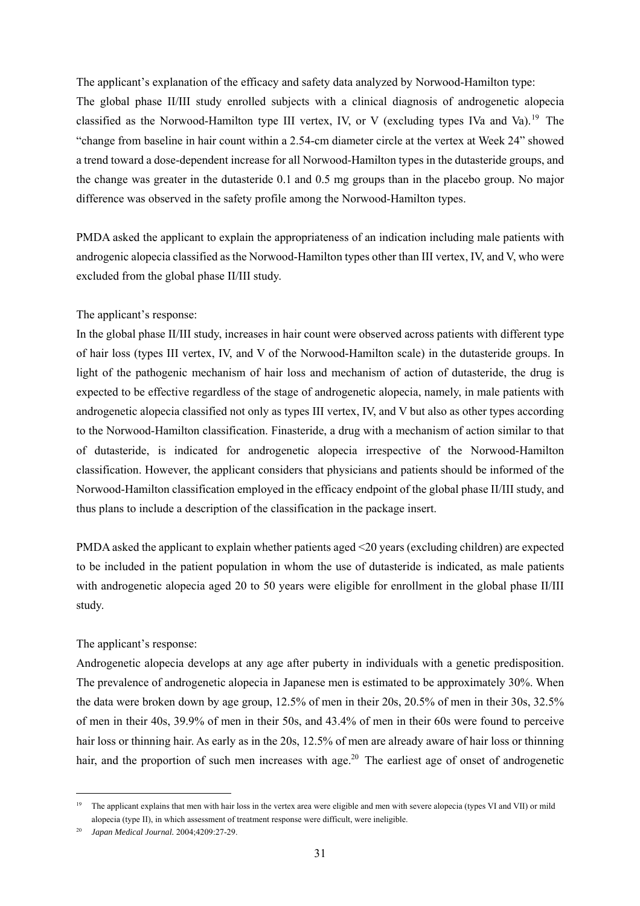The applicant's explanation of the efficacy and safety data analyzed by Norwood-Hamilton type: The global phase II/III study enrolled subjects with a clinical diagnosis of androgenetic alopecia classified as the Norwood-Hamilton type III vertex, IV, or V (excluding types IVa and Va).<sup>19</sup> The "change from baseline in hair count within a 2.54-cm diameter circle at the vertex at Week 24" showed a trend toward a dose-dependent increase for all Norwood-Hamilton types in the dutasteride groups, and the change was greater in the dutasteride 0.1 and 0.5 mg groups than in the placebo group. No major difference was observed in the safety profile among the Norwood-Hamilton types.

PMDA asked the applicant to explain the appropriateness of an indication including male patients with androgenic alopecia classified as the Norwood-Hamilton types other than III vertex, IV, and V, who were excluded from the global phase II/III study.

## The applicant's response:

In the global phase II/III study, increases in hair count were observed across patients with different type of hair loss (types III vertex, IV, and V of the Norwood-Hamilton scale) in the dutasteride groups. In light of the pathogenic mechanism of hair loss and mechanism of action of dutasteride, the drug is expected to be effective regardless of the stage of androgenetic alopecia, namely, in male patients with androgenetic alopecia classified not only as types III vertex, IV, and V but also as other types according to the Norwood-Hamilton classification. Finasteride, a drug with a mechanism of action similar to that of dutasteride, is indicated for androgenetic alopecia irrespective of the Norwood-Hamilton classification. However, the applicant considers that physicians and patients should be informed of the Norwood-Hamilton classification employed in the efficacy endpoint of the global phase II/III study, and thus plans to include a description of the classification in the package insert.

PMDA asked the applicant to explain whether patients aged <20 years (excluding children) are expected to be included in the patient population in whom the use of dutasteride is indicated, as male patients with androgenetic alopecia aged 20 to 50 years were eligible for enrollment in the global phase II/III study.

## The applicant's response:

Androgenetic alopecia develops at any age after puberty in individuals with a genetic predisposition. The prevalence of androgenetic alopecia in Japanese men is estimated to be approximately 30%. When the data were broken down by age group, 12.5% of men in their 20s, 20.5% of men in their 30s, 32.5% of men in their 40s, 39.9% of men in their 50s, and 43.4% of men in their 60s were found to perceive hair loss or thinning hair. As early as in the 20s, 12.5% of men are already aware of hair loss or thinning hair, and the proportion of such men increases with age.<sup>20</sup> The earliest age of onset of androgenetic

l

<sup>&</sup>lt;sup>19</sup> The applicant explains that men with hair loss in the vertex area were eligible and men with severe alopecia (types VI and VII) or mild alopecia (type II), in which assessment of treatment response were difficult, were ineligible.

<sup>20</sup> *Japan Medical Journal.* 2004;4209:27-29.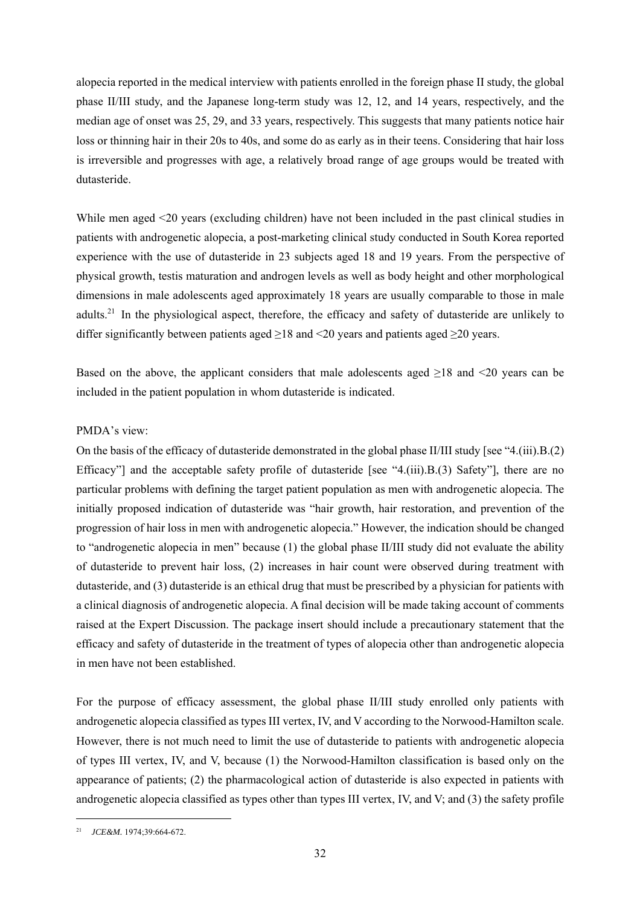alopecia reported in the medical interview with patients enrolled in the foreign phase II study, the global phase II/III study, and the Japanese long-term study was 12, 12, and 14 years, respectively, and the median age of onset was 25, 29, and 33 years, respectively. This suggests that many patients notice hair loss or thinning hair in their 20s to 40s, and some do as early as in their teens. Considering that hair loss is irreversible and progresses with age, a relatively broad range of age groups would be treated with dutasteride.

While men aged <20 years (excluding children) have not been included in the past clinical studies in patients with androgenetic alopecia, a post-marketing clinical study conducted in South Korea reported experience with the use of dutasteride in 23 subjects aged 18 and 19 years. From the perspective of physical growth, testis maturation and androgen levels as well as body height and other morphological dimensions in male adolescents aged approximately 18 years are usually comparable to those in male adults.<sup>21</sup> In the physiological aspect, therefore, the efficacy and safety of dutasteride are unlikely to differ significantly between patients aged  $\geq$ 18 and <20 years and patients aged  $\geq$ 20 years.

Based on the above, the applicant considers that male adolescents aged  $\geq 18$  and  $\leq 20$  years can be included in the patient population in whom dutasteride is indicated.

# PMDA's view:

On the basis of the efficacy of dutasteride demonstrated in the global phase II/III study [see "4.(iii).B.(2) Efficacy"] and the acceptable safety profile of dutasteride [see "4.(iii).B.(3) Safety"], there are no particular problems with defining the target patient population as men with androgenetic alopecia. The initially proposed indication of dutasteride was "hair growth, hair restoration, and prevention of the progression of hair loss in men with androgenetic alopecia." However, the indication should be changed to "androgenetic alopecia in men" because (1) the global phase II/III study did not evaluate the ability of dutasteride to prevent hair loss, (2) increases in hair count were observed during treatment with dutasteride, and (3) dutasteride is an ethical drug that must be prescribed by a physician for patients with a clinical diagnosis of androgenetic alopecia. A final decision will be made taking account of comments raised at the Expert Discussion. The package insert should include a precautionary statement that the efficacy and safety of dutasteride in the treatment of types of alopecia other than androgenetic alopecia in men have not been established.

For the purpose of efficacy assessment, the global phase II/III study enrolled only patients with androgenetic alopecia classified as types III vertex, IV, and V according to the Norwood-Hamilton scale. However, there is not much need to limit the use of dutasteride to patients with androgenetic alopecia of types III vertex, IV, and V, because (1) the Norwood-Hamilton classification is based only on the appearance of patients; (2) the pharmacological action of dutasteride is also expected in patients with androgenetic alopecia classified as types other than types III vertex, IV, and V; and (3) the safety profile

l

<sup>21</sup> *JCE&M.* 1974;39:664-672.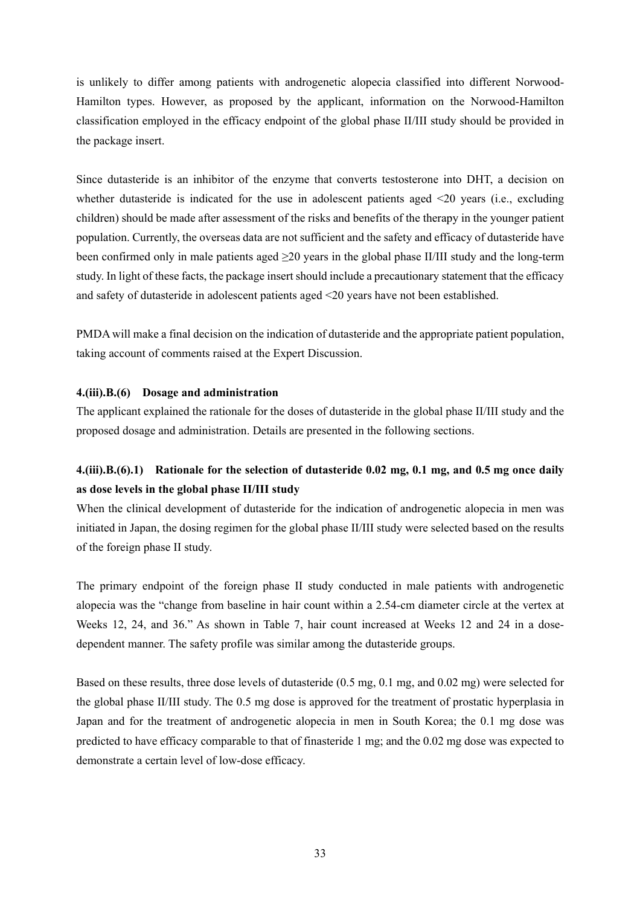is unlikely to differ among patients with androgenetic alopecia classified into different Norwood-Hamilton types. However, as proposed by the applicant, information on the Norwood-Hamilton classification employed in the efficacy endpoint of the global phase II/III study should be provided in the package insert.

Since dutasteride is an inhibitor of the enzyme that converts testosterone into DHT, a decision on whether dutasteride is indicated for the use in adolescent patients aged <20 years (i.e., excluding children) should be made after assessment of the risks and benefits of the therapy in the younger patient population. Currently, the overseas data are not sufficient and the safety and efficacy of dutasteride have been confirmed only in male patients aged ≥20 years in the global phase II/III study and the long-term study. In light of these facts, the package insert should include a precautionary statement that the efficacy and safety of dutasteride in adolescent patients aged <20 years have not been established.

PMDA will make a final decision on the indication of dutasteride and the appropriate patient population, taking account of comments raised at the Expert Discussion.

## **4.(iii).B.(6) Dosage and administration**

The applicant explained the rationale for the doses of dutasteride in the global phase II/III study and the proposed dosage and administration. Details are presented in the following sections.

# **4.(iii).B.(6).1) Rationale for the selection of dutasteride 0.02 mg, 0.1 mg, and 0.5 mg once daily as dose levels in the global phase II/III study**

When the clinical development of dutasteride for the indication of androgenetic alopecia in men was initiated in Japan, the dosing regimen for the global phase II/III study were selected based on the results of the foreign phase II study.

The primary endpoint of the foreign phase II study conducted in male patients with androgenetic alopecia was the "change from baseline in hair count within a 2.54-cm diameter circle at the vertex at Weeks 12, 24, and 36." As shown in Table 7, hair count increased at Weeks 12 and 24 in a dosedependent manner. The safety profile was similar among the dutasteride groups.

Based on these results, three dose levels of dutasteride (0.5 mg, 0.1 mg, and 0.02 mg) were selected for the global phase II/III study. The 0.5 mg dose is approved for the treatment of prostatic hyperplasia in Japan and for the treatment of androgenetic alopecia in men in South Korea; the 0.1 mg dose was predicted to have efficacy comparable to that of finasteride 1 mg; and the 0.02 mg dose was expected to demonstrate a certain level of low-dose efficacy.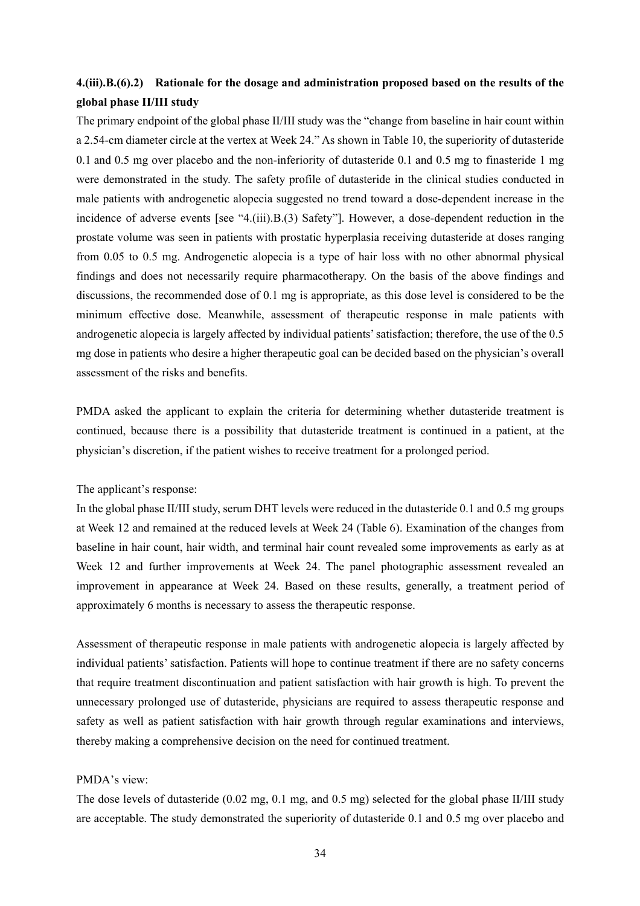# **4.(iii).B.(6).2) Rationale for the dosage and administration proposed based on the results of the global phase II/III study**

The primary endpoint of the global phase II/III study was the "change from baseline in hair count within a 2.54-cm diameter circle at the vertex at Week 24." As shown in Table 10, the superiority of dutasteride 0.1 and 0.5 mg over placebo and the non-inferiority of dutasteride 0.1 and 0.5 mg to finasteride 1 mg were demonstrated in the study. The safety profile of dutasteride in the clinical studies conducted in male patients with androgenetic alopecia suggested no trend toward a dose-dependent increase in the incidence of adverse events [see "4.(iii).B.(3) Safety"]. However, a dose-dependent reduction in the prostate volume was seen in patients with prostatic hyperplasia receiving dutasteride at doses ranging from 0.05 to 0.5 mg. Androgenetic alopecia is a type of hair loss with no other abnormal physical findings and does not necessarily require pharmacotherapy. On the basis of the above findings and discussions, the recommended dose of 0.1 mg is appropriate, as this dose level is considered to be the minimum effective dose. Meanwhile, assessment of therapeutic response in male patients with androgenetic alopecia is largely affected by individual patients' satisfaction; therefore, the use of the 0.5 mg dose in patients who desire a higher therapeutic goal can be decided based on the physician's overall assessment of the risks and benefits.

PMDA asked the applicant to explain the criteria for determining whether dutasteride treatment is continued, because there is a possibility that dutasteride treatment is continued in a patient, at the physician's discretion, if the patient wishes to receive treatment for a prolonged period.

#### The applicant's response:

In the global phase II/III study, serum DHT levels were reduced in the dutasteride 0.1 and 0.5 mg groups at Week 12 and remained at the reduced levels at Week 24 (Table 6). Examination of the changes from baseline in hair count, hair width, and terminal hair count revealed some improvements as early as at Week 12 and further improvements at Week 24. The panel photographic assessment revealed an improvement in appearance at Week 24. Based on these results, generally, a treatment period of approximately 6 months is necessary to assess the therapeutic response.

Assessment of therapeutic response in male patients with androgenetic alopecia is largely affected by individual patients' satisfaction. Patients will hope to continue treatment if there are no safety concerns that require treatment discontinuation and patient satisfaction with hair growth is high. To prevent the unnecessary prolonged use of dutasteride, physicians are required to assess therapeutic response and safety as well as patient satisfaction with hair growth through regular examinations and interviews, thereby making a comprehensive decision on the need for continued treatment.

#### PMDA's view:

The dose levels of dutasteride (0.02 mg, 0.1 mg, and 0.5 mg) selected for the global phase II/III study are acceptable. The study demonstrated the superiority of dutasteride 0.1 and 0.5 mg over placebo and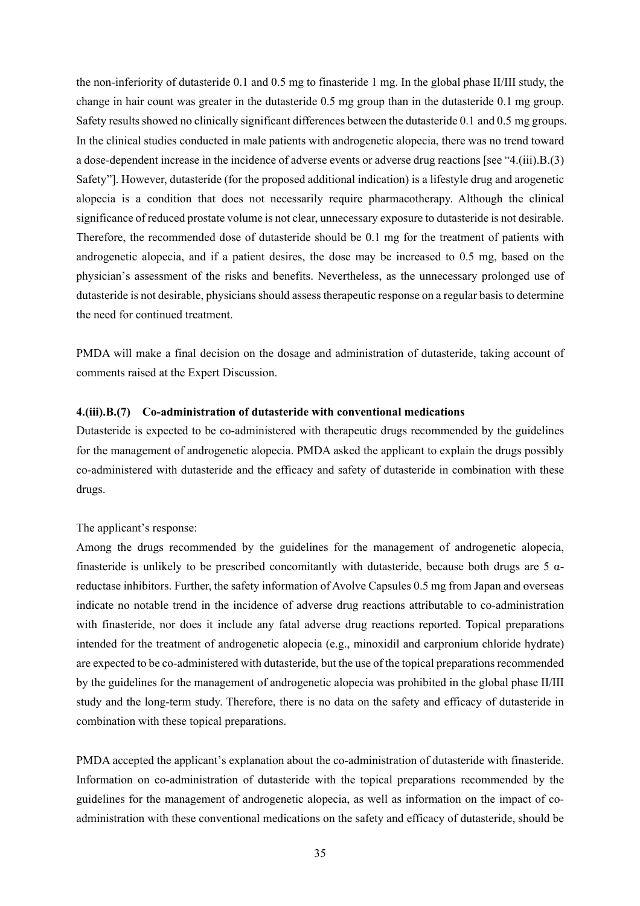the non-inferiority of dutasteride 0.1 and 0.5 mg to finasteride 1 mg. In the global phase II/III study, the change in hair count was greater in the dutasteride 0.5 mg group than in the dutasteride 0.1 mg group. Safety results showed no clinically significant differences between the dutasteride 0.1 and 0.5 mg groups. In the clinical studies conducted in male patients with androgenetic alopecia, there was no trend toward a dose-dependent increase in the incidence of adverse events or adverse drug reactions [see "4.(iii).B.(3) Safety"]. However, dutasteride (for the proposed additional indication) is a lifestyle drug and arogenetic alopecia is a condition that does not necessarily require pharmacotherapy. Although the clinical significance of reduced prostate volume is not clear, unnecessary exposure to dutasteride is not desirable. Therefore, the recommended dose of dutasteride should be 0.1 mg for the treatment of patients with androgenetic alopecia, and if a patient desires, the dose may be increased to 0.5 mg, based on the physician's assessment of the risks and benefits. Nevertheless, as the unnecessary prolonged use of dutasteride is not desirable, physicians should assess therapeutic response on a regular basis to determine the need for continued treatment.

PMDA will make a final decision on the dosage and administration of dutasteride, taking account of comments raised at the Expert Discussion.

### **4.(iii).B.(7) Co-administration of dutasteride with conventional medications**

Dutasteride is expected to be co-administered with therapeutic drugs recommended by the guidelines for the management of androgenetic alopecia. PMDA asked the applicant to explain the drugs possibly co-administered with dutasteride and the efficacy and safety of dutasteride in combination with these drugs.

#### The applicant's response:

Among the drugs recommended by the guidelines for the management of androgenetic alopecia, finasteride is unlikely to be prescribed concomitantly with dutasteride, because both drugs are 5  $\alpha$ reductase inhibitors. Further, the safety information of Avolve Capsules 0.5 mg from Japan and overseas indicate no notable trend in the incidence of adverse drug reactions attributable to co-administration with finasteride, nor does it include any fatal adverse drug reactions reported. Topical preparations intended for the treatment of androgenetic alopecia (e.g., minoxidil and carpronium chloride hydrate) are expected to be co-administered with dutasteride, but the use of the topical preparations recommended by the guidelines for the management of androgenetic alopecia was prohibited in the global phase II/III study and the long-term study. Therefore, there is no data on the safety and efficacy of dutasteride in combination with these topical preparations.

PMDA accepted the applicant's explanation about the co-administration of dutasteride with finasteride. Information on co-administration of dutasteride with the topical preparations recommended by the guidelines for the management of androgenetic alopecia, as well as information on the impact of coadministration with these conventional medications on the safety and efficacy of dutasteride, should be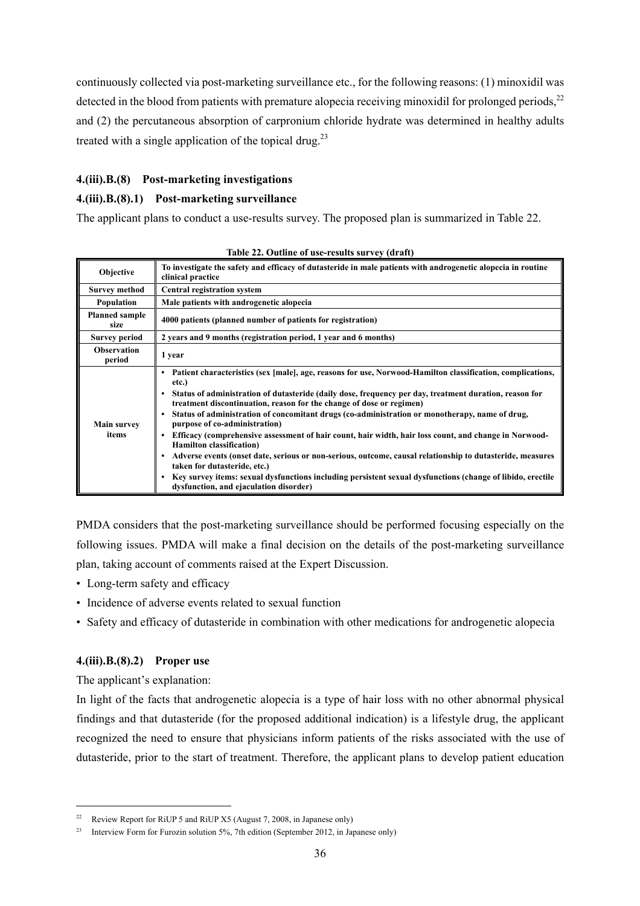continuously collected via post-marketing surveillance etc., for the following reasons: (1) minoxidil was detected in the blood from patients with premature alopecia receiving minoxidil for prolonged periods,  $22$ and (2) the percutaneous absorption of carpronium chloride hydrate was determined in healthy adults treated with a single application of the topical drug. $23$ 

# **4.(iii).B.(8) Post-marketing investigations**

## **4.(iii).B.(8).1) Post-marketing surveillance**

The applicant plans to conduct a use-results survey. The proposed plan is summarized in Table 22.

| Objective                     | To investigate the safety and efficacy of dutasteride in male patients with androgenetic alopecia in routine<br>clinical practice                                                                                                                                                                                                                                                                                                                                                                                                                                                                                                                                                                                                                                                                                                                                                                    |
|-------------------------------|------------------------------------------------------------------------------------------------------------------------------------------------------------------------------------------------------------------------------------------------------------------------------------------------------------------------------------------------------------------------------------------------------------------------------------------------------------------------------------------------------------------------------------------------------------------------------------------------------------------------------------------------------------------------------------------------------------------------------------------------------------------------------------------------------------------------------------------------------------------------------------------------------|
| <b>Survey method</b>          | <b>Central registration system</b>                                                                                                                                                                                                                                                                                                                                                                                                                                                                                                                                                                                                                                                                                                                                                                                                                                                                   |
| Population                    | Male patients with androgenetic alopecia                                                                                                                                                                                                                                                                                                                                                                                                                                                                                                                                                                                                                                                                                                                                                                                                                                                             |
| <b>Planned sample</b><br>size | 4000 patients (planned number of patients for registration)                                                                                                                                                                                                                                                                                                                                                                                                                                                                                                                                                                                                                                                                                                                                                                                                                                          |
| <b>Survey period</b>          | 2 years and 9 months (registration period, 1 year and 6 months)                                                                                                                                                                                                                                                                                                                                                                                                                                                                                                                                                                                                                                                                                                                                                                                                                                      |
| <b>Observation</b><br>period  | 1 year                                                                                                                                                                                                                                                                                                                                                                                                                                                                                                                                                                                                                                                                                                                                                                                                                                                                                               |
| <b>Main survey</b><br>items   | Patient characteristics (sex [male], age, reasons for use, Norwood-Hamilton classification, complications,<br>٠<br>etc.)<br>Status of administration of dutasteride (daily dose, frequency per day, treatment duration, reason for<br>treatment discontinuation, reason for the change of dose or regimen)<br>Status of administration of concomitant drugs (co-administration or monotherapy, name of drug,<br>purpose of co-administration)<br>Efficacy (comprehensive assessment of hair count, hair width, hair loss count, and change in Norwood-<br><b>Hamilton classification</b> )<br>Adverse events (onset date, serious or non-serious, outcome, causal relationship to dutasteride, measures<br>٠<br>taken for dutasteride, etc.)<br>Key survey items: sexual dysfunctions including persistent sexual dysfunctions (change of libido, erectile<br>dysfunction, and ejaculation disorder) |

**Table 22. Outline of use-results survey (draft)** 

PMDA considers that the post-marketing surveillance should be performed focusing especially on the following issues. PMDA will make a final decision on the details of the post-marketing surveillance plan, taking account of comments raised at the Expert Discussion.

- Long-term safety and efficacy
- Incidence of adverse events related to sexual function
- Safety and efficacy of dutasteride in combination with other medications for androgenetic alopecia

## **4.(iii).B.(8).2) Proper use**

The applicant's explanation:

l

In light of the facts that androgenetic alopecia is a type of hair loss with no other abnormal physical findings and that dutasteride (for the proposed additional indication) is a lifestyle drug, the applicant recognized the need to ensure that physicians inform patients of the risks associated with the use of dutasteride, prior to the start of treatment. Therefore, the applicant plans to develop patient education

<sup>&</sup>lt;sup>22</sup> Review Report for RiUP 5 and RiUP X5 (August 7, 2008, in Japanese only)

<sup>&</sup>lt;sup>23</sup> Interview Form for Furozin solution 5%, 7th edition (September 2012, in Japanese only)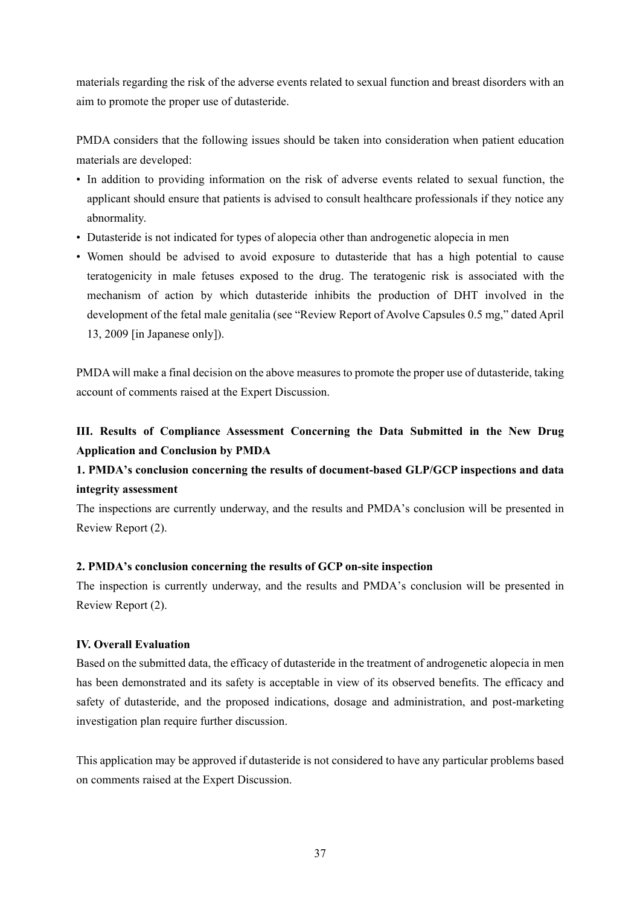materials regarding the risk of the adverse events related to sexual function and breast disorders with an aim to promote the proper use of dutasteride.

PMDA considers that the following issues should be taken into consideration when patient education materials are developed:

- In addition to providing information on the risk of adverse events related to sexual function, the applicant should ensure that patients is advised to consult healthcare professionals if they notice any abnormality.
- Dutasteride is not indicated for types of alopecia other than androgenetic alopecia in men
- Women should be advised to avoid exposure to dutasteride that has a high potential to cause teratogenicity in male fetuses exposed to the drug. The teratogenic risk is associated with the mechanism of action by which dutasteride inhibits the production of DHT involved in the development of the fetal male genitalia (see "Review Report of Avolve Capsules 0.5 mg," dated April 13, 2009 [in Japanese only]).

PMDA will make a final decision on the above measures to promote the proper use of dutasteride, taking account of comments raised at the Expert Discussion.

# **III. Results of Compliance Assessment Concerning the Data Submitted in the New Drug Application and Conclusion by PMDA**

# **1. PMDA's conclusion concerning the results of document-based GLP/GCP inspections and data integrity assessment**

The inspections are currently underway, and the results and PMDA's conclusion will be presented in Review Report (2).

# **2. PMDA's conclusion concerning the results of GCP on-site inspection**

The inspection is currently underway, and the results and PMDA's conclusion will be presented in Review Report (2).

# **IV. Overall Evaluation**

Based on the submitted data, the efficacy of dutasteride in the treatment of androgenetic alopecia in men has been demonstrated and its safety is acceptable in view of its observed benefits. The efficacy and safety of dutasteride, and the proposed indications, dosage and administration, and post-marketing investigation plan require further discussion.

This application may be approved if dutasteride is not considered to have any particular problems based on comments raised at the Expert Discussion.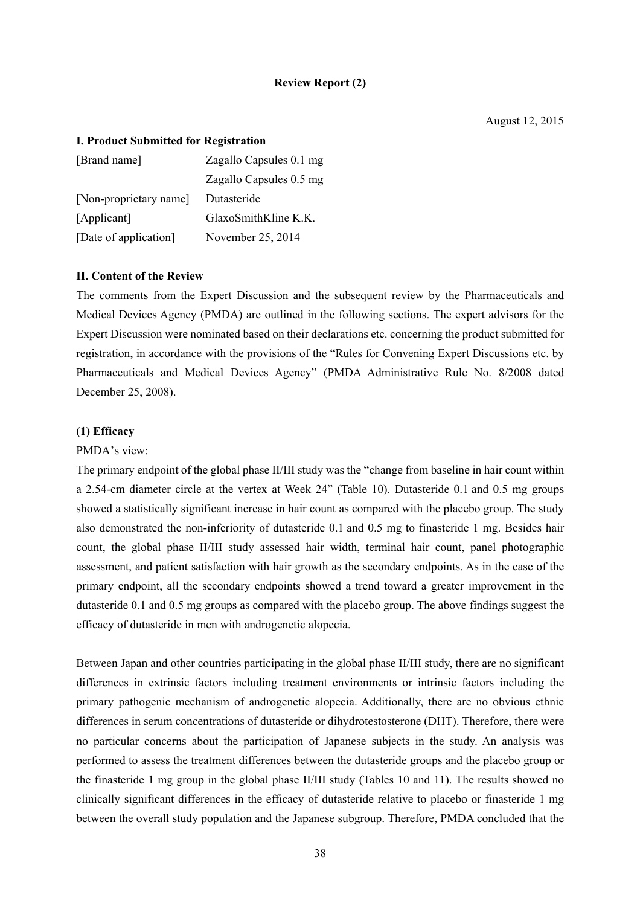#### **Review Report (2)**

#### **I. Product Submitted for Registration**

| [Brand name]           | Zagallo Capsules 0.1 mg |
|------------------------|-------------------------|
|                        | Zagallo Capsules 0.5 mg |
| [Non-proprietary name] | Dutasteride             |
| [Applicant]            | $G$ laxoSmithKline K.K. |
| [Date of application]  | November 25, 2014       |

### **II. Content of the Review**

The comments from the Expert Discussion and the subsequent review by the Pharmaceuticals and Medical Devices Agency (PMDA) are outlined in the following sections. The expert advisors for the Expert Discussion were nominated based on their declarations etc. concerning the product submitted for registration, in accordance with the provisions of the "Rules for Convening Expert Discussions etc. by Pharmaceuticals and Medical Devices Agency" (PMDA Administrative Rule No. 8/2008 dated December 25, 2008).

#### **(1) Efficacy**

#### PMDA's view:

The primary endpoint of the global phase II/III study was the "change from baseline in hair count within a 2.54-cm diameter circle at the vertex at Week 24" (Table 10). Dutasteride 0.1 and 0.5 mg groups showed a statistically significant increase in hair count as compared with the placebo group. The study also demonstrated the non-inferiority of dutasteride 0.1 and 0.5 mg to finasteride 1 mg. Besides hair count, the global phase II/III study assessed hair width, terminal hair count, panel photographic assessment, and patient satisfaction with hair growth as the secondary endpoints. As in the case of the primary endpoint, all the secondary endpoints showed a trend toward a greater improvement in the dutasteride 0.1 and 0.5 mg groups as compared with the placebo group. The above findings suggest the efficacy of dutasteride in men with androgenetic alopecia.

Between Japan and other countries participating in the global phase II/III study, there are no significant differences in extrinsic factors including treatment environments or intrinsic factors including the primary pathogenic mechanism of androgenetic alopecia. Additionally, there are no obvious ethnic differences in serum concentrations of dutasteride or dihydrotestosterone (DHT). Therefore, there were no particular concerns about the participation of Japanese subjects in the study. An analysis was performed to assess the treatment differences between the dutasteride groups and the placebo group or the finasteride 1 mg group in the global phase II/III study (Tables 10 and 11). The results showed no clinically significant differences in the efficacy of dutasteride relative to placebo or finasteride 1 mg between the overall study population and the Japanese subgroup. Therefore, PMDA concluded that the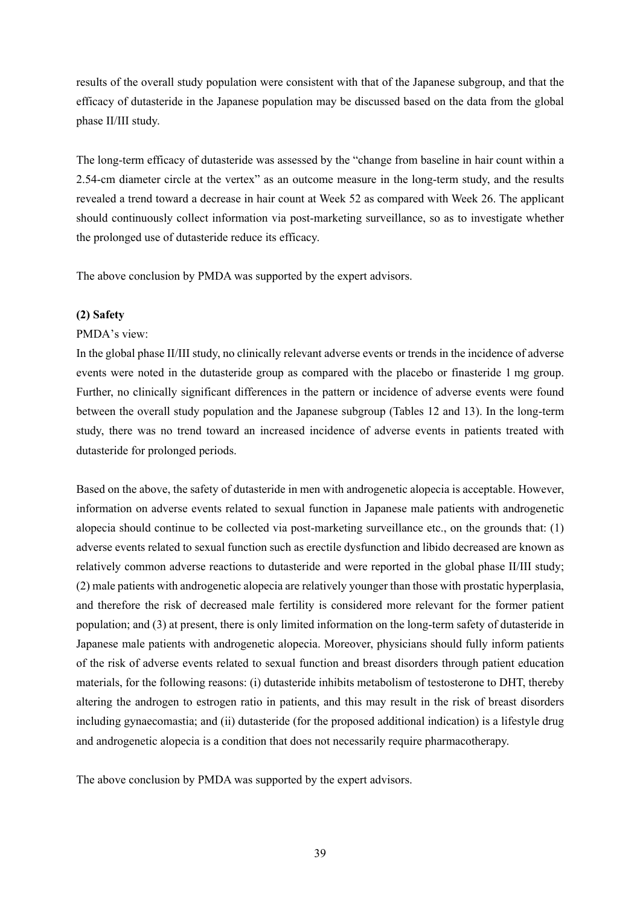results of the overall study population were consistent with that of the Japanese subgroup, and that the efficacy of dutasteride in the Japanese population may be discussed based on the data from the global phase II/III study.

The long-term efficacy of dutasteride was assessed by the "change from baseline in hair count within a 2.54-cm diameter circle at the vertex" as an outcome measure in the long-term study, and the results revealed a trend toward a decrease in hair count at Week 52 as compared with Week 26. The applicant should continuously collect information via post-marketing surveillance, so as to investigate whether the prolonged use of dutasteride reduce its efficacy.

The above conclusion by PMDA was supported by the expert advisors.

# **(2) Safety**

# PMDA's view:

In the global phase II/III study, no clinically relevant adverse events or trends in the incidence of adverse events were noted in the dutasteride group as compared with the placebo or finasteride 1 mg group. Further, no clinically significant differences in the pattern or incidence of adverse events were found between the overall study population and the Japanese subgroup (Tables 12 and 13). In the long-term study, there was no trend toward an increased incidence of adverse events in patients treated with dutasteride for prolonged periods.

Based on the above, the safety of dutasteride in men with androgenetic alopecia is acceptable. However, information on adverse events related to sexual function in Japanese male patients with androgenetic alopecia should continue to be collected via post-marketing surveillance etc., on the grounds that: (1) adverse events related to sexual function such as erectile dysfunction and libido decreased are known as relatively common adverse reactions to dutasteride and were reported in the global phase II/III study; (2) male patients with androgenetic alopecia are relatively younger than those with prostatic hyperplasia, and therefore the risk of decreased male fertility is considered more relevant for the former patient population; and (3) at present, there is only limited information on the long-term safety of dutasteride in Japanese male patients with androgenetic alopecia. Moreover, physicians should fully inform patients of the risk of adverse events related to sexual function and breast disorders through patient education materials, for the following reasons: (i) dutasteride inhibits metabolism of testosterone to DHT, thereby altering the androgen to estrogen ratio in patients, and this may result in the risk of breast disorders including gynaecomastia; and (ii) dutasteride (for the proposed additional indication) is a lifestyle drug and androgenetic alopecia is a condition that does not necessarily require pharmacotherapy.

The above conclusion by PMDA was supported by the expert advisors.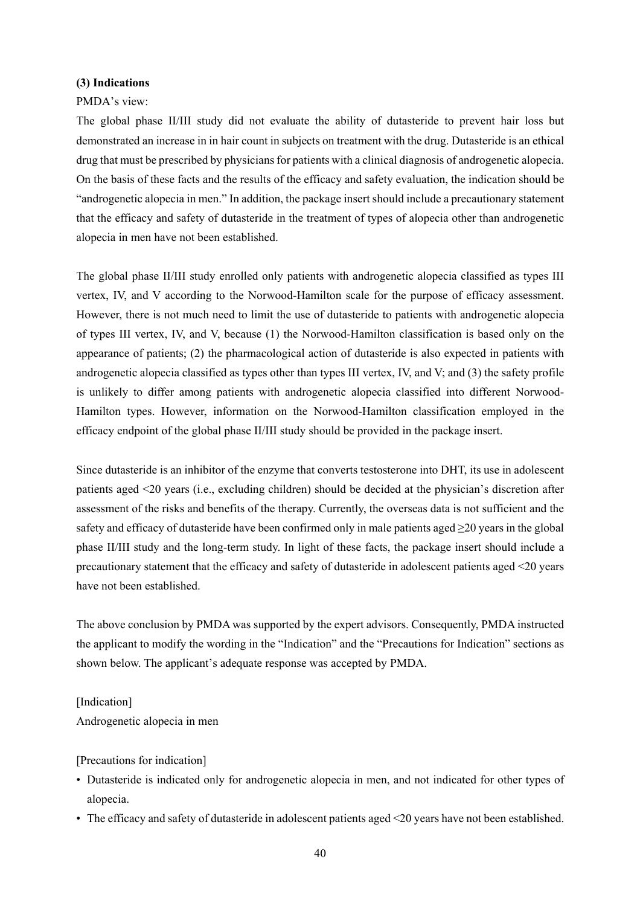#### **(3) Indications**

#### PMDA's view:

The global phase II/III study did not evaluate the ability of dutasteride to prevent hair loss but demonstrated an increase in in hair count in subjects on treatment with the drug. Dutasteride is an ethical drug that must be prescribed by physicians for patients with a clinical diagnosis of androgenetic alopecia. On the basis of these facts and the results of the efficacy and safety evaluation, the indication should be "androgenetic alopecia in men." In addition, the package insert should include a precautionary statement that the efficacy and safety of dutasteride in the treatment of types of alopecia other than androgenetic alopecia in men have not been established.

The global phase II/III study enrolled only patients with androgenetic alopecia classified as types III vertex, IV, and V according to the Norwood-Hamilton scale for the purpose of efficacy assessment. However, there is not much need to limit the use of dutasteride to patients with androgenetic alopecia of types III vertex, IV, and V, because (1) the Norwood-Hamilton classification is based only on the appearance of patients; (2) the pharmacological action of dutasteride is also expected in patients with androgenetic alopecia classified as types other than types III vertex, IV, and V; and (3) the safety profile is unlikely to differ among patients with androgenetic alopecia classified into different Norwood-Hamilton types. However, information on the Norwood-Hamilton classification employed in the efficacy endpoint of the global phase II/III study should be provided in the package insert.

Since dutasteride is an inhibitor of the enzyme that converts testosterone into DHT, its use in adolescent patients aged <20 years (i.e., excluding children) should be decided at the physician's discretion after assessment of the risks and benefits of the therapy. Currently, the overseas data is not sufficient and the safety and efficacy of dutasteride have been confirmed only in male patients aged  $\geq$ 20 years in the global phase II/III study and the long-term study. In light of these facts, the package insert should include a precautionary statement that the efficacy and safety of dutasteride in adolescent patients aged <20 years have not been established.

The above conclusion by PMDA was supported by the expert advisors. Consequently, PMDA instructed the applicant to modify the wording in the "Indication" and the "Precautions for Indication" sections as shown below. The applicant's adequate response was accepted by PMDA.

#### [Indication]

Androgenetic alopecia in men

#### [Precautions for indication]

- Dutasteride is indicated only for androgenetic alopecia in men, and not indicated for other types of alopecia.
- The efficacy and safety of dutasteride in adolescent patients aged <20 years have not been established.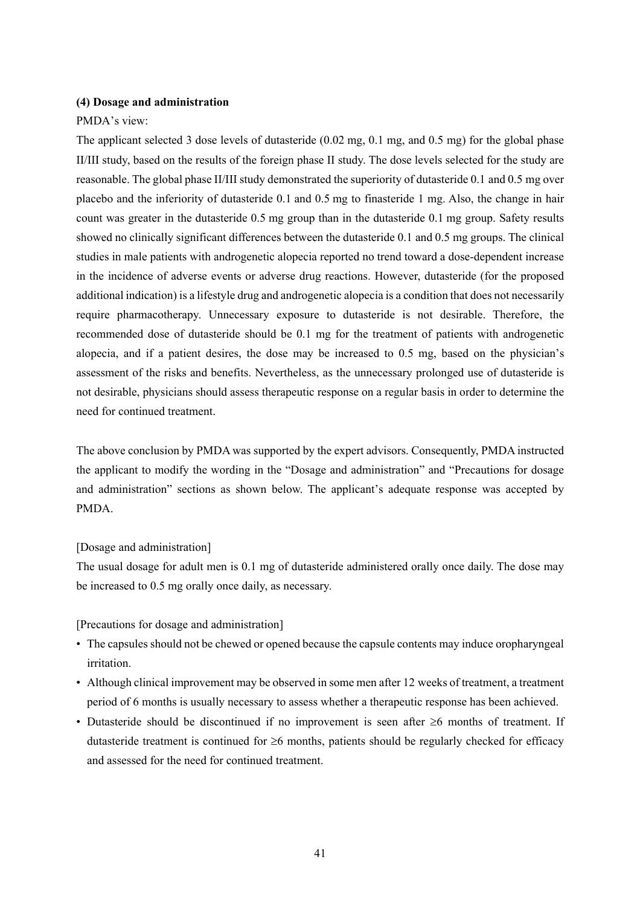#### **(4) Dosage and administration**

#### PMDA's view:

The applicant selected 3 dose levels of dutasteride (0.02 mg, 0.1 mg, and 0.5 mg) for the global phase II/III study, based on the results of the foreign phase II study. The dose levels selected for the study are reasonable. The global phase II/III study demonstrated the superiority of dutasteride 0.1 and 0.5 mg over placebo and the inferiority of dutasteride 0.1 and 0.5 mg to finasteride 1 mg. Also, the change in hair count was greater in the dutasteride 0.5 mg group than in the dutasteride 0.1 mg group. Safety results showed no clinically significant differences between the dutasteride 0.1 and 0.5 mg groups. The clinical studies in male patients with androgenetic alopecia reported no trend toward a dose-dependent increase in the incidence of adverse events or adverse drug reactions. However, dutasteride (for the proposed additional indication) is a lifestyle drug and androgenetic alopecia is a condition that does not necessarily require pharmacotherapy. Unnecessary exposure to dutasteride is not desirable. Therefore, the recommended dose of dutasteride should be 0.1 mg for the treatment of patients with androgenetic alopecia, and if a patient desires, the dose may be increased to 0.5 mg, based on the physician's assessment of the risks and benefits. Nevertheless, as the unnecessary prolonged use of dutasteride is not desirable, physicians should assess therapeutic response on a regular basis in order to determine the need for continued treatment.

The above conclusion by PMDA was supported by the expert advisors. Consequently, PMDA instructed the applicant to modify the wording in the "Dosage and administration" and "Precautions for dosage and administration" sections as shown below. The applicant's adequate response was accepted by PMDA.

### [Dosage and administration]

The usual dosage for adult men is 0.1 mg of dutasteride administered orally once daily. The dose may be increased to 0.5 mg orally once daily, as necessary.

[Precautions for dosage and administration]

- The capsules should not be chewed or opened because the capsule contents may induce oropharyngeal irritation.
- Although clinical improvement may be observed in some men after 12 weeks of treatment, a treatment period of 6 months is usually necessary to assess whether a therapeutic response has been achieved.
- Dutasteride should be discontinued if no improvement is seen after  $\geq 6$  months of treatment. If dutasteride treatment is continued for  $\geq 6$  months, patients should be regularly checked for efficacy and assessed for the need for continued treatment.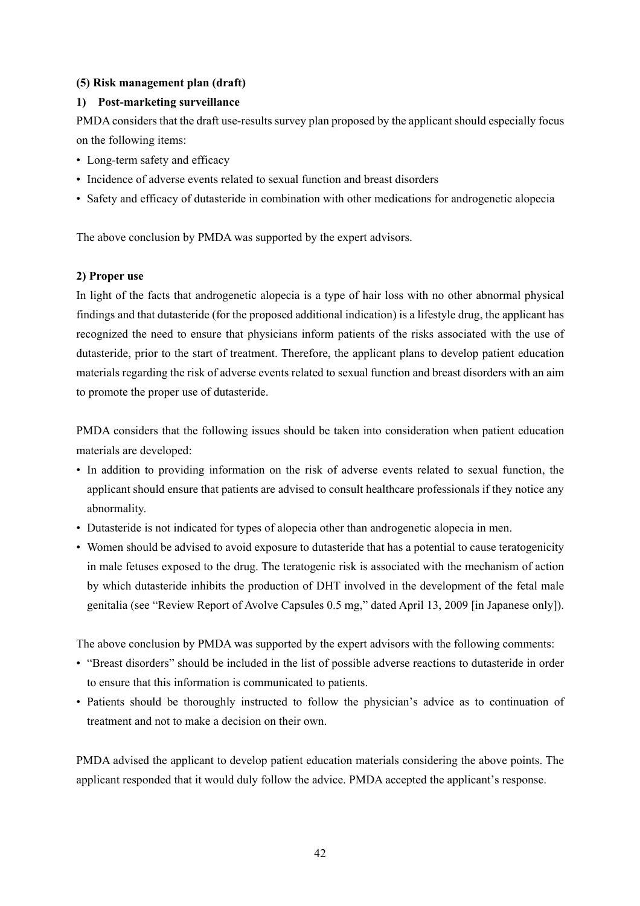# **(5) Risk management plan (draft)**

# **1) Post-marketing surveillance**

PMDA considers that the draft use-results survey plan proposed by the applicant should especially focus on the following items:

- Long-term safety and efficacy
- Incidence of adverse events related to sexual function and breast disorders
- Safety and efficacy of dutasteride in combination with other medications for androgenetic alopecia

The above conclusion by PMDA was supported by the expert advisors.

# **2) Proper use**

In light of the facts that androgenetic alopecia is a type of hair loss with no other abnormal physical findings and that dutasteride (for the proposed additional indication) is a lifestyle drug, the applicant has recognized the need to ensure that physicians inform patients of the risks associated with the use of dutasteride, prior to the start of treatment. Therefore, the applicant plans to develop patient education materials regarding the risk of adverse events related to sexual function and breast disorders with an aim to promote the proper use of dutasteride.

PMDA considers that the following issues should be taken into consideration when patient education materials are developed:

- In addition to providing information on the risk of adverse events related to sexual function, the applicant should ensure that patients are advised to consult healthcare professionals if they notice any abnormality.
- Dutasteride is not indicated for types of alopecia other than androgenetic alopecia in men.
- Women should be advised to avoid exposure to dutasteride that has a potential to cause teratogenicity in male fetuses exposed to the drug. The teratogenic risk is associated with the mechanism of action by which dutasteride inhibits the production of DHT involved in the development of the fetal male genitalia (see "Review Report of Avolve Capsules 0.5 mg," dated April 13, 2009 [in Japanese only]).

The above conclusion by PMDA was supported by the expert advisors with the following comments:

- "Breast disorders" should be included in the list of possible adverse reactions to dutasteride in order to ensure that this information is communicated to patients.
- Patients should be thoroughly instructed to follow the physician's advice as to continuation of treatment and not to make a decision on their own.

PMDA advised the applicant to develop patient education materials considering the above points. The applicant responded that it would duly follow the advice. PMDA accepted the applicant's response.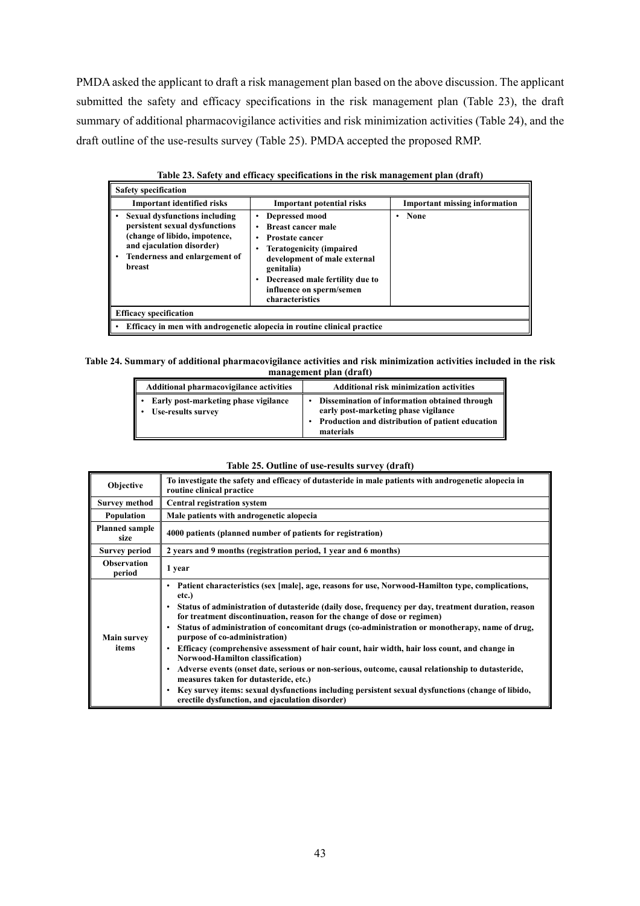PMDA asked the applicant to draft a risk management plan based on the above discussion. The applicant submitted the safety and efficacy specifications in the risk management plan (Table 23), the draft summary of additional pharmacovigilance activities and risk minimization activities (Table 24), and the draft outline of the use-results survey (Table 25). PMDA accepted the proposed RMP.

| <b>Safety specification</b>                                                                                                                                                                              |                                                                                                                                                                                                                                           |                                      |  |  |  |
|----------------------------------------------------------------------------------------------------------------------------------------------------------------------------------------------------------|-------------------------------------------------------------------------------------------------------------------------------------------------------------------------------------------------------------------------------------------|--------------------------------------|--|--|--|
| <b>Important identified risks</b>                                                                                                                                                                        | <b>Important potential risks</b>                                                                                                                                                                                                          | <b>Important missing information</b> |  |  |  |
| <b>Sexual dysfunctions including</b><br>$\bullet$<br>persistent sexual dysfunctions<br>(change of libido, impotence,<br>and ejaculation disorder)<br>Tenderness and enlargement of<br>٠<br><b>breast</b> | Depressed mood<br><b>Breast cancer male</b><br><b>Prostate cancer</b><br><b>Teratogenicity (impaired)</b><br>development of male external<br>genitalia)<br>Decreased male fertility due to<br>influence on sperm/semen<br>characteristics | None<br>٠                            |  |  |  |
| <b>Efficacy specification</b>                                                                                                                                                                            |                                                                                                                                                                                                                                           |                                      |  |  |  |
| • Efficacy in men with androgenetic alopecia in routine clinical practice                                                                                                                                |                                                                                                                                                                                                                                           |                                      |  |  |  |

### **Table 23. Safety and efficacy specifications in the risk management plan (draft)**

#### **Table 24. Summary of additional pharmacovigilance activities and risk minimization activities included in the risk management plan (draft)**

| Additional pharmacovigilance activities                    | <b>Additional risk minimization activities</b>                                                                                                                      |
|------------------------------------------------------------|---------------------------------------------------------------------------------------------------------------------------------------------------------------------|
| Early post-marketing phase vigilance<br>Use-results survey | Dissemination of information obtained through<br>early post-marketing phase vigilance<br>Production and distribution of patient education<br>$\bullet$<br>materials |

#### **Table 25. Outline of use-results survey (draft)**

| Objective                     | To investigate the safety and efficacy of dutasteride in male patients with androgenetic alopecia in<br>routine clinical practice                                                                                                                                                                                                                                                                                                                                                                                                                                                                                                                                                                                                                                                                                                                                               |
|-------------------------------|---------------------------------------------------------------------------------------------------------------------------------------------------------------------------------------------------------------------------------------------------------------------------------------------------------------------------------------------------------------------------------------------------------------------------------------------------------------------------------------------------------------------------------------------------------------------------------------------------------------------------------------------------------------------------------------------------------------------------------------------------------------------------------------------------------------------------------------------------------------------------------|
| <b>Survey method</b>          | <b>Central registration system</b>                                                                                                                                                                                                                                                                                                                                                                                                                                                                                                                                                                                                                                                                                                                                                                                                                                              |
| Population                    | Male patients with androgenetic alopecia                                                                                                                                                                                                                                                                                                                                                                                                                                                                                                                                                                                                                                                                                                                                                                                                                                        |
| <b>Planned sample</b><br>size | 4000 patients (planned number of patients for registration)                                                                                                                                                                                                                                                                                                                                                                                                                                                                                                                                                                                                                                                                                                                                                                                                                     |
| <b>Survey period</b>          | 2 years and 9 months (registration period, 1 year and 6 months)                                                                                                                                                                                                                                                                                                                                                                                                                                                                                                                                                                                                                                                                                                                                                                                                                 |
| <b>Observation</b><br>period  | 1 year                                                                                                                                                                                                                                                                                                                                                                                                                                                                                                                                                                                                                                                                                                                                                                                                                                                                          |
| <b>Main survey</b><br>items   | Patient characteristics (sex [male], age, reasons for use, Norwood-Hamilton type, complications,<br>etc.)<br>Status of administration of dutasteride (daily dose, frequency per day, treatment duration, reason<br>for treatment discontinuation, reason for the change of dose or regimen)<br>Status of administration of concomitant drugs (co-administration or monotherapy, name of drug,<br>purpose of co-administration)<br>Efficacy (comprehensive assessment of hair count, hair width, hair loss count, and change in<br><b>Norwood-Hamilton classification</b> )<br>Adverse events (onset date, serious or non-serious, outcome, causal relationship to dutasteride,<br>measures taken for dutasteride, etc.)<br>Key survey items: sexual dysfunctions including persistent sexual dysfunctions (change of libido,<br>erectile dysfunction, and ejaculation disorder) |